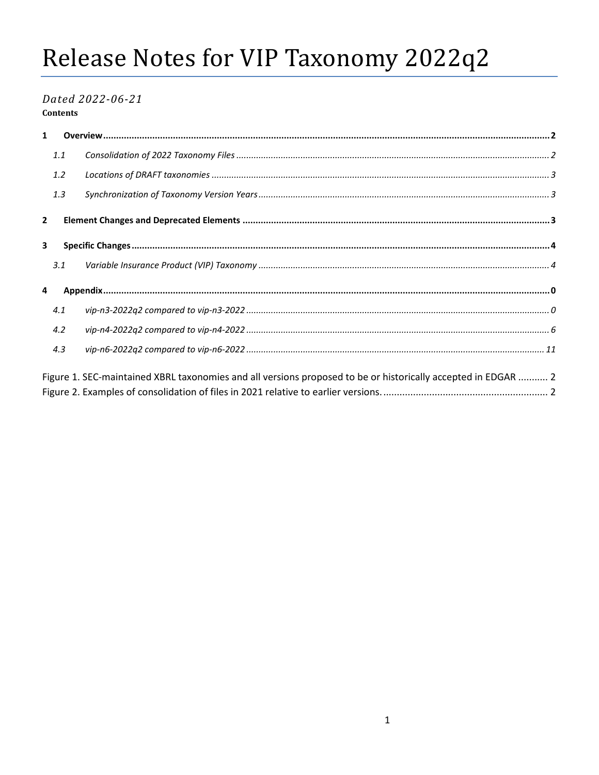# Release Notes for VIP Taxonomy 2022q2

## Dated 2022-06-21

#### **Contents**

| $\mathbf{1}$   |     |                                                                                                               |
|----------------|-----|---------------------------------------------------------------------------------------------------------------|
|                | 1.1 |                                                                                                               |
|                | 1.2 |                                                                                                               |
|                | 1.3 |                                                                                                               |
| $\overline{2}$ |     |                                                                                                               |
| 3              |     |                                                                                                               |
|                | 3.1 |                                                                                                               |
| 4              |     |                                                                                                               |
|                | 4.1 |                                                                                                               |
|                | 4.2 |                                                                                                               |
|                | 4.3 |                                                                                                               |
|                |     | Figure 1. SEC-maintained XBRL taxonomies and all versions proposed to be or historically accepted in EDGAR  2 |
|                |     |                                                                                                               |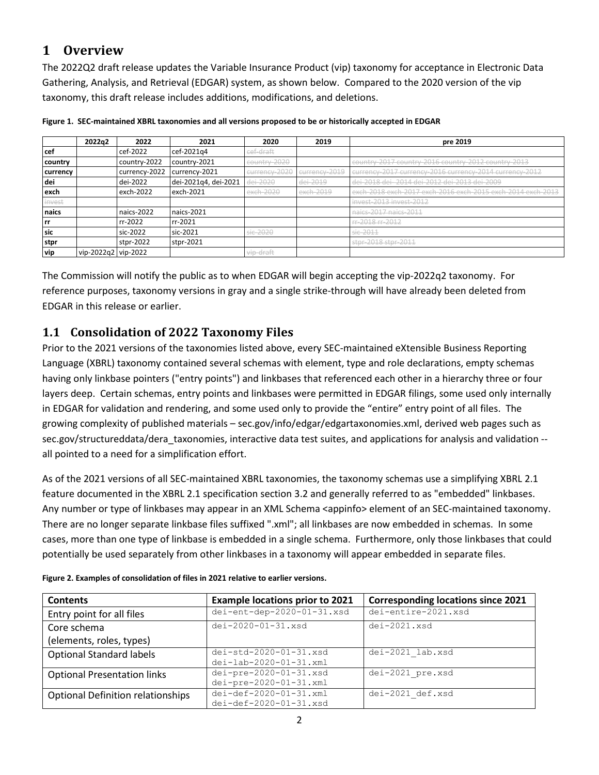# <span id="page-1-0"></span>**1 Overview**

The 2022Q2 draft release updates the Variable Insurance Product (vip) taxonomy for acceptance in Electronic Data Gathering, Analysis, and Retrieval (EDGAR) system, as shown below. Compared to the 2020 version of the vip taxonomy, this draft release includes additions, modifications, and deletions.

|              | 2022q2              | 2022          | 2021                 | 2020          | 2019          | pre 2019                                                    |
|--------------|---------------------|---------------|----------------------|---------------|---------------|-------------------------------------------------------------|
| <b>cef</b>   |                     | cef-2022      | cef-2021q4           | cef-draft     |               |                                                             |
| country      |                     | country-2022  | country-2021         | country 2020  |               | country 2017 country 2016 country 2012 country 2013         |
| currency     |                     | currency-2022 | currency-2021        | currency 2020 | currency 2019 | currency 2017 currency 2016 currency 2014 currency 2012     |
| dei          |                     | dei-2022      | dei-2021q4, dei-2021 | dei 2020      | dei 2019      | dei 2018 dei 2014 dei 2012 dei 2013 dei 2009                |
| <b>lexch</b> |                     | exch-2022     | exch-2021            | exch 2020     | exch 2019     | exch 2018 exch 2017 exch 2016 exch 2015 exch 2014 exch 2013 |
| invest       |                     |               |                      |               |               | invest-2013 invest-2012                                     |
| naics        |                     | naics-2022    | naics-2021           |               |               | naics 2017 naics 2011                                       |
| l rr         |                     | rr-2022       | rr-2021              |               |               | rr 2018 rr 2012                                             |
| lsic.        |                     | sic-2022      | sic-2021             | sic 2020      |               | sic 2011                                                    |
| stpr         |                     | stpr-2022     | stpr-2021            |               |               | stpr 2018 stpr 2011                                         |
| vip          | vip-2022q2 vip-2022 |               |                      | vip-draft     |               |                                                             |

<span id="page-1-2"></span>**Figure 1. SEC-maintained XBRL taxonomies and all versions proposed to be or historically accepted in EDGAR**

The Commission will notify the public as to when EDGAR will begin accepting the vip-2022q2 taxonomy. For reference purposes, taxonomy versions in gray and a single strike-through will have already been deleted from EDGAR in this release or earlier.

## <span id="page-1-1"></span>**1.1 Consolidation of 2022 Taxonomy Files**

Prior to the 2021 versions of the taxonomies listed above, every SEC-maintained eXtensible Business Reporting Language (XBRL) taxonomy contained several schemas with element, type and role declarations, empty schemas having only linkbase pointers ("entry points") and linkbases that referenced each other in a hierarchy three or four layers deep. Certain schemas, entry points and linkbases were permitted in EDGAR filings, some used only internally in EDGAR for validation and rendering, and some used only to provide the "entire" entry point of all files. The growing complexity of published materials – sec.gov/info/edgar/edgartaxonomies.xml, derived web pages such as sec.gov/structureddata/dera taxonomies, interactive data test suites, and applications for analysis and validation -all pointed to a need for a simplification effort.

As of the 2021 versions of all SEC-maintained XBRL taxonomies, the taxonomy schemas use a simplifying XBRL 2.1 feature documented in the XBRL 2.1 specification section 3.2 and generally referred to as "embedded" linkbases. Any number or type of linkbases may appear in an XML Schema <appinfo> element of an SEC-maintained taxonomy. There are no longer separate linkbase files suffixed ".xml"; all linkbases are now embedded in schemas. In some cases, more than one type of linkbase is embedded in a single schema. Furthermore, only those linkbases that could potentially be used separately from other linkbases in a taxonomy will appear embedded in separate files.

| <b>Contents</b>                          | <b>Example locations prior to 2021</b> | <b>Corresponding locations since 2021</b> |
|------------------------------------------|----------------------------------------|-------------------------------------------|
| Entry point for all files                | dei-ent-dep-2020-01-31.xsd             | dei-entire-2021.xsd                       |
| Core schema                              | dei-2020-01-31.xsd                     | $dei-2021$ . $xsd$                        |
| (elements, roles, types)                 |                                        |                                           |
| <b>Optional Standard labels</b>          | dei-std-2020-01-31.xsd                 | dei-2021 lab.xsd                          |
|                                          | $dei - lab - 2020 - 01 - 31 \cdot xml$ |                                           |
| <b>Optional Presentation links</b>       | dei-pre-2020-01-31.xsd                 | dei-2021 pre.xsd                          |
|                                          | dei-pre-2020-01-31.xml                 |                                           |
| <b>Optional Definition relationships</b> | dei-def-2020-01-31.xml                 | dei-2021 def.xsd                          |
|                                          | dei-def-2020-01-31.xsd                 |                                           |

<span id="page-1-3"></span>

| Figure 2. Examples of consolidation of files in 2021 relative to earlier versions. |  |  |
|------------------------------------------------------------------------------------|--|--|
|                                                                                    |  |  |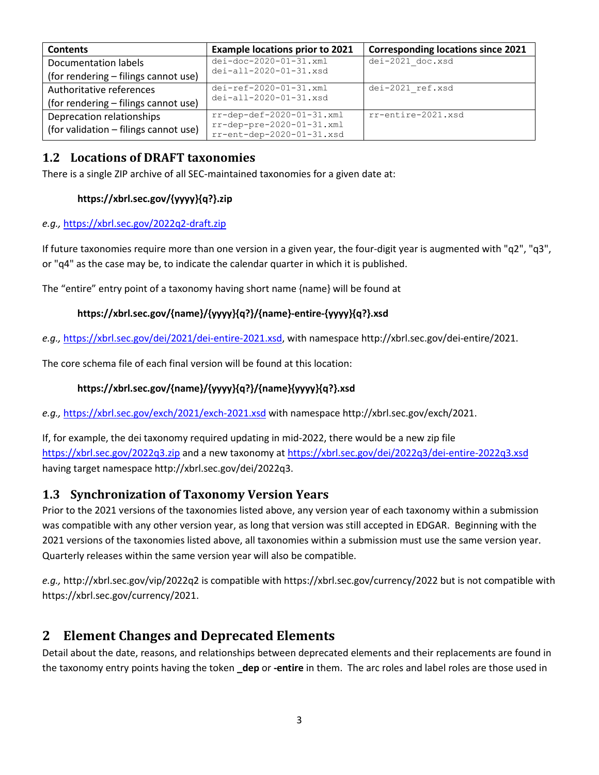| <b>Contents</b>                       | <b>Example locations prior to 2021</b>                    | <b>Corresponding locations since 2021</b> |
|---------------------------------------|-----------------------------------------------------------|-------------------------------------------|
| Documentation labels                  | dei-doc-2020-01-31.xml                                    | dei-2021 doc.xsd                          |
| (for rendering – filings cannot use)  | dei-all-2020-01-31.xsd                                    |                                           |
| Authoritative references              | dei-ref-2020-01-31.xml                                    | dei-2021 ref.xsd                          |
| (for rendering - filings cannot use)  | dei-all-2020-01-31.xsd                                    |                                           |
| Deprecation relationships             | $rr-dep-def-2020-01-31.xml$                               | rr-entire-2021.xsd                        |
| (for validation - filings cannot use) | rr-dep-pre-2020-01-31.xml<br>$rr-ent-dep-2020-01-31$ .xsd |                                           |

## <span id="page-2-0"></span>**1.2 Locations of DRAFT taxonomies**

There is a single ZIP archive of all SEC-maintained taxonomies for a given date at:

#### **https://xbrl.sec.gov/{yyyy}{q?}.zip**

#### *e.g.,* <https://xbrl.sec.gov/2022q2-draft.zip>

If future taxonomies require more than one version in a given year, the four-digit year is augmented with "q2", "q3", or "q4" as the case may be, to indicate the calendar quarter in which it is published.

The "entire" entry point of a taxonomy having short name {name} will be found at

#### **https://xbrl.sec.gov/{name}/{yyyy}{q?}/{name}-entire-{yyyy}{q?}.xsd**

*e.g.,* [https://xbrl.sec.gov/dei/2021/dei-entire-2021.xsd,](https://xbrl.sec.gov/dei/2021/dei-entire-2021.xsd) with namespace http://xbrl.sec.gov/dei-entire/2021.

The core schema file of each final version will be found at this location:

#### **https://xbrl.sec.gov/{name}/{yyyy}{q?}/{name}{yyyy}{q?}.xsd**

*e.g.,* <https://xbrl.sec.gov/exch/2021/exch-2021.xsd> with namespace http://xbrl.sec.gov/exch/2021.

If, for example, the dei taxonomy required updating in mid-2022, there would be a new zip file <https://xbrl.sec.gov/2022q3.zip> and a new taxonomy at<https://xbrl.sec.gov/dei/2022q3/dei-entire-2022q3.xsd> having target namespace http://xbrl.sec.gov/dei/2022q3.

## <span id="page-2-1"></span>**1.3 Synchronization of Taxonomy Version Years**

Prior to the 2021 versions of the taxonomies listed above, any version year of each taxonomy within a submission was compatible with any other version year, as long that version was still accepted in EDGAR. Beginning with the 2021 versions of the taxonomies listed above, all taxonomies within a submission must use the same version year. Quarterly releases within the same version year will also be compatible.

*e.g.,* http://xbrl.sec.gov/vip/2022q2 is compatible with https://xbrl.sec.gov/currency/2022 but is not compatible with https://xbrl.sec.gov/currency/2021.

## <span id="page-2-2"></span>**2 Element Changes and Deprecated Elements**

Detail about the date, reasons, and relationships between deprecated elements and their replacements are found in the taxonomy entry points having the token **\_dep** or **-entire** in them. The arc roles and label roles are those used in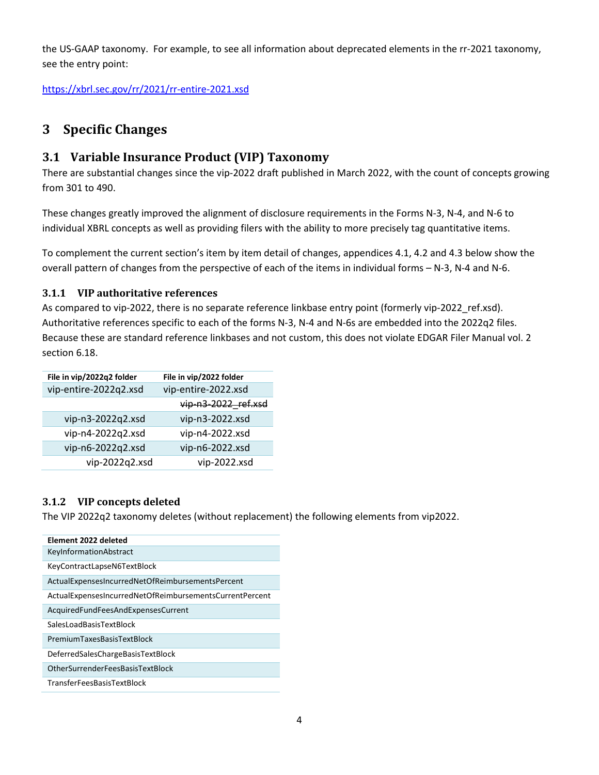the US-GAAP taxonomy. For example, to see all information about deprecated elements in the rr-2021 taxonomy, see the entry point:

<https://xbrl.sec.gov/rr/2021/rr-entire-2021.xsd>

# <span id="page-3-0"></span>**3 Specific Changes**

## <span id="page-3-1"></span>**3.1 Variable Insurance Product (VIP) Taxonomy**

There are substantial changes since the vip-2022 draft published in March 2022, with the count of concepts growing from 301 to 490.

These changes greatly improved the alignment of disclosure requirements in the Forms N-3, N-4, and N-6 to individual XBRL concepts as well as providing filers with the ability to more precisely tag quantitative items.

To complement the current section's item by item detail of changes, appendices [4.1,](#page-11-1) [4.2](#page-17-0) and [4.3 below](#page-22-0) show the overall pattern of changes from the perspective of each of the items in individual forms – N-3, N-4 and N-6.

#### **3.1.1 VIP authoritative references**

As compared to vip-2022, there is no separate reference linkbase entry point (formerly vip-2022\_ref.xsd). Authoritative references specific to each of the forms N-3, N-4 and N-6s are embedded into the 2022q2 files. Because these are standard reference linkbases and not custom, this does not violate EDGAR Filer Manual vol. 2 section 6.18.

| File in vip/2022q2 folder | File in vip/2022 folder |
|---------------------------|-------------------------|
| vip-entire-2022q2.xsd     | vip-entire-2022.xsd     |
|                           | vip-n3-2022 ref.xsd     |
| vip-n3-2022q2.xsd         | vip-n3-2022.xsd         |
| vip-n4-2022q2.xsd         | vip-n4-2022.xsd         |
| vip-n6-2022q2.xsd         | vip-n6-2022.xsd         |
| vip-2022q2.xsd            | vip-2022.xsd            |

#### **3.1.2 VIP concepts deleted**

The VIP 2022q2 taxonomy deletes (without replacement) the following elements from vip2022.

| Element 2022 deleted                                    |
|---------------------------------------------------------|
| KeyInformationAbstract                                  |
| KeyContractLapseN6TextBlock                             |
| ActualExpensesIncurredNetOfReimbursementsPercent        |
| ActualExpensesIncurredNetOfReimbursementsCurrentPercent |
| AcquiredFundFeesAndExpensesCurrent                      |
| SalesLoadBasisTextBlock                                 |
| PremiumTaxesBasisTextBlock                              |
| DeferredSalesChargeBasisTextBlock                       |
| OtherSurrenderFeesBasisTextBlock                        |
| TransferFeesBasisTextBlock                              |
|                                                         |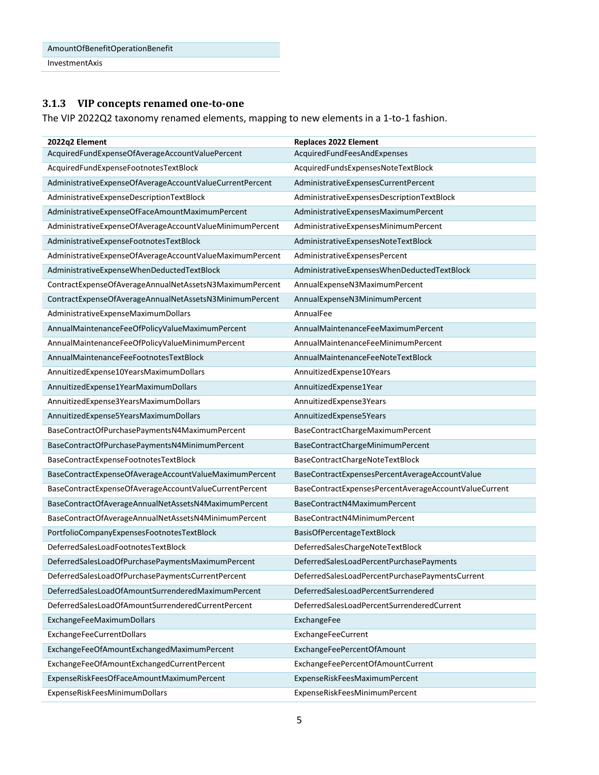#### **3.1.3 VIP concepts renamed one-to-one**

The VIP 2022Q2 taxonomy renamed elements, mapping to new elements in a 1-to-1 fashion.

| 2022q2 Element                                           | <b>Replaces 2022 Element</b>                          |
|----------------------------------------------------------|-------------------------------------------------------|
| AcquiredFundExpenseOfAverageAccountValuePercent          | AcquiredFundFeesAndExpenses                           |
| AcquiredFundExpenseFootnotesTextBlock                    | AcquiredFundsExpensesNoteTextBlock                    |
| AdministrativeExpenseOfAverageAccountValueCurrentPercent | AdministrativeExpensesCurrentPercent                  |
| AdministrativeExpenseDescriptionTextBlock                | AdministrativeExpensesDescriptionTextBlock            |
| AdministrativeExpenseOfFaceAmountMaximumPercent          | AdministrativeExpensesMaximumPercent                  |
| AdministrativeExpenseOfAverageAccountValueMinimumPercent | AdministrativeExpensesMinimumPercent                  |
| AdministrativeExpenseFootnotesTextBlock                  | AdministrativeExpensesNoteTextBlock                   |
| AdministrativeExpenseOfAverageAccountValueMaximumPercent | AdministrativeExpensesPercent                         |
| AdministrativeExpenseWhenDeductedTextBlock               | AdministrativeExpensesWhenDeductedTextBlock           |
| ContractExpenseOfAverageAnnualNetAssetsN3MaximumPercent  | AnnualExpenseN3MaximumPercent                         |
| ContractExpenseOfAverageAnnualNetAssetsN3MinimumPercent  | AnnualExpenseN3MinimumPercent                         |
| AdministrativeExpenseMaximumDollars                      | AnnualFee                                             |
| AnnualMaintenanceFeeOfPolicyValueMaximumPercent          | AnnualMaintenanceFeeMaximumPercent                    |
| AnnualMaintenanceFeeOfPolicyValueMinimumPercent          | AnnualMaintenanceFeeMinimumPercent                    |
| AnnualMaintenanceFeeFootnotesTextBlock                   | AnnualMaintenanceFeeNoteTextBlock                     |
| AnnuitizedExpense10YearsMaximumDollars                   | AnnuitizedExpense10Years                              |
| AnnuitizedExpense1YearMaximumDollars                     | AnnuitizedExpense1Year                                |
| AnnuitizedExpense3YearsMaximumDollars                    | AnnuitizedExpense3Years                               |
| AnnuitizedExpense5YearsMaximumDollars                    | AnnuitizedExpense5Years                               |
| BaseContractOfPurchasePaymentsN4MaximumPercent           | BaseContractChargeMaximumPercent                      |
| BaseContractOfPurchasePaymentsN4MinimumPercent           | BaseContractChargeMinimumPercent                      |
| BaseContractExpenseFootnotesTextBlock                    | BaseContractChargeNoteTextBlock                       |
| BaseContractExpenseOfAverageAccountValueMaximumPercent   | BaseContractExpensesPercentAverageAccountValue        |
| BaseContractExpenseOfAverageAccountValueCurrentPercent   | BaseContractExpensesPercentAverageAccountValueCurrent |
| BaseContractOfAverageAnnualNetAssetsN4MaximumPercent     | BaseContractN4MaximumPercent                          |
| BaseContractOfAverageAnnualNetAssetsN4MinimumPercent     | BaseContractN4MinimumPercent                          |
| PortfolioCompanyExpensesFootnotesTextBlock               | BasisOfPercentageTextBlock                            |
| DeferredSalesLoadFootnotesTextBlock                      | DeferredSalesChargeNoteTextBlock                      |
| DeferredSalesLoadOfPurchasePaymentsMaximumPercent        | DeferredSalesLoadPercentPurchasePayments              |
| DeferredSalesLoadOfPurchasePaymentsCurrentPercent        | DeferredSalesLoadPercentPurchasePaymentsCurrent       |
| DeferredSalesLoadOfAmountSurrenderedMaximumPercent       | DeferredSalesLoadPercentSurrendered                   |
| DeferredSalesLoadOfAmountSurrenderedCurrentPercent       | DeferredSalesLoadPercentSurrenderedCurrent            |
| ExchangeFeeMaximumDollars                                | ExchangeFee                                           |
| <b>ExchangeFeeCurrentDollars</b>                         | ExchangeFeeCurrent                                    |
| ExchangeFeeOfAmountExchangedMaximumPercent               | ExchangeFeePercentOfAmount                            |
| ExchangeFeeOfAmountExchangedCurrentPercent               | ExchangeFeePercentOfAmountCurrent                     |
| ExpenseRiskFeesOfFaceAmountMaximumPercent                | ExpenseRiskFeesMaximumPercent                         |
| ExpenseRiskFeesMinimumDollars                            | ExpenseRiskFeesMinimumPercent                         |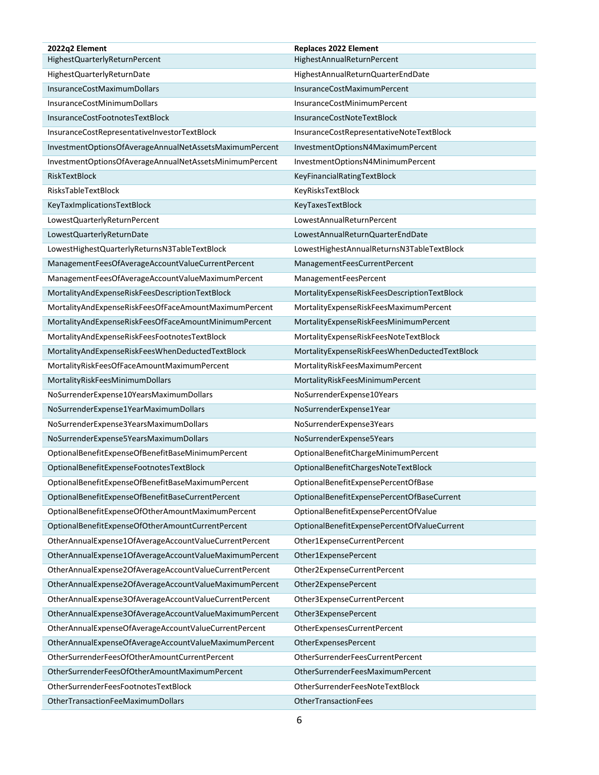| 2022q2 Element                                          | <b>Replaces 2022 Element</b>                  |
|---------------------------------------------------------|-----------------------------------------------|
| HighestQuarterlyReturnPercent                           | HighestAnnualReturnPercent                    |
| HighestQuarterlyReturnDate                              | HighestAnnualReturnQuarterEndDate             |
| InsuranceCostMaximumDollars                             | InsuranceCostMaximumPercent                   |
| InsuranceCostMinimumDollars                             | InsuranceCostMinimumPercent                   |
| InsuranceCostFootnotesTextBlock                         | InsuranceCostNoteTextBlock                    |
| InsuranceCostRepresentativeInvestorTextBlock            | InsuranceCostRepresentativeNoteTextBlock      |
| InvestmentOptionsOfAverageAnnualNetAssetsMaximumPercent | InvestmentOptionsN4MaximumPercent             |
| InvestmentOptionsOfAverageAnnualNetAssetsMinimumPercent | InvestmentOptionsN4MinimumPercent             |
| <b>RiskTextBlock</b>                                    | KeyFinancialRatingTextBlock                   |
| RisksTableTextBlock                                     | KeyRisksTextBlock                             |
| KeyTaxImplicationsTextBlock                             | KeyTaxesTextBlock                             |
| LowestQuarterlyReturnPercent                            | LowestAnnualReturnPercent                     |
| LowestQuarterlyReturnDate                               | LowestAnnualReturnQuarterEndDate              |
| LowestHighestQuarterlyReturnsN3TableTextBlock           | LowestHighestAnnualReturnsN3TableTextBlock    |
| ManagementFeesOfAverageAccountValueCurrentPercent       | ManagementFeesCurrentPercent                  |
| ManagementFeesOfAverageAccountValueMaximumPercent       | ManagementFeesPercent                         |
| MortalityAndExpenseRiskFeesDescriptionTextBlock         | MortalityExpenseRiskFeesDescriptionTextBlock  |
| MortalityAndExpenseRiskFeesOfFaceAmountMaximumPercent   | MortalityExpenseRiskFeesMaximumPercent        |
| MortalityAndExpenseRiskFeesOfFaceAmountMinimumPercent   | MortalityExpenseRiskFeesMinimumPercent        |
| MortalityAndExpenseRiskFeesFootnotesTextBlock           | MortalityExpenseRiskFeesNoteTextBlock         |
| MortalityAndExpenseRiskFeesWhenDeductedTextBlock        | MortalityExpenseRiskFeesWhenDeductedTextBlock |
| MortalityRiskFeesOfFaceAmountMaximumPercent             | MortalityRiskFeesMaximumPercent               |
| MortalityRiskFeesMinimumDollars                         | MortalityRiskFeesMinimumPercent               |
| NoSurrenderExpense10YearsMaximumDollars                 | NoSurrenderExpense10Years                     |
| NoSurrenderExpense1YearMaximumDollars                   | NoSurrenderExpense1Year                       |
| NoSurrenderExpense3YearsMaximumDollars                  | NoSurrenderExpense3Years                      |
| NoSurrenderExpense5YearsMaximumDollars                  | NoSurrenderExpense5Years                      |
| OptionalBenefitExpenseOfBenefitBaseMinimumPercent       | OptionalBenefitChargeMinimumPercent           |
| OptionalBenefitExpenseFootnotesTextBlock                | OptionalBenefitChargesNoteTextBlock           |
| OptionalBenefitExpenseOfBenefitBaseMaximumPercent       | OptionalBenefitExpensePercentOfBase           |
| OptionalBenefitExpenseOfBenefitBaseCurrentPercent       | OptionalBenefitExpensePercentOfBaseCurrent    |
| OptionalBenefitExpenseOfOtherAmountMaximumPercent       | OptionalBenefitExpensePercentOfValue          |
| OptionalBenefitExpenseOfOtherAmountCurrentPercent       | OptionalBenefitExpensePercentOfValueCurrent   |
| OtherAnnualExpense1OfAverageAccountValueCurrentPercent  | Other1ExpenseCurrentPercent                   |
| OtherAnnualExpense1OfAverageAccountValueMaximumPercent  | Other1ExpensePercent                          |
| OtherAnnualExpense2OfAverageAccountValueCurrentPercent  |                                               |
|                                                         | Other2ExpenseCurrentPercent                   |
| OtherAnnualExpense2OfAverageAccountValueMaximumPercent  | Other2ExpensePercent                          |
| OtherAnnualExpense3OfAverageAccountValueCurrentPercent  | Other3ExpenseCurrentPercent                   |
| OtherAnnualExpense3OfAverageAccountValueMaximumPercent  | Other3ExpensePercent                          |
| OtherAnnualExpenseOfAverageAccountValueCurrentPercent   | OtherExpensesCurrentPercent                   |
| OtherAnnualExpenseOfAverageAccountValueMaximumPercent   | OtherExpensesPercent                          |
| OtherSurrenderFeesOfOtherAmountCurrentPercent           | OtherSurrenderFeesCurrentPercent              |
| OtherSurrenderFeesOfOtherAmountMaximumPercent           | OtherSurrenderFeesMaximumPercent              |
| OtherSurrenderFeesFootnotesTextBlock                    | OtherSurrenderFeesNoteTextBlock               |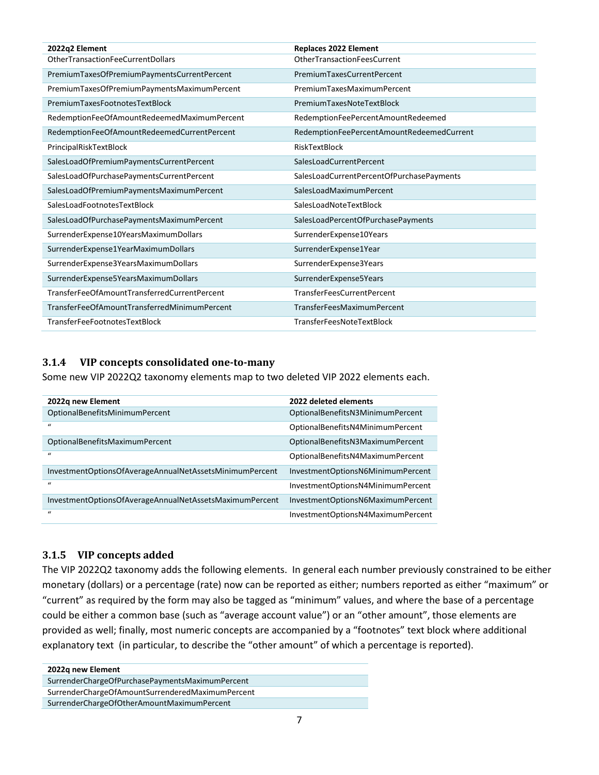| 2022q2 Element                               | <b>Replaces 2022 Element</b>              |
|----------------------------------------------|-------------------------------------------|
| OtherTransactionFeeCurrentDollars            | OtherTransactionFeesCurrent               |
| PremiumTaxesOfPremiumPaymentsCurrentPercent  | PremiumTaxesCurrentPercent                |
| PremiumTaxesOfPremiumPaymentsMaximumPercent  | PremiumTaxesMaximumPercent                |
| PremiumTaxesFootnotesTextBlock               | PremiumTaxesNoteTextBlock                 |
| RedemptionFeeOfAmountRedeemedMaximumPercent  | RedemptionFeePercentAmountRedeemed        |
| RedemptionFeeOfAmountRedeemedCurrentPercent  | RedemptionFeePercentAmountRedeemedCurrent |
| PrincipalRiskTextBlock                       | RiskTextBlock                             |
| SalesLoadOfPremiumPaymentsCurrentPercent     | SalesLoadCurrentPercent                   |
| SalesLoadOfPurchasePaymentsCurrentPercent    | SalesLoadCurrentPercentOfPurchasePayments |
| SalesLoadOfPremiumPaymentsMaximumPercent     | SalesLoadMaximumPercent                   |
| SalesLoadFootnotesTextBlock                  | SalesLoadNoteTextBlock                    |
| SalesLoadOfPurchasePaymentsMaximumPercent    | SalesLoadPercentOfPurchasePayments        |
| SurrenderExpense10YearsMaximumDollars        | SurrenderExpense10Years                   |
| SurrenderExpense1YearMaximumDollars          | SurrenderExpense1Year                     |
| SurrenderExpense3YearsMaximumDollars         | SurrenderExpense3Years                    |
| SurrenderExpense5YearsMaximumDollars         | SurrenderExpense5Years                    |
| TransferFeeOfAmountTransferredCurrentPercent | <b>TransferFeesCurrentPercent</b>         |
| TransferFeeOfAmountTransferredMinimumPercent | TransferFeesMaximumPercent                |
| TransferFeeFootnotesTextBlock                | TransferFeesNoteTextBlock                 |

#### **3.1.4 VIP concepts consolidated one-to-many**

Some new VIP 2022Q2 taxonomy elements map to two deleted VIP 2022 elements each.

| 2022q new Element                                       | 2022 deleted elements             |
|---------------------------------------------------------|-----------------------------------|
| OptionalBenefitsMinimumPercent                          | OptionalBenefitsN3MinimumPercent  |
| $\mathbf{u}$                                            | OptionalBenefitsN4MinimumPercent  |
| OptionalBenefitsMaximumPercent                          | OptionalBenefitsN3MaximumPercent  |
| $\bf{u}$                                                | OptionalBenefitsN4MaximumPercent  |
| InvestmentOptionsOfAverageAnnualNetAssetsMinimumPercent | InvestmentOptionsN6MinimumPercent |
| $\mathbf{u}$                                            | InvestmentOptionsN4MinimumPercent |
| InvestmentOptionsOfAverageAnnualNetAssetsMaximumPercent | InvestmentOptionsN6MaximumPercent |
| $\mathbf{u}$                                            | InvestmentOptionsN4MaximumPercent |

#### **3.1.5 VIP concepts added**

The VIP 2022Q2 taxonomy adds the following elements. In general each number previously constrained to be either monetary (dollars) or a percentage (rate) now can be reported as either; numbers reported as either "maximum" or "current" as required by the form may also be tagged as "minimum" values, and where the base of a percentage could be either a common base (such as "average account value") or an "other amount", those elements are provided as well; finally, most numeric concepts are accompanied by a "footnotes" text block where additional explanatory text (in particular, to describe the "other amount" of which a percentage is reported).

| 2022q new Element                                |
|--------------------------------------------------|
| SurrenderChargeOfPurchasePaymentsMaximumPercent  |
| SurrenderChargeOfAmountSurrenderedMaximumPercent |
| SurrenderChargeOfOtherAmountMaximumPercent       |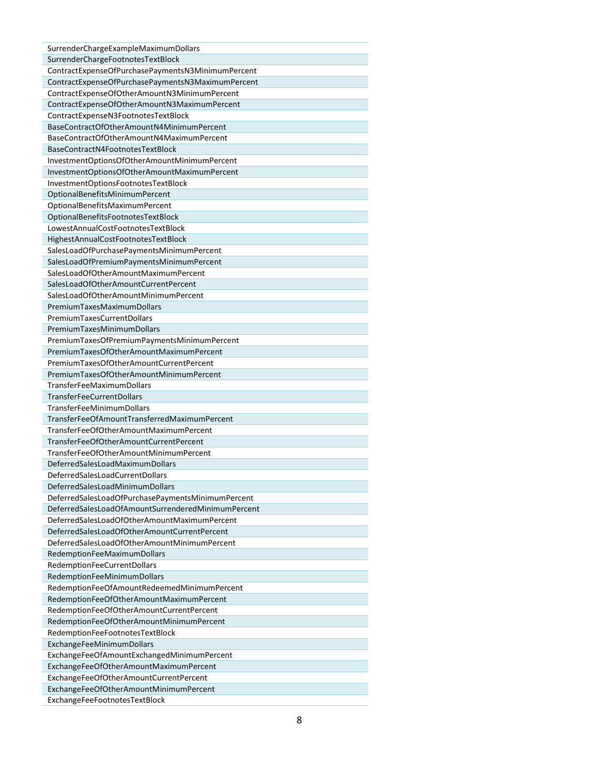| SurrenderChargeExampleMaximumDollars                                      |
|---------------------------------------------------------------------------|
| SurrenderChargeFootnotesTextBlock                                         |
| ContractExpenseOfPurchasePaymentsN3MinimumPercent                         |
| ContractExpenseOfPurchasePaymentsN3MaximumPercent                         |
| ContractExpenseOfOtherAmountN3MinimumPercent                              |
| ContractExpenseOfOtherAmountN3MaximumPercent                              |
| ContractExpenseN3FootnotesTextBlock                                       |
| BaseContractOfOtherAmountN4MinimumPercent                                 |
| BaseContractOfOtherAmountN4MaximumPercent                                 |
| BaseContractN4FootnotesTextBlock                                          |
| InvestmentOptionsOfOtherAmountMinimumPercent                              |
| InvestmentOptionsOfOtherAmountMaximumPercent                              |
| InvestmentOptionsFootnotesTextBlock                                       |
| OptionalBenefitsMinimumPercent                                            |
| OptionalBenefitsMaximumPercent                                            |
| OptionalBenefitsFootnotesTextBlock                                        |
| LowestAnnualCostFootnotesTextBlock                                        |
| HighestAnnualCostFootnotesTextBlock                                       |
| SalesLoadOfPurchasePaymentsMinimumPercent                                 |
| SalesLoadOfPremiumPaymentsMinimumPercent                                  |
| SalesLoadOfOtherAmountMaximumPercent                                      |
| SalesLoadOfOtherAmountCurrentPercent                                      |
| SalesLoadOfOtherAmountMinimumPercent                                      |
| PremiumTaxesMaximumDollars                                                |
| PremiumTaxesCurrentDollars                                                |
| PremiumTaxesMinimumDollars<br>PremiumTaxesOfPremiumPaymentsMinimumPercent |
| PremiumTaxesOfOtherAmountMaximumPercent                                   |
| PremiumTaxesOfOtherAmountCurrentPercent                                   |
| PremiumTaxesOfOtherAmountMinimumPercent                                   |
| <b>TransferFeeMaximumDollars</b>                                          |
| <b>TransferFeeCurrentDollars</b>                                          |
| <b>TransferFeeMinimumDollars</b>                                          |
| TransferFeeOfAmountTransferredMaximumPercent                              |
| TransferFeeOfOtherAmountMaximumPercent                                    |
| TransferFeeOfOtherAmountCurrentPercent                                    |
| TransferFeeOfOtherAmountMinimumPercent                                    |
| DeferredSalesLoadMaximumDollars                                           |
| DeferredSalesLoadCurrentDollars                                           |
| DeferredSalesLoadMinimumDollars                                           |
| DeferredSalesLoadOfPurchasePaymentsMinimumPercent                         |
| DeferredSalesLoadOfAmountSurrenderedMinimumPercent                        |
| DeferredSalesLoadOfOtherAmountMaximumPercent                              |
| DeferredSalesLoadOfOtherAmountCurrentPercent                              |
| DeferredSalesLoadOfOtherAmountMinimumPercent                              |
| RedemptionFeeMaximumDollars                                               |
| RedemptionFeeCurrentDollars                                               |
| RedemptionFeeMinimumDollars                                               |
| RedemptionFeeOfAmountRedeemedMinimumPercent                               |
| RedemptionFeeOfOtherAmountMaximumPercent                                  |
| RedemptionFeeOfOtherAmountCurrentPercent                                  |
| RedemptionFeeOfOtherAmountMinimumPercent                                  |
| RedemptionFeeFootnotesTextBlock                                           |
| ExchangeFeeMinimumDollars                                                 |
| ExchangeFeeOfAmountExchangedMinimumPercent                                |
| ExchangeFeeOfOtherAmountMaximumPercent                                    |
| ExchangeFeeOfOtherAmountCurrentPercent                                    |
| ExchangeFeeOfOtherAmountMinimumPercent                                    |
| ExchangeFeeFootnotesTextBlock                                             |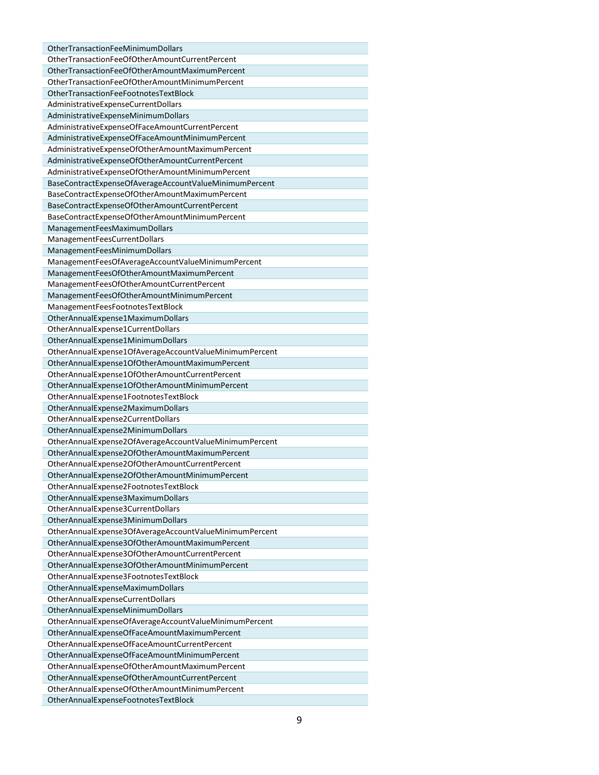| OtherTransactionFeeMinimumDollars                      |
|--------------------------------------------------------|
| OtherTransactionFeeOfOtherAmountCurrentPercent         |
| OtherTransactionFeeOfOtherAmountMaximumPercent         |
| OtherTransactionFeeOfOtherAmountMinimumPercent         |
| OtherTransactionFeeFootnotesTextBlock                  |
| AdministrativeExpenseCurrentDollars                    |
| AdministrativeExpenseMinimumDollars                    |
| AdministrativeExpenseOfFaceAmountCurrentPercent        |
| AdministrativeExpenseOfFaceAmountMinimumPercent        |
| AdministrativeExpenseOfOtherAmountMaximumPercent       |
| AdministrativeExpenseOfOtherAmountCurrentPercent       |
| AdministrativeExpenseOfOtherAmountMinimumPercent       |
| BaseContractExpenseOfAverageAccountValueMinimumPercent |
| BaseContractExpenseOfOtherAmountMaximumPercent         |
| BaseContractExpenseOfOtherAmountCurrentPercent         |
| BaseContractExpenseOfOtherAmountMinimumPercent         |
| ManagementFeesMaximumDollars                           |
| ManagementFeesCurrentDollars                           |
| ManagementFeesMinimumDollars                           |
| ManagementFeesOfAverageAccountValueMinimumPercent      |
| ManagementFeesOfOtherAmountMaximumPercent              |
| ManagementFeesOfOtherAmountCurrentPercent              |
| ManagementFeesOfOtherAmountMinimumPercent              |
| ManagementFeesFootnotesTextBlock                       |
| OtherAnnualExpense1MaximumDollars                      |
| OtherAnnualExpense1CurrentDollars                      |
| OtherAnnualExpense1MinimumDollars                      |
| OtherAnnualExpense1OfAverageAccountValueMinimumPercent |
| OtherAnnualExpense1OfOtherAmountMaximumPercent         |
| OtherAnnualExpense1OfOtherAmountCurrentPercent         |
| OtherAnnualExpense1OfOtherAmountMinimumPercent         |
| OtherAnnualExpense1FootnotesTextBlock                  |
| OtherAnnualExpense2MaximumDollars                      |
| OtherAnnualExpense2CurrentDollars                      |
| OtherAnnualExpense2MinimumDollars                      |
| OtherAnnualExpense2OfAverageAccountValueMinimumPercent |
| OtherAnnualExpense2OfOtherAmountMaximumPercent         |
| OtherAnnualExpense2OfOtherAmountCurrentPercent         |
| OtherAnnualExpense2OfOtherAmountMinimumPercent         |
| OtherAnnualExpense2FootnotesTextBlock                  |
| OtherAnnualExpense3MaximumDollars                      |
| OtherAnnualExpense3CurrentDollars                      |
| OtherAnnualExpense3MinimumDollars                      |
| OtherAnnualExpense3OfAverageAccountValueMinimumPercent |
| OtherAnnualExpense3OfOtherAmountMaximumPercent         |
| OtherAnnualExpense3OfOtherAmountCurrentPercent         |
| OtherAnnualExpense3OfOtherAmountMinimumPercent         |
| OtherAnnualExpense3FootnotesTextBlock                  |
| OtherAnnualExpenseMaximumDollars                       |
| OtherAnnualExpenseCurrentDollars                       |
| OtherAnnualExpenseMinimumDollars                       |
| OtherAnnualExpenseOfAverageAccountValueMinimumPercent  |
| OtherAnnualExpenseOfFaceAmountMaximumPercent           |
| OtherAnnualExpenseOfFaceAmountCurrentPercent           |
| OtherAnnualExpenseOfFaceAmountMinimumPercent           |
| OtherAnnualExpenseOfOtherAmountMaximumPercent          |
| OtherAnnualExpenseOfOtherAmountCurrentPercent          |
| OtherAnnualExpenseOfOtherAmountMinimumPercent          |
| OtherAnnualExpenseFootnotesTextBlock                   |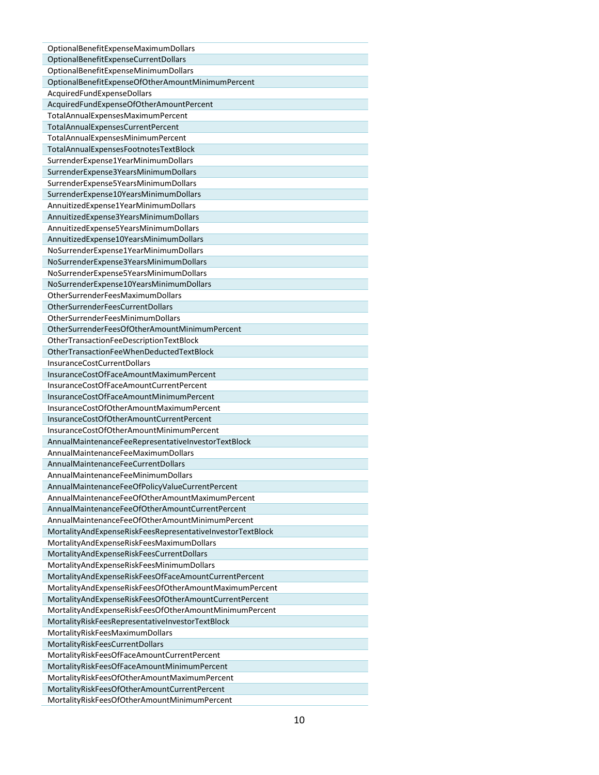| OptionalBenefitExpenseMaximumDollars                                                               |
|----------------------------------------------------------------------------------------------------|
| OptionalBenefitExpenseCurrentDollars                                                               |
| OptionalBenefitExpenseMinimumDollars                                                               |
| OptionalBenefitExpenseOfOtherAmountMinimumPercent                                                  |
| AcquiredFundExpenseDollars                                                                         |
| AcquiredFundExpenseOfOtherAmountPercent                                                            |
| TotalAnnualExpensesMaximumPercent                                                                  |
| TotalAnnualExpensesCurrentPercent                                                                  |
| TotalAnnualExpensesMinimumPercent                                                                  |
| TotalAnnualExpensesFootnotesTextBlock                                                              |
| SurrenderExpense1YearMinimumDollars                                                                |
| SurrenderExpense3YearsMinimumDollars                                                               |
| SurrenderExpense5YearsMinimumDollars                                                               |
| SurrenderExpense10YearsMinimumDollars                                                              |
| AnnuitizedExpense1YearMinimumDollars                                                               |
| AnnuitizedExpense3YearsMinimumDollars                                                              |
| AnnuitizedExpense5YearsMinimumDollars                                                              |
| AnnuitizedExpense10YearsMinimumDollars                                                             |
| NoSurrenderExpense1YearMinimumDollars                                                              |
| NoSurrenderExpense3YearsMinimumDollars                                                             |
| NoSurrenderExpense5YearsMinimumDollars                                                             |
| NoSurrenderExpense10YearsMinimumDollars                                                            |
| OtherSurrenderFeesMaximumDollars                                                                   |
| <b>OtherSurrenderFeesCurrentDollars</b>                                                            |
| OtherSurrenderFeesMinimumDollars                                                                   |
| OtherSurrenderFeesOfOtherAmountMinimumPercent                                                      |
| OtherTransactionFeeDescriptionTextBlock                                                            |
| OtherTransactionFeeWhenDeductedTextBlock                                                           |
| <b>InsuranceCostCurrentDollars</b>                                                                 |
| InsuranceCostOfFaceAmountMaximumPercent                                                            |
| InsuranceCostOfFaceAmountCurrentPercent                                                            |
| InsuranceCostOfFaceAmountMinimumPercent                                                            |
| InsuranceCostOfOtherAmountMaximumPercent                                                           |
| InsuranceCostOfOtherAmountCurrentPercent                                                           |
| InsuranceCostOfOtherAmountMinimumPercent                                                           |
| AnnualMaintenanceFeeRepresentativeInvestorTextBlock                                                |
| AnnualMaintenanceFeeMaximumDollars                                                                 |
| AnnualMaintenanceFeeCurrentDollars                                                                 |
| AnnualMaintenanceFeeMinimumDollars                                                                 |
| AnnualMaintenanceFeeOfPolicyValueCurrentPercent                                                    |
| AnnualMaintenanceFeeOfOtherAmountMaximumPercent                                                    |
| AnnualMaintenanceFeeOfOtherAmountCurrentPercent                                                    |
| AnnualMaintenanceFeeOfOtherAmountMinimumPercent                                                    |
| MortalityAndExpenseRiskFeesRepresentativeInvestorTextBlock                                         |
| MortalityAndExpenseRiskFeesMaximumDollars                                                          |
| MortalityAndExpenseRiskFeesCurrentDollars                                                          |
| MortalityAndExpenseRiskFeesMinimumDollars<br>MortalityAndExpenseRiskFeesOfFaceAmountCurrentPercent |
| MortalityAndExpenseRiskFeesOfOtherAmountMaximumPercent                                             |
| MortalityAndExpenseRiskFeesOfOtherAmountCurrentPercent                                             |
| MortalityAndExpenseRiskFeesOfOtherAmountMinimumPercent                                             |
| MortalityRiskFeesRepresentativeInvestorTextBlock                                                   |
| MortalityRiskFeesMaximumDollars                                                                    |
| MortalityRiskFeesCurrentDollars                                                                    |
| MortalityRiskFeesOfFaceAmountCurrentPercent                                                        |
| MortalityRiskFeesOfFaceAmountMinimumPercent                                                        |
| MortalityRiskFeesOfOtherAmountMaximumPercent                                                       |
| MortalityRiskFeesOfOtherAmountCurrentPercent                                                       |
|                                                                                                    |
| MortalityRiskFeesOfOtherAmountMinimumPercent                                                       |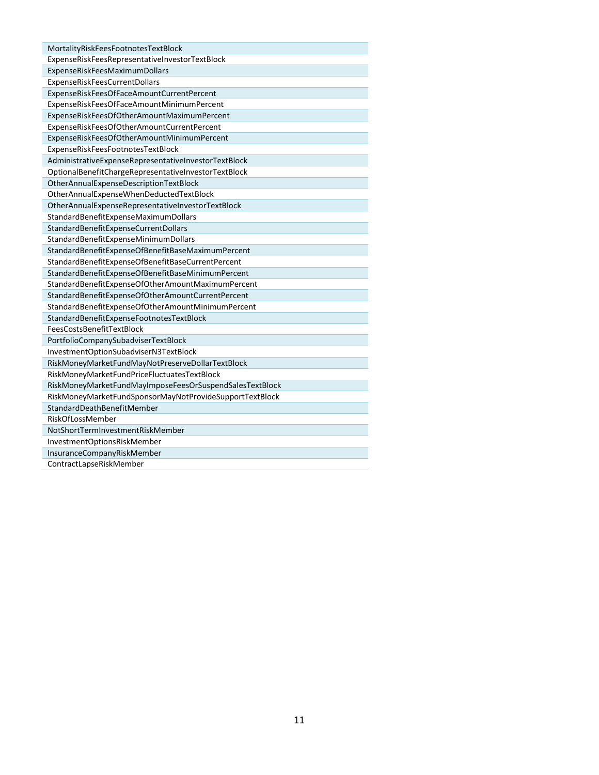| MortalityRiskFeesFootnotesTextBlock                     |
|---------------------------------------------------------|
| ExpenseRiskFeesRepresentativeInvestorTextBlock          |
| ExpenseRiskFeesMaximumDollars                           |
| ExpenseRiskFeesCurrentDollars                           |
| ExpenseRiskFeesOfFaceAmountCurrentPercent               |
| ExpenseRiskFeesOfFaceAmountMinimumPercent               |
| ExpenseRiskFeesOfOtherAmountMaximumPercent              |
| ExpenseRiskFeesOfOtherAmountCurrentPercent              |
| ExpenseRiskFeesOfOtherAmountMinimumPercent              |
| ExpenseRiskFeesFootnotesTextBlock                       |
| AdministrativeExpenseRepresentativeInvestorTextBlock    |
| OptionalBenefitChargeRepresentativeInvestorTextBlock    |
| OtherAnnualExpenseDescriptionTextBlock                  |
| OtherAnnualExpenseWhenDeductedTextBlock                 |
| OtherAnnualExpenseRepresentativeInvestorTextBlock       |
| StandardBenefitExpenseMaximumDollars                    |
| StandardBenefitExpenseCurrentDollars                    |
| StandardBenefitExpenseMinimumDollars                    |
| StandardBenefitExpenseOfBenefitBaseMaximumPercent       |
| StandardBenefitExpenseOfBenefitBaseCurrentPercent       |
| StandardBenefitExpenseOfBenefitBaseMinimumPercent       |
| StandardBenefitExpenseOfOtherAmountMaximumPercent       |
| StandardBenefitExpenseOfOtherAmountCurrentPercent       |
| StandardBenefitExpenseOfOtherAmountMinimumPercent       |
| StandardBenefitExpenseFootnotesTextBlock                |
| FeesCostsBenefitTextBlock                               |
| PortfolioCompanySubadviserTextBlock                     |
| InvestmentOptionSubadviserN3TextBlock                   |
| RiskMoneyMarketFundMayNotPreserveDollarTextBlock        |
| RiskMoneyMarketFundPriceFluctuatesTextBlock             |
| RiskMoneyMarketFundMayImposeFeesOrSuspendSalesTextBlock |
| RiskMoneyMarketFundSponsorMayNotProvideSupportTextBlock |
| StandardDeathBenefitMember                              |
| RiskOfLossMember                                        |
| NotShortTermInvestmentRiskMember                        |
| InvestmentOptionsRiskMember                             |
| InsuranceCompanyRiskMember                              |
| ContractLapseRiskMember                                 |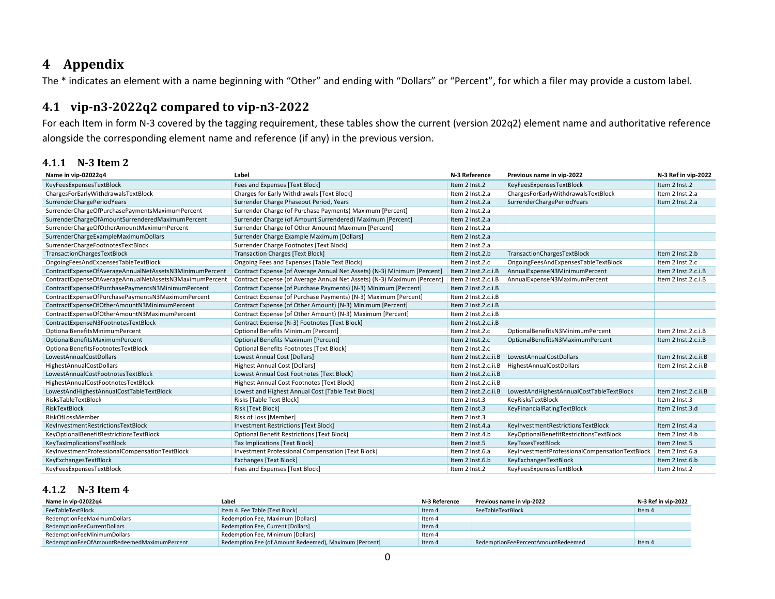## **4 Appendix**

The \* indicates an element with a name beginning with "Other" and ending with "Dollars" or "Percent", for which a filer may provide a custom label.

## **4.1 vip-n3-2022q2 compared to vip-n3-2022**

For each Item in form N-3 covered by the tagging requirement, these tables show the current (version 202q2) element name and authoritative reference alongside the corresponding element name and reference (if any) in the previous version.

#### **4.1.1 N-3 Item 2**

<span id="page-11-1"></span><span id="page-11-0"></span>

| Name in vip-02022q4                                     | Label                                                                   | N-3 Reference        | Previous name in vip-2022                      | N-3 Ref in vip-2022    |
|---------------------------------------------------------|-------------------------------------------------------------------------|----------------------|------------------------------------------------|------------------------|
| KeyFeesExpensesTextBlock                                | Fees and Expenses [Text Block]                                          | Item 2 Inst.2        | KeyFeesExpensesTextBlock                       | Item 2 Inst.2          |
| ChargesForEarlyWithdrawalsTextBlock                     | Charges for Early Withdrawals [Text Block]                              | Item 2 Inst.2.a      | ChargesForEarlyWithdrawalsTextBlock            | Item 2 Inst.2.a        |
| SurrenderChargePeriodYears                              | Surrender Charge Phaseout Period, Years                                 | Item 2 Inst.2.a      | SurrenderChargePeriodYears                     | Item 2 Inst.2.a        |
| SurrenderChargeOfPurchasePaymentsMaximumPercent         | Surrender Charge (of Purchase Payments) Maximum [Percent]               | Item 2 Inst.2.a      |                                                |                        |
| SurrenderChargeOfAmountSurrenderedMaximumPercent        | Surrender Charge (of Amount Surrendered) Maximum [Percent]              | Item 2 Inst.2.a      |                                                |                        |
| SurrenderChargeOfOtherAmountMaximumPercent              | Surrender Charge (of Other Amount) Maximum [Percent]                    | Item 2 Inst.2.a      |                                                |                        |
| SurrenderChargeExampleMaximumDollars                    | Surrender Charge Example Maximum [Dollars]                              | Item 2 Inst.2.a      |                                                |                        |
| SurrenderChargeFootnotesTextBlock                       | Surrender Charge Footnotes [Text Block]                                 | Item 2 Inst.2.a      |                                                |                        |
| TransactionChargesTextBlock                             | <b>Transaction Charges [Text Block]</b>                                 | Item 2 Inst.2.b      | TransactionChargesTextBlock                    | Item 2 Inst.2.b        |
| OngoingFeesAndExpensesTableTextBlock                    | Ongoing Fees and Expenses [Table Text Block]                            | Item 2 Inst.2.c      | OngoingFeesAndExpensesTableTextBlock           | Item 2 Inst.2.c        |
| ContractExpenseOfAverageAnnualNetAssetsN3MinimumPercent | Contract Expense (of Average Annual Net Assets) (N-3) Minimum [Percent] | Item 2 Inst.2.c.i.B  | AnnualExpenseN3MinimumPercent                  | Item 2 Inst.2.c.i.B    |
| ContractExpenseOfAverageAnnualNetAssetsN3MaximumPercent | Contract Expense (of Average Annual Net Assets) (N-3) Maximum [Percent] | Item 2 Inst.2.c.i.B  | AnnualExpenseN3MaximumPercent                  | Item 2 Inst.2.c.i.B    |
| ContractExpenseOfPurchasePaymentsN3MinimumPercent       | Contract Expense (of Purchase Payments) (N-3) Minimum [Percent]         | Item 2 Inst.2.c.i.B  |                                                |                        |
| ContractExpenseOfPurchasePaymentsN3MaximumPercent       | Contract Expense (of Purchase Payments) (N-3) Maximum [Percent]         | Item 2 Inst.2.c.i.B  |                                                |                        |
| ContractExpenseOfOtherAmountN3MinimumPercent            | Contract Expense (of Other Amount) (N-3) Minimum [Percent]              | Item 2 Inst.2.c.i.B  |                                                |                        |
| ContractExpenseOfOtherAmountN3MaximumPercent            | Contract Expense (of Other Amount) (N-3) Maximum [Percent]              | Item 2 Inst.2.c.i.B  |                                                |                        |
| ContractExpenseN3FootnotesTextBlock                     | Contract Expense (N-3) Footnotes [Text Block]                           | Item 2 Inst.2.c.i.B  |                                                |                        |
| OptionalBenefitsMinimumPercent                          | <b>Optional Benefits Minimum [Percent]</b>                              | Item 2 Inst.2.c      | OptionalBenefitsN3MinimumPercent               | Item 2 Inst.2.c.i.B    |
| OptionalBenefitsMaximumPercent                          | <b>Optional Benefits Maximum [Percent]</b>                              | Item 2 Inst.2.c      | OptionalBenefitsN3MaximumPercent               | Item 2 Inst.2.c.i.B    |
| OptionalBenefitsFootnotesTextBlock                      | <b>Optional Benefits Footnotes [Text Block]</b>                         | Item 2 Inst.2.c      |                                                |                        |
| LowestAnnualCostDollars                                 | Lowest Annual Cost [Dollars]                                            | Item 2 Inst.2.c.ii.B | LowestAnnualCostDollars                        | Item 2 Inst. 2.c.ii. B |
| HighestAnnualCostDollars                                | Highest Annual Cost [Dollars]                                           | Item 2 Inst.2.c.ii.B | HighestAnnualCostDollars                       | Item 2 Inst.2.c.ii.B   |
| LowestAnnualCostFootnotesTextBlock                      | Lowest Annual Cost Footnotes [Text Block]                               | Item 2 Inst.2.c.ii.B |                                                |                        |
| HighestAnnualCostFootnotesTextBlock                     | Highest Annual Cost Footnotes [Text Block]                              | Item 2 Inst.2.c.ii.B |                                                |                        |
| LowestAndHighestAnnualCostTableTextBlock                | Lowest and Highest Annual Cost [Table Text Block]                       | Item 2 Inst.2.c.ii.B | LowestAndHighestAnnualCostTableTextBlock       | Item 2 Inst.2.c.ii.B   |
| RisksTableTextBlock                                     | Risks [Table Text Block]                                                | Item 2 Inst.3        | KeyRisksTextBlock                              | Item 2 Inst.3          |
| RiskTextBlock                                           | Risk [Text Block]                                                       | Item 2 Inst.3        | KeyFinancialRatingTextBlock                    | Item 2 Inst.3.d        |
| RiskOfLossMember                                        | Risk of Loss [Member]                                                   | Item 2 Inst.3        |                                                |                        |
| KeyInvestmentRestrictionsTextBlock                      | Investment Restrictions [Text Block]                                    | Item 2 Inst.4.a      | KeyInvestmentRestrictionsTextBlock             | Item 2 Inst.4.a        |
| KeyOptionalBenefitRestrictionsTextBlock                 | <b>Optional Benefit Restrictions [Text Block]</b>                       | Item 2 Inst.4.b      | KeyOptionalBenefitRestrictionsTextBlock        | Item 2 Inst.4.b        |
| KeyTaxImplicationsTextBlock                             | <b>Tax Implications [Text Block]</b>                                    | Item 2 Inst.5        | KeyTaxesTextBlock                              | Item 2 Inst.5          |
| KeyInvestmentProfessionalCompensationTextBlock          | <b>Investment Professional Compensation [Text Block]</b>                | Item 2 Inst.6.a      | KeyInvestmentProfessionalCompensationTextBlock | Item 2 Inst.6.a        |
| KeyExchangesTextBlock                                   | <b>Exchanges [Text Block]</b>                                           | Item 2 Inst.6.b      | KeyExchangesTextBlock                          | Item 2 Inst.6.b        |
| KeyFeesExpensesTextBlock                                | Fees and Expenses [Text Block]                                          | Item 2 Inst.2        | KeyFeesExpensesTextBlock                       | Item 2 Inst.2          |

#### **4.1.2 N-3 Item 4**

| Name in vip-02022q4                         | Label                                                  | N-3 Reference | Previous name in vip-2022          | N-3 Ref in vip-2022 |
|---------------------------------------------|--------------------------------------------------------|---------------|------------------------------------|---------------------|
| FeeTableTextBlock                           | Item 4. Fee Table [Text Block]                         | Item 4        | FeeTableTextBlock                  | Item 4              |
| RedemptionFeeMaximumDollars                 | Redemption Fee, Maximum [Dollars]                      | Item 4        |                                    |                     |
| RedemptionFeeCurrentDollars                 | Redemption Fee, Current [Dollars]                      | Item 4        |                                    |                     |
| RedemptionFeeMinimumDollars                 | Redemption Fee, Minimum [Dollars]                      | Item 4        |                                    |                     |
| RedemptionFeeOfAmountRedeemedMaximumPercent | Redemption Fee (of Amount Redeemed), Maximum [Percent] | Item 4        | RedemptionFeePercentAmountRedeemed | Item 4              |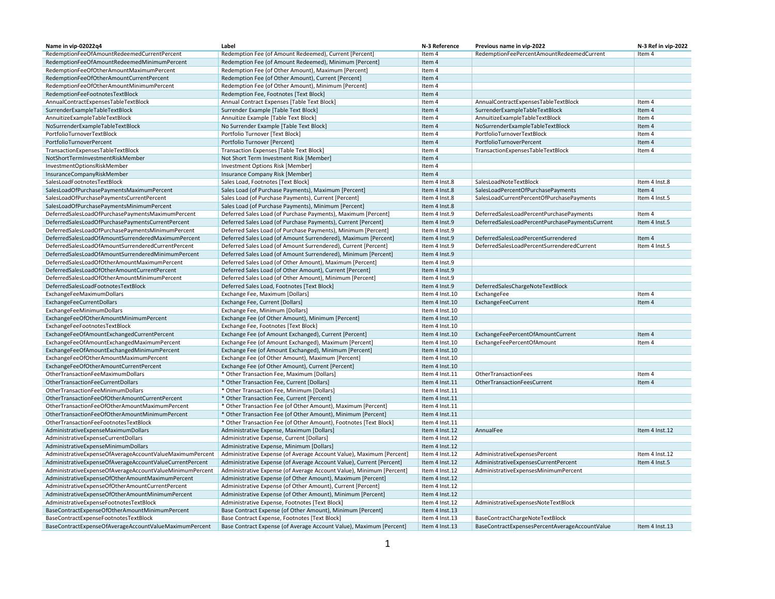| Name in vip-02022q4                                      | Label                                                                | N-3 Reference  | Previous name in vip-2022                       | N-3 Ref in vip-2022 |
|----------------------------------------------------------|----------------------------------------------------------------------|----------------|-------------------------------------------------|---------------------|
| RedemptionFeeOfAmountRedeemedCurrentPercent              | Redemption Fee (of Amount Redeemed), Current [Percent]               | Item 4         | RedemptionFeePercentAmountRedeemedCurrent       | Item 4              |
| RedemptionFeeOfAmountRedeemedMinimumPercent              | Redemption Fee (of Amount Redeemed), Minimum [Percent]               | Item 4         |                                                 |                     |
| RedemptionFeeOfOtherAmountMaximumPercent                 | Redemption Fee (of Other Amount), Maximum [Percent]                  | Item 4         |                                                 |                     |
| RedemptionFeeOfOtherAmountCurrentPercent                 | Redemption Fee (of Other Amount), Current [Percent]                  | Item 4         |                                                 |                     |
| RedemptionFeeOfOtherAmountMinimumPercent                 | Redemption Fee (of Other Amount), Minimum [Percent]                  | Item 4         |                                                 |                     |
| RedemptionFeeFootnotesTextBlock                          | Redemption Fee, Footnotes [Text Block]                               | Item 4         |                                                 |                     |
| AnnualContractExpensesTableTextBlock                     | Annual Contract Expenses [Table Text Block]                          | Item 4         | AnnualContractExpensesTableTextBlock            | Item 4              |
| SurrenderExampleTableTextBlock                           | Surrender Example [Table Text Block]                                 | Item 4         | SurrenderExampleTableTextBlock                  | Item 4              |
| AnnuitizeExampleTableTextBlock                           | Annuitize Example [Table Text Block]                                 | Item 4         | AnnuitizeExampleTableTextBlock                  | Item 4              |
| NoSurrenderExampleTableTextBlock                         | No Surrender Example [Table Text Block]                              | Item 4         | NoSurrenderExampleTableTextBlock                | Item 4              |
| PortfolioTurnoverTextBlock                               | Portfolio Turnover [Text Block]                                      | Item 4         | PortfolioTurnoverTextBlock                      | Item 4              |
| PortfolioTurnoverPercent                                 | Portfolio Turnover [Percent]                                         | Item 4         | PortfolioTurnoverPercent                        | Item 4              |
| TransactionExpensesTableTextBlock                        | Transaction Expenses [Table Text Block]                              | Item 4         | TransactionExpensesTableTextBlock               | Item 4              |
| NotShortTermInvestmentRiskMember                         | Not Short Term Investment Risk [Member]                              | Item 4         |                                                 |                     |
| InvestmentOptionsRiskMember                              | Investment Options Risk [Member]                                     | Item 4         |                                                 |                     |
| InsuranceCompanyRiskMember                               | Insurance Company Risk [Member]                                      | Item 4         |                                                 |                     |
| SalesLoadFootnotesTextBlock                              | Sales Load, Footnotes [Text Block]                                   | Item 4 Inst.8  | SalesLoadNoteTextBlock                          | Item 4 Inst.8       |
| SalesLoadOfPurchasePaymentsMaximumPercent                | Sales Load (of Purchase Payments), Maximum [Percent]                 | Item 4 Inst.8  | SalesLoadPercentOfPurchasePayments              | Item 4              |
| SalesLoadOfPurchasePaymentsCurrentPercent                | Sales Load (of Purchase Payments), Current [Percent]                 | Item 4 Inst.8  | SalesLoadCurrentPercentOfPurchasePayments       | Item 4 Inst.5       |
| SalesLoadOfPurchasePaymentsMinimumPercent                |                                                                      | Item 4 Inst.8  |                                                 |                     |
|                                                          | Sales Load (of Purchase Payments), Minimum [Percent]                 |                |                                                 |                     |
| DeferredSalesLoadOfPurchasePaymentsMaximumPercent        | Deferred Sales Load (of Purchase Payments), Maximum [Percent]        | Item 4 Inst.9  | DeferredSalesLoadPercentPurchasePayments        | Item 4              |
| DeferredSalesLoadOfPurchasePaymentsCurrentPercent        | Deferred Sales Load (of Purchase Payments), Current [Percent]        | Item 4 Inst.9  | DeferredSalesLoadPercentPurchasePaymentsCurrent | Item 4 Inst.5       |
| DeferredSalesLoadOfPurchasePaymentsMinimumPercent        | Deferred Sales Load (of Purchase Payments), Minimum [Percent]        | Item 4 Inst.9  |                                                 |                     |
| DeferredSalesLoadOfAmountSurrenderedMaximumPercent       | Deferred Sales Load (of Amount Surrendered), Maximum [Percent]       | Item 4 Inst.9  | DeferredSalesLoadPercentSurrendered             | Item 4              |
| DeferredSalesLoadOfAmountSurrenderedCurrentPercent       | Deferred Sales Load (of Amount Surrendered), Current [Percent]       | Item 4 Inst.9  | DeferredSalesLoadPercentSurrenderedCurrent      | Item 4 Inst.5       |
| DeferredSalesLoadOfAmountSurrenderedMinimumPercent       | Deferred Sales Load (of Amount Surrendered), Minimum [Percent]       | Item 4 Inst.9  |                                                 |                     |
| DeferredSalesLoadOfOtherAmountMaximumPercent             | Deferred Sales Load (of Other Amount), Maximum [Percent]             | Item 4 Inst.9  |                                                 |                     |
| DeferredSalesLoadOfOtherAmountCurrentPercent             | Deferred Sales Load (of Other Amount), Current [Percent]             | Item 4 Inst.9  |                                                 |                     |
| DeferredSalesLoadOfOtherAmountMinimumPercent             | Deferred Sales Load (of Other Amount), Minimum [Percent]             | Item 4 Inst.9  |                                                 |                     |
| DeferredSalesLoadFootnotesTextBlock                      | Deferred Sales Load, Footnotes [Text Block]                          | Item 4 Inst.9  | DeferredSalesChargeNoteTextBlock                |                     |
| ExchangeFeeMaximumDollars                                | Exchange Fee, Maximum [Dollars]                                      | Item 4 Inst.10 | ExchangeFee                                     | Item 4              |
| <b>ExchangeFeeCurrentDollars</b>                         | Exchange Fee, Current [Dollars]                                      | Item 4 Inst.10 | ExchangeFeeCurrent                              | Item 4              |
| ExchangeFeeMinimumDollars                                | Exchange Fee, Minimum [Dollars]                                      | Item 4 Inst.10 |                                                 |                     |
| ExchangeFeeOfOtherAmountMinimumPercent                   | Exchange Fee (of Other Amount), Minimum [Percent]                    | Item 4 Inst.10 |                                                 |                     |
| ExchangeFeeFootnotesTextBlock                            | Exchange Fee, Footnotes [Text Block]                                 | Item 4 Inst.10 |                                                 |                     |
| ExchangeFeeOfAmountExchangedCurrentPercent               | Exchange Fee (of Amount Exchanged), Current [Percent]                | Item 4 Inst.10 | ExchangeFeePercentOfAmountCurrent               | Item 4              |
| ExchangeFeeOfAmountExchangedMaximumPercent               | Exchange Fee (of Amount Exchanged), Maximum [Percent]                | Item 4 Inst.10 | ExchangeFeePercentOfAmount                      | Item 4              |
| ExchangeFeeOfAmountExchangedMinimumPercent               | Exchange Fee (of Amount Exchanged), Minimum [Percent]                | Item 4 Inst.10 |                                                 |                     |
| ExchangeFeeOfOtherAmountMaximumPercent                   | Exchange Fee (of Other Amount), Maximum [Percent]                    | Item 4 Inst.10 |                                                 |                     |
| ExchangeFeeOfOtherAmountCurrentPercent                   | Exchange Fee (of Other Amount), Current [Percent]                    | Item 4 Inst.10 |                                                 |                     |
| OtherTransactionFeeMaximumDollars                        | * Other Transaction Fee, Maximum [Dollars]                           | Item 4 Inst.11 | OtherTransactionFees                            | Item 4              |
| OtherTransactionFeeCurrentDollars                        | * Other Transaction Fee, Current [Dollars]                           | Item 4 Inst.11 | OtherTransactionFeesCurrent                     | Item 4              |
| OtherTransactionFeeMinimumDollars                        | * Other Transaction Fee, Minimum [Dollars]                           | Item 4 Inst.11 |                                                 |                     |
| OtherTransactionFeeOfOtherAmountCurrentPercent           | * Other Transaction Fee, Current [Percent]                           | Item 4 Inst.11 |                                                 |                     |
| OtherTransactionFeeOfOtherAmountMaximumPercent           | * Other Transaction Fee (of Other Amount), Maximum [Percent]         | Item 4 Inst.11 |                                                 |                     |
| OtherTransactionFeeOfOtherAmountMinimumPercent           | * Other Transaction Fee (of Other Amount), Minimum [Percent]         | Item 4 Inst.11 |                                                 |                     |
| OtherTransactionFeeFootnotesTextBlock                    | * Other Transaction Fee (of Other Amount), Footnotes [Text Block]    | Item 4 Inst.11 |                                                 |                     |
| AdministrativeExpenseMaximumDollars                      | Administrative Expense, Maximum [Dollars]                            | Item 4 Inst.12 | AnnualFee                                       | Item 4 Inst.12      |
| AdministrativeExpenseCurrentDollars                      | Administrative Expense, Current [Dollars]                            | Item 4 Inst.12 |                                                 |                     |
| AdministrativeExpenseMinimumDollars                      | Administrative Expense, Minimum [Dollars]                            | Item 4 Inst.12 |                                                 |                     |
| AdministrativeExpenseOfAverageAccountValueMaximumPercent | Administrative Expense (of Average Account Value), Maximum [Percent] | Item 4 Inst.12 | AdministrativeExpensesPercent                   | Item 4 Inst.12      |
| AdministrativeExpenseOfAverageAccountValueCurrentPercent | Administrative Expense (of Average Account Value), Current [Percent] | Item 4 Inst.12 | AdministrativeExpensesCurrentPercent            | Item 4 Inst.5       |
| AdministrativeExpenseOfAverageAccountValueMinimumPercent | Administrative Expense (of Average Account Value), Minimum [Percent] | Item 4 Inst.12 | AdministrativeExpensesMinimumPercent            |                     |
| AdministrativeExpenseOfOtherAmountMaximumPercent         | Administrative Expense (of Other Amount), Maximum [Percent]          | Item 4 Inst.12 |                                                 |                     |
| AdministrativeExpenseOfOtherAmountCurrentPercent         | Administrative Expense (of Other Amount), Current [Percent]          | Item 4 Inst.12 |                                                 |                     |
| AdministrativeExpenseOfOtherAmountMinimumPercent         | Administrative Expense (of Other Amount), Minimum [Percent]          | Item 4 Inst.12 |                                                 |                     |
| AdministrativeExpenseFootnotesTextBlock                  | Administrative Expense, Footnotes [Text Block]                       | Item 4 Inst.12 | AdministrativeExpensesNoteTextBlock             |                     |
| BaseContractExpenseOfOtherAmountMinimumPercent           | Base Contract Expense (of Other Amount), Minimum [Percent]           | Item 4 Inst.13 |                                                 |                     |
| BaseContractExpenseFootnotesTextBlock                    | Base Contract Expense, Footnotes [Text Block]                        | Item 4 Inst.13 | BaseContractChargeNoteTextBlock                 |                     |
| BaseContractExpenseOfAverageAccountValueMaximumPercent   | Base Contract Expense (of Average Account Value), Maximum [Percent]  | Item 4 Inst.13 | BaseContractExpensesPercentAverageAccountValue  | Item 4 Inst.13      |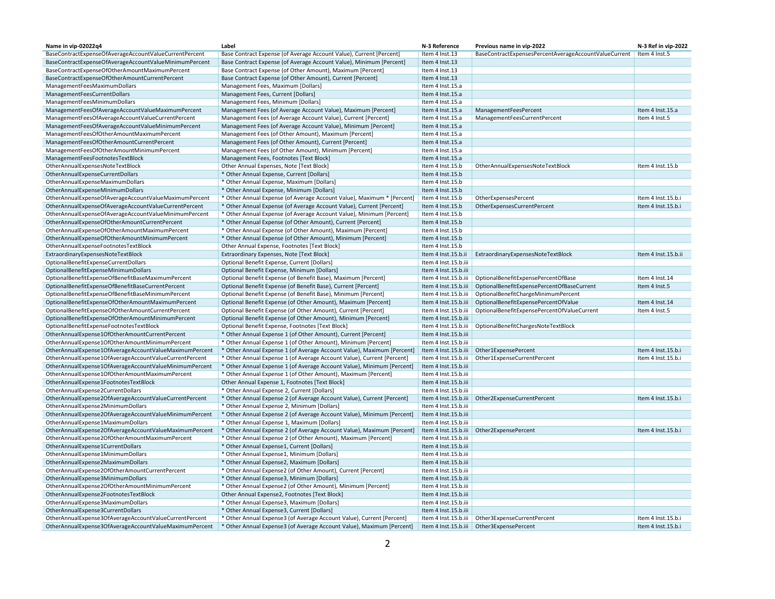| Name in vip-02022q4                                    | Label                                                                  | N-3 Reference         | Previous name in vip-2022                             | N-3 Ref in vip-2022 |
|--------------------------------------------------------|------------------------------------------------------------------------|-----------------------|-------------------------------------------------------|---------------------|
| BaseContractExpenseOfAverageAccountValueCurrentPercent | Base Contract Expense (of Average Account Value), Current [Percent]    | Item 4 Inst.13        | BaseContractExpensesPercentAverageAccountValueCurrent | Item 4 Inst.5       |
| BaseContractExpenseOfAverageAccountValueMinimumPercent | Base Contract Expense (of Average Account Value), Minimum [Percent]    | Item 4 Inst.13        |                                                       |                     |
| BaseContractExpenseOfOtherAmountMaximumPercent         | Base Contract Expense (of Other Amount), Maximum [Percent]             | Item 4 Inst.13        |                                                       |                     |
| BaseContractExpenseOfOtherAmountCurrentPercent         | Base Contract Expense (of Other Amount), Current [Percent]             | Item 4 Inst.13        |                                                       |                     |
| ManagementFeesMaximumDollars                           | Management Fees, Maximum [Dollars]                                     | Item 4 Inst.15.a      |                                                       |                     |
| ManagementFeesCurrentDollars                           | Management Fees, Current [Dollars]                                     | Item 4 Inst.15.a      |                                                       |                     |
| ManagementFeesMinimumDollars                           | Management Fees, Minimum [Dollars]                                     | Item 4 Inst.15.a      |                                                       |                     |
| ManagementFeesOfAverageAccountValueMaximumPercent      | Management Fees (of Average Account Value), Maximum [Percent]          | Item 4 Inst.15.a      | ManagementFeesPercent                                 | Item 4 Inst.15.a    |
| ManagementFeesOfAverageAccountValueCurrentPercent      | Management Fees (of Average Account Value), Current [Percent]          | Item 4 Inst.15.a      | ManagementFeesCurrentPercent                          | Item 4 Inst.5       |
| ManagementFeesOfAverageAccountValueMinimumPercent      | Management Fees (of Average Account Value), Minimum [Percent]          | Item 4 Inst.15.a      |                                                       |                     |
| ManagementFeesOfOtherAmountMaximumPercent              | Management Fees (of Other Amount), Maximum [Percent]                   | Item 4 Inst.15.a      |                                                       |                     |
| ManagementFeesOfOtherAmountCurrentPercent              | Management Fees (of Other Amount), Current [Percent]                   | Item 4 Inst.15.a      |                                                       |                     |
| ManagementFeesOfOtherAmountMinimumPercent              | Management Fees (of Other Amount), Minimum [Percent]                   | Item 4 Inst.15.a      |                                                       |                     |
| ManagementFeesFootnotesTextBlock                       | Management Fees, Footnotes [Text Block]                                | Item 4 Inst. 15.a     |                                                       |                     |
| OtherAnnualExpensesNoteTextBlock                       | Other Annual Expenses, Note [Text Block]                               | Item 4 Inst.15.b      | OtherAnnualExpensesNoteTextBlock                      | Item 4 Inst.15.b    |
| OtherAnnualExpenseCurrentDollars                       | * Other Annual Expense, Current [Dollars]                              | Item 4 Inst.15.b      |                                                       |                     |
| OtherAnnualExpenseMaximumDollars                       | * Other Annual Expense, Maximum [Dollars]                              | Item 4 Inst.15.b      |                                                       |                     |
| OtherAnnualExpenseMinimumDollars                       | * Other Annual Expense, Minimum [Dollars]                              | Item 4 Inst.15.b      |                                                       |                     |
| OtherAnnualExpenseOfAverageAccountValueMaximumPercent  | * Other Annual Expense (of Average Account Value), Maximum * [Percent] | Item 4 Inst.15.b      | OtherExpensesPercent                                  | Item 4 Inst.15.b.i  |
| OtherAnnualExpenseOfAverageAccountValueCurrentPercent  | * Other Annual Expense (of Average Account Value), Current [Percent]   | Item 4 Inst.15.b      | OtherExpensesCurrentPercent                           | Item 4 Inst.15.b.i  |
|                                                        |                                                                        |                       |                                                       |                     |
| OtherAnnualExpenseOfAverageAccountValueMinimumPercent  | * Other Annual Expense (of Average Account Value), Minimum [Percent]   | Item 4 Inst. 15.b     |                                                       |                     |
| OtherAnnualExpenseOfOtherAmountCurrentPercent          | * Other Annual Expense (of Other Amount), Current [Percent]            | Item 4 Inst. 15.b     |                                                       |                     |
| OtherAnnualExpenseOfOtherAmountMaximumPercent          | * Other Annual Expense (of Other Amount), Maximum [Percent]            | Item 4 Inst.15.b      |                                                       |                     |
| OtherAnnualExpenseOfOtherAmountMinimumPercent          | * Other Annual Expense (of Other Amount), Minimum [Percent]            | Item 4 Inst.15.b      |                                                       |                     |
| OtherAnnualExpenseFootnotesTextBlock                   | Other Annual Expense, Footnotes [Text Block]                           | Item 4 Inst.15.b      |                                                       |                     |
| ExtraordinaryExpensesNoteTextBlock                     | Extraordinary Expenses, Note [Text Block]                              | Item 4 Inst.15.b.ii   | ExtraordinaryExpensesNoteTextBlock                    | Item 4 Inst.15.b.ii |
| OptionalBenefitExpenseCurrentDollars                   | Optional Benefit Expense, Current [Dollars]                            | Item 4 Inst.15.b.iii  |                                                       |                     |
| OptionalBenefitExpenseMinimumDollars                   | Optional Benefit Expense, Minimum [Dollars]                            | Item 4 Inst.15.b.iii  |                                                       |                     |
| OptionalBenefitExpenseOfBenefitBaseMaximumPercent      | Optional Benefit Expense (of Benefit Base), Maximum [Percent]          | Item 4 Inst.15.b.iii  | OptionalBenefitExpensePercentOfBase                   | Item 4 Inst.14      |
| OptionalBenefitExpenseOfBenefitBaseCurrentPercent      | Optional Benefit Expense (of Benefit Base), Current [Percent]          | Item 4 Inst.15.b.iii  | OptionalBenefitExpensePercentOfBaseCurrent            | Item 4 Inst.5       |
| OptionalBenefitExpenseOfBenefitBaseMinimumPercent      | Optional Benefit Expense (of Benefit Base), Minimum [Percent]          | Item 4 Inst.15.b.iii  | OptionalBenefitChargeMinimumPercent                   |                     |
| OptionalBenefitExpenseOfOtherAmountMaximumPercent      | Optional Benefit Expense (of Other Amount), Maximum [Percent]          | Item 4 Inst. 15.b.iii | OptionalBenefitExpensePercentOfValue                  | Item 4 Inst.14      |
| OptionalBenefitExpenseOfOtherAmountCurrentPercent      | Optional Benefit Expense (of Other Amount), Current [Percent]          | Item 4 Inst.15.b.iii  | OptionalBenefitExpensePercentOfValueCurrent           | Item 4 Inst.5       |
| OptionalBenefitExpenseOfOtherAmountMinimumPercent      | Optional Benefit Expense (of Other Amount), Minimum [Percent]          | Item 4 Inst. 15.b.iii |                                                       |                     |
| OptionalBenefitExpenseFootnotesTextBlock               | Optional Benefit Expense, Footnotes [Text Block]                       | Item 4 Inst.15.b.iii  | OptionalBenefitChargesNoteTextBlock                   |                     |
| OtherAnnualExpense1OfOtherAmountCurrentPercent         | * Other Annual Expense 1 (of Other Amount), Current [Percent]          | Item 4 Inst.15.b.iii  |                                                       |                     |
| OtherAnnualExpense1OfOtherAmountMinimumPercent         | * Other Annual Expense 1 (of Other Amount), Minimum [Percent]          | Item 4 Inst.15.b.iii  |                                                       |                     |
| OtherAnnualExpense1OfAverageAccountValueMaximumPercent | * Other Annual Expense 1 (of Average Account Value), Maximum [Percent] | Item 4 Inst.15.b.iii  | Other1ExpensePercent                                  | Item 4 Inst.15.b.i  |
| OtherAnnualExpense1OfAverageAccountValueCurrentPercent | * Other Annual Expense 1 (of Average Account Value), Current [Percent] | Item 4 Inst.15.b.iii  | Other1ExpenseCurrentPercent                           | Item 4 Inst.15.b.i  |
| OtherAnnualExpense1OfAverageAccountValueMinimumPercent | * Other Annual Expense 1 (of Average Account Value), Minimum [Percent] | Item 4 Inst.15.b.iii  |                                                       |                     |
| OtherAnnualExpense1OfOtherAmountMaximumPercent         | * Other Annual Expense 1 (of Other Amount), Maximum [Percent]          | Item 4 Inst.15.b.iii  |                                                       |                     |
| OtherAnnualExpense1FootnotesTextBlock                  | Other Annual Expense 1, Footnotes [Text Block]                         | Item 4 Inst.15.b.iii  |                                                       |                     |
| OtherAnnualExpense2CurrentDollars                      | * Other Annual Expense 2, Current [Dollars]                            | Item 4 Inst.15.b.iii  |                                                       |                     |
| OtherAnnualExpense2OfAverageAccountValueCurrentPercent | * Other Annual Expense 2 (of Average Account Value), Current [Percent] | Item 4 Inst.15.b.iii  | Other2ExpenseCurrentPercent                           | Item 4 Inst. 15.b.i |
| OtherAnnualExpense2MinimumDollars                      | * Other Annual Expense 2, Minimum [Dollars]                            | Item 4 Inst. 15.b.iii |                                                       |                     |
| OtherAnnualExpense2OfAverageAccountValueMinimumPercent | * Other Annual Expense 2 (of Average Account Value), Minimum [Percent] | Item 4 Inst.15.b.iii  |                                                       |                     |
| OtherAnnualExpense1MaximumDollars                      | * Other Annual Expense 1, Maximum [Dollars]                            | Item 4 Inst.15.b.iii  |                                                       |                     |
| OtherAnnualExpense2OfAverageAccountValueMaximumPercent | * Other Annual Expense 2 (of Average Account Value), Maximum [Percent] | Item 4 Inst.15.b.iii  | Other2ExpensePercent                                  | Item 4 Inst.15.b.i  |
| OtherAnnualExpense2OfOtherAmountMaximumPercent         | * Other Annual Expense 2 (of Other Amount), Maximum [Percent]          | Item 4 Inst.15.b.iii  |                                                       |                     |
| OtherAnnualExpense1CurrentDollars                      | * Other Annual Expense1, Current [Dollars]                             | Item 4 Inst.15.b.iii  |                                                       |                     |
| OtherAnnualExpense1MinimumDollars                      | * Other Annual Expense1, Minimum [Dollars]                             | Item 4 Inst.15.b.iii  |                                                       |                     |
| OtherAnnualExpense2MaximumDollars                      | * Other Annual Expense2, Maximum [Dollars]                             | Item 4 Inst.15.b.iii  |                                                       |                     |
| OtherAnnualExpense2OfOtherAmountCurrentPercent         | * Other Annual Expense2 (of Other Amount), Current [Percent]           | Item 4 Inst.15.b.iii  |                                                       |                     |
| OtherAnnualExpense3MinimumDollars                      | * Other Annual Expense3, Minimum [Dollars]                             | Item 4 Inst. 15.b.iii |                                                       |                     |
| OtherAnnualExpense2OfOtherAmountMinimumPercent         | * Other Annual Expense2 (of Other Amount), Minimum [Percent]           | Item 4 Inst. 15.b.iii |                                                       |                     |
| OtherAnnualExpense2FootnotesTextBlock                  | Other Annual Expense2, Footnotes [Text Block]                          | Item 4 Inst. 15.b.iii |                                                       |                     |
| OtherAnnualExpense3MaximumDollars                      | * Other Annual Expense3, Maximum [Dollars]                             | Item 4 Inst. 15.b.iii |                                                       |                     |
| OtherAnnualExpense3CurrentDollars                      | * Other Annual Expense3, Current [Dollars]                             | Item 4 Inst.15.b.iii  |                                                       |                     |
| OtherAnnualExpense3OfAverageAccountValueCurrentPercent | * Other Annual Expense3 (of Average Account Value), Current [Percent]  |                       | Item 4 Inst.15.b.iii   Other3ExpenseCurrentPercent    | Item 4 Inst.15.b.i  |
| OtherAnnualExpense3OfAverageAccountValueMaximumPercent | * Other Annual Expense3 (of Average Account Value), Maximum [Percent]  | Item 4 Inst. 15.b.iii | Other3ExpensePercent                                  | Item 4 Inst.15.b.i  |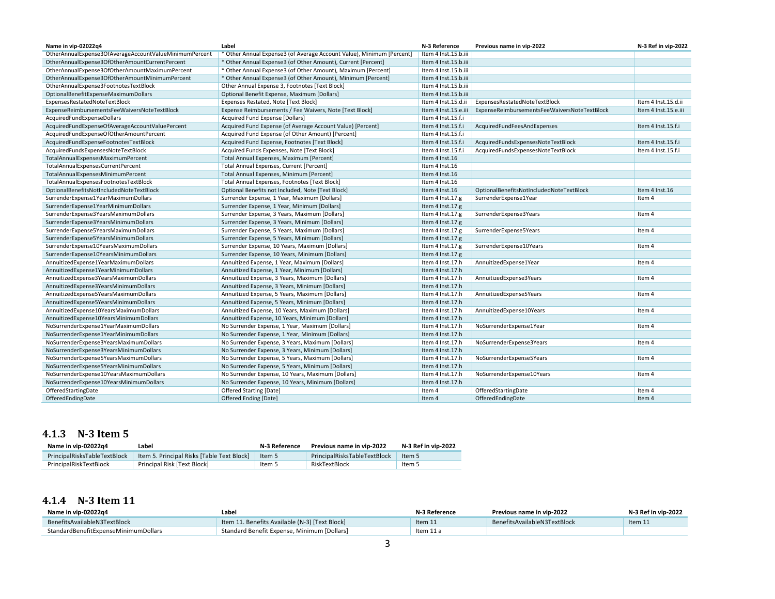| Name in vip-02022q4                                    | Label                                                                 | N-3 Reference         | Previous name in vip-2022                    | N-3 Ref in vip-2022  |
|--------------------------------------------------------|-----------------------------------------------------------------------|-----------------------|----------------------------------------------|----------------------|
| OtherAnnualExpense3OfAverageAccountValueMinimumPercent | * Other Annual Expense3 (of Average Account Value), Minimum [Percent] | Item 4 Inst.15.b.iii  |                                              |                      |
| OtherAnnualExpense3OfOtherAmountCurrentPercent         | * Other Annual Expense3 (of Other Amount), Current [Percent]          | Item 4 Inst. 15.b.iii |                                              |                      |
| OtherAnnualExpense3OfOtherAmountMaximumPercent         | * Other Annual Expense3 (of Other Amount), Maximum [Percent]          | Item 4 Inst.15.b.iii  |                                              |                      |
| OtherAnnualExpense3OfOtherAmountMinimumPercent         | * Other Annual Expense3 (of Other Amount), Minimum [Percent]          | Item 4 Inst.15.b.iii  |                                              |                      |
| OtherAnnualExpense3FootnotesTextBlock                  | Other Annual Expense 3, Footnotes [Text Block]                        | Item 4 Inst. 15.b.iii |                                              |                      |
| OptionalBenefitExpenseMaximumDollars                   | Optional Benefit Expense, Maximum [Dollars]                           | Item 4 Inst.15.b.iii  |                                              |                      |
| ExpensesRestatedNoteTextBlock                          | Expenses Restated, Note [Text Block]                                  | Item 4 Inst.15.d.ii   | ExpensesRestatedNoteTextBlock                | Item 4 Inst.15.d.ii  |
| ExpenseReimbursementsFeeWaiversNoteTextBlock           | Expense Reimbursements / Fee Waivers, Note [Text Block]               | Item 4 Inst.15.e.iii  | ExpenseReimbursementsFeeWaiversNoteTextBlock | Item 4 Inst.15.e.iii |
| AcquiredFundExpenseDollars                             | Acquired Fund Expense [Dollars]                                       | Item 4 Inst.15.f.i    |                                              |                      |
| AcquiredFundExpenseOfAverageAccountValuePercent        | Acquired Fund Expense (of Average Account Value) [Percent]            | Item 4 Inst. 15.f.i   | AcquiredFundFeesAndExpenses                  | Item 4 Inst.15.f.i   |
| AcquiredFundExpenseOfOtherAmountPercent                | Acquired Fund Expense (of Other Amount) [Percent]                     | Item 4 Inst. 15.f.i   |                                              |                      |
| AcquiredFundExpenseFootnotesTextBlock                  | Acquired Fund Expense, Footnotes [Text Block]                         | Item 4 Inst.15.f.i    | AcquiredFundsExpensesNoteTextBlock           | Item 4 Inst.15.f.i   |
| AcquiredFundsExpensesNoteTextBlock                     | Acquired Funds Expenses, Note [Text Block]                            | Item 4 Inst.15.f.i    | AcquiredFundsExpensesNoteTextBlock           | Item 4 Inst.15.f.i   |
| TotalAnnualExpensesMaximumPercent                      | Total Annual Expenses, Maximum [Percent]                              | Item 4 Inst.16        |                                              |                      |
| TotalAnnualExpensesCurrentPercent                      | Total Annual Expenses, Current [Percent]                              | Item 4 Inst.16        |                                              |                      |
| TotalAnnualExpensesMinimumPercent                      | Total Annual Expenses, Minimum [Percent]                              | Item 4 Inst.16        |                                              |                      |
| TotalAnnualExpensesFootnotesTextBlock                  | Total Annual Expenses, Footnotes [Text Block]                         | Item 4 Inst.16        |                                              |                      |
| OptionalBenefitsNotIncludedNoteTextBlock               | Optional Benefits not Included, Note [Text Block]                     | Item 4 Inst.16        | OptionalBenefitsNotIncludedNoteTextBlock     | Item 4 Inst.16       |
| SurrenderExpense1YearMaximumDollars                    | Surrender Expense, 1 Year, Maximum [Dollars]                          | Item 4 Inst.17.g      | SurrenderExpense1Year                        | Item 4               |
| SurrenderExpense1YearMinimumDollars                    | Surrender Expense, 1 Year, Minimum [Dollars]                          | Item 4 Inst.17.g      |                                              |                      |
| SurrenderExpense3YearsMaximumDollars                   | Surrender Expense, 3 Years, Maximum [Dollars]                         | Item 4 Inst.17.g      | SurrenderExpense3Years                       | Item 4               |
| SurrenderExpense3YearsMinimumDollars                   | Surrender Expense, 3 Years, Minimum [Dollars]                         | Item 4 Inst.17.g      |                                              |                      |
| SurrenderExpense5YearsMaximumDollars                   | Surrender Expense, 5 Years, Maximum [Dollars]                         | Item 4 Inst.17.g      | SurrenderExpense5Years                       | Item 4               |
| SurrenderExpense5YearsMinimumDollars                   | Surrender Expense, 5 Years, Minimum [Dollars]                         | Item 4 Inst.17.g      |                                              |                      |
| SurrenderExpense10YearsMaximumDollars                  | Surrender Expense, 10 Years, Maximum [Dollars]                        | Item 4 Inst.17.g      | SurrenderExpense10Years                      | Item 4               |
| SurrenderExpense10YearsMinimumDollars                  | Surrender Expense, 10 Years, Minimum [Dollars]                        | Item 4 Inst.17.g      |                                              |                      |
| AnnuitizedExpense1YearMaximumDollars                   | Annuitized Expense, 1 Year, Maximum [Dollars]                         | Item 4 Inst.17.h      | AnnuitizedExpense1Year                       | Item 4               |
| AnnuitizedExpense1YearMinimumDollars                   | Annuitized Expense, 1 Year, Minimum [Dollars]                         | Item 4 Inst.17.h      |                                              |                      |
| AnnuitizedExpense3YearsMaximumDollars                  | Annuitized Expense, 3 Years, Maximum [Dollars]                        | Item 4 Inst.17.h      | AnnuitizedExpense3Years                      | Item 4               |
| AnnuitizedExpense3YearsMinimumDollars                  | Annuitized Expense, 3 Years, Minimum [Dollars]                        | Item 4 Inst.17.h      |                                              |                      |
| AnnuitizedExpense5YearsMaximumDollars                  | Annuitized Expense, 5 Years, Maximum [Dollars]                        | Item 4 Inst.17.h      | AnnuitizedExpense5Years                      | Item 4               |
| AnnuitizedExpense5YearsMinimumDollars                  | Annuitized Expense, 5 Years, Minimum [Dollars]                        | Item 4 Inst.17.h      |                                              |                      |
| AnnuitizedExpense10YearsMaximumDollars                 | Annuitized Expense, 10 Years, Maximum [Dollars]                       | Item 4 Inst.17.h      | AnnuitizedExpense10Years                     | Item 4               |
| AnnuitizedExpense10YearsMinimumDollars                 | Annuitized Expense, 10 Years, Minimum [Dollars]                       | Item 4 Inst.17.h      |                                              |                      |
| NoSurrenderExpense1YearMaximumDollars                  | No Surrender Expense, 1 Year, Maximum [Dollars]                       | Item 4 Inst.17.h      | NoSurrenderExpense1Year                      | Item 4               |
| NoSurrenderExpense1YearMinimumDollars                  | No Surrender Expense, 1 Year, Minimum [Dollars]                       | Item 4 Inst.17.h      |                                              |                      |
| NoSurrenderExpense3YearsMaximumDollars                 | No Surrender Expense, 3 Years, Maximum [Dollars]                      | Item 4 Inst.17.h      | NoSurrenderExpense3Years                     | Item 4               |
| NoSurrenderExpense3YearsMinimumDollars                 | No Surrender Expense, 3 Years, Minimum [Dollars]                      | Item 4 Inst.17.h      |                                              |                      |
| NoSurrenderExpense5YearsMaximumDollars                 | No Surrender Expense, 5 Years, Maximum [Dollars]                      | Item 4 Inst.17.h      | NoSurrenderExpense5Years                     | Item 4               |
| NoSurrenderExpense5YearsMinimumDollars                 | No Surrender Expense, 5 Years, Minimum [Dollars]                      | Item 4 Inst.17.h      |                                              |                      |
| NoSurrenderExpense10YearsMaximumDollars                | No Surrender Expense, 10 Years, Maximum [Dollars]                     | Item 4 Inst.17.h      | NoSurrenderExpense10Years                    | Item 4               |
| NoSurrenderExpense10YearsMinimumDollars                | No Surrender Expense, 10 Years, Minimum [Dollars]                     | Item 4 Inst.17.h      |                                              |                      |
| OfferedStartingDate                                    | Offered Starting [Date]                                               | Item 4                | OfferedStartingDate                          | Item 4               |
| OfferedEndingDate                                      | Offered Ending [Date]                                                 | Item 4                | OfferedEndingDate                            | Item 4               |
|                                                        |                                                                       |                       |                                              |                      |

#### **4.1.3 N-3 Item 5**

| Name in vip-02022q4          | Label                                      | N-3 Reference | Previous name in vip-2022    | N-3 Ref in vip-2022 |
|------------------------------|--------------------------------------------|---------------|------------------------------|---------------------|
| PrincipalRisksTableTextBlock | Item 5. Principal Risks [Table Text Block] | Item 5        | PrincipalRisksTableTextBlock | Item 5              |
| PrincipalRiskTextBlock       | Principal Risk [Text Block]                | Item 5        | RiskTextBlock                | ltem 5              |

#### **4.1.4 N-3 Item 11**

| Name in vip-02022q4                  | Labe'                                          | N-3 Reference | Previous name in vip-2022        | N-3 Ref in vip-2022 |
|--------------------------------------|------------------------------------------------|---------------|----------------------------------|---------------------|
| Benefits Available N3 Text Block     | Item 11. Benefits Available (N-3) [Text Block] | Item 11       | Benefits Available N3 Text Block | Item 11             |
| StandardBenefitExpenseMinimumDollars | Standard Benefit Expense, Minimum [Dollars]    | Item 11 a     |                                  |                     |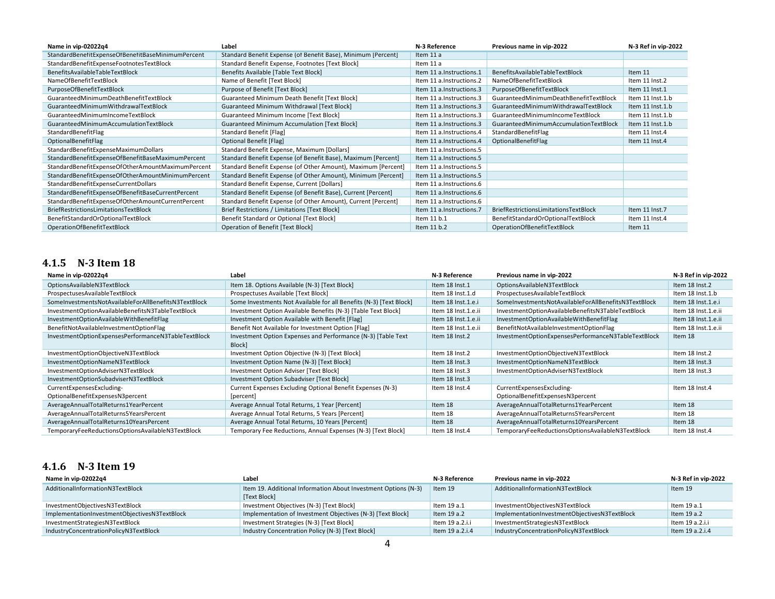| Name in vip-02022q4                               | Label                                                         | N-3 Reference            | Previous name in vip-2022                    | N-3 Ref in vip-2022 |
|---------------------------------------------------|---------------------------------------------------------------|--------------------------|----------------------------------------------|---------------------|
| StandardBenefitExpenseOfBenefitBaseMinimumPercent | Standard Benefit Expense (of Benefit Base), Minimum [Percent] | Item 11 a                |                                              |                     |
| StandardBenefitExpenseFootnotesTextBlock          | Standard Benefit Expense, Footnotes [Text Block]              | Item 11 a                |                                              |                     |
| BenefitsAvailableTableTextBlock                   | Benefits Available [Table Text Block]                         | Item 11 a.Instructions.1 | <b>BenefitsAvailableTableTextBlock</b>       | Item 11             |
| NameOfBenefitTextBlock                            | Name of Benefit [Text Block]                                  | Item 11 a.Instructions.2 | NameOfBenefitTextBlock                       | Item 11 Inst.2      |
| PurposeOfBenefitTextBlock                         | Purpose of Benefit [Text Block]                               | Item 11 a.Instructions.3 | PurposeOfBenefitTextBlock                    | Item 11 Inst.1      |
| GuaranteedMinimumDeathBenefitTextBlock            | Guaranteed Minimum Death Benefit [Text Block]                 | Item 11 a.Instructions.3 | GuaranteedMinimumDeathBenefitTextBlock       | Item 11 Inst.1.b    |
| GuaranteedMinimumWithdrawalTextBlock              | Guaranteed Minimum Withdrawal [Text Block]                    | Item 11 a.Instructions.3 | GuaranteedMinimumWithdrawalTextBlock         | Item 11 Inst.1.b    |
| GuaranteedMinimumIncomeTextBlock                  | <b>Guaranteed Minimum Income [Text Block]</b>                 | Item 11 a.Instructions.3 | GuaranteedMinimumIncomeTextBlock             | Item 11 Inst.1.b    |
| GuaranteedMinimumAccumulationTextBlock            | <b>Guaranteed Minimum Accumulation [Text Block]</b>           | Item 11 a.Instructions.3 | GuaranteedMinimumAccumulationTextBlock       | Item 11 Inst.1.b    |
| StandardBenefitFlag                               | Standard Benefit [Flag]                                       | Item 11 a.Instructions.4 | StandardBenefitFlag                          | Item 11 Inst.4      |
| OptionalBenefitFlag                               | Optional Benefit [Flag]                                       | Item 11 a.Instructions.4 | OptionalBenefitFlag                          | Item 11 Inst.4      |
| StandardBenefitExpenseMaximumDollars              | Standard Benefit Expense, Maximum [Dollars]                   | Item 11 a.Instructions.5 |                                              |                     |
| StandardBenefitExpenseOfBenefitBaseMaximumPercent | Standard Benefit Expense (of Benefit Base), Maximum [Percent] | Item 11 a.Instructions.5 |                                              |                     |
| StandardBenefitExpenseOfOtherAmountMaximumPercent | Standard Benefit Expense (of Other Amount), Maximum [Percent] | Item 11 a.Instructions.5 |                                              |                     |
| StandardBenefitExpenseOfOtherAmountMinimumPercent | Standard Benefit Expense (of Other Amount), Minimum [Percent] | Item 11 a.Instructions.5 |                                              |                     |
| StandardBenefitExpenseCurrentDollars              | Standard Benefit Expense, Current [Dollars]                   | Item 11 a.Instructions.6 |                                              |                     |
| StandardBenefitExpenseOfBenefitBaseCurrentPercent | Standard Benefit Expense (of Benefit Base), Current [Percent] | Item 11 a.Instructions.6 |                                              |                     |
| StandardBenefitExpenseOfOtherAmountCurrentPercent | Standard Benefit Expense (of Other Amount), Current [Percent] | Item 11 a.Instructions.6 |                                              |                     |
| BriefRestrictionsLimitationsTextBlock             | <b>Brief Restrictions / Limitations [Text Block]</b>          | Item 11 a.Instructions.7 | <b>BriefRestrictionsLimitationsTextBlock</b> | Item 11 Inst.7      |
| BenefitStandardOrOptionalTextBlock                | Benefit Standard or Optional [Text Block]                     | Item 11 b.1              | BenefitStandardOrOptionalTextBlock           | Item 11 Inst.4      |
| OperationOfBenefitTextBlock                       | Operation of Benefit [Text Block]                             | Item 11 b.2              | OperationOfBenefitTextBlock                  | Item 11             |

#### **4.1.5 N-3 Item 18**

| Name in vip-02022q4                                  | Label                                                                  | N-3 Reference       | Previous name in vip-2022                            | N-3 Ref in vip-2022 |
|------------------------------------------------------|------------------------------------------------------------------------|---------------------|------------------------------------------------------|---------------------|
| OptionsAvailableN3TextBlock                          | Item 18. Options Available (N-3) [Text Block]                          | Item 18 Inst.1      | OptionsAvailableN3TextBlock                          | Item 18 Inst.2      |
| ProspectusesAvailableTextBlock                       | Prospectuses Available [Text Block]                                    | Item 18 Inst.1.d    | ProspectusesAvailableTextBlock                       | Item 18 Inst.1.b    |
| SomeInvestmentsNotAvailableForAllBenefitsN3TextBlock | Some Investments Not Available for all Benefits (N-3) [Text Block]     | Item 18 Inst.1.e.i  | SomeInvestmentsNotAvailableForAllBenefitsN3TextBlock | Item 18 Inst.1.e.i  |
| InvestmentOptionAvailableBenefitsN3TableTextBlock    | Investment Option Available Benefits (N-3) [Table Text Block]          | Item 18 Inst.1.e.ii | InvestmentOptionAvailableBenefitsN3TableTextBlock    | Item 18 Inst.1.e.ii |
| InvestmentOptionAvailableWithBenefitFlag             | Investment Option Available with Benefit [Flag]                        | Item 18 Inst.1.e.ii | InvestmentOptionAvailableWithBenefitFlag             | Item 18 Inst.1.e.ii |
| BenefitNotAvailableInvestmentOptionFlag              | Benefit Not Available for Investment Option [Flag]                     | Item 18 Inst.1.e.ii | BenefitNotAvailableInvestmentOptionFlag              | Item 18 Inst.1.e.ii |
| InvestmentOptionExpensesPerformanceN3TableTextBlock  | Investment Option Expenses and Performance (N-3) [Table Text<br>Block] | Item 18 Inst.2      | InvestmentOptionExpensesPerformanceN3TableTextBlock  | Item 18             |
| InvestmentOptionObjectiveN3TextBlock                 | Investment Option Objective (N-3) [Text Block]                         | Item 18 Inst.2      | InvestmentOptionObjectiveN3TextBlock                 | Item 18 Inst.2      |
| InvestmentOptionNameN3TextBlock                      | Investment Option Name (N-3) [Text Block]                              | Item 18 Inst.3      | InvestmentOptionNameN3TextBlock                      | Item 18 Inst.3      |
| InvestmentOptionAdviserN3TextBlock                   | Investment Option Adviser [Text Block]                                 | Item 18 Inst.3      | InvestmentOptionAdviserN3TextBlock                   | Item 18 Inst.3      |
| InvestmentOptionSubadviserN3TextBlock                | Investment Option Subadviser [Text Block]                              | Item 18 Inst.3      |                                                      |                     |
| CurrentExpensesExcluding-                            | Current Expenses Excluding Optional Benefit Expenses (N-3)             | Item 18 Inst.4      | CurrentExpensesExcluding-                            | Item 18 Inst.4      |
| OptionalBenefitExpensesN3percent                     | [percent]                                                              |                     | OptionalBenefitExpensesN3percent                     |                     |
| AverageAnnualTotalReturns1YearPercent                | Average Annual Total Returns, 1 Year [Percent]                         | Item 18             | AverageAnnualTotalReturns1YearPercent                | Item 18             |
| AverageAnnualTotalReturns5YearsPercent               | Average Annual Total Returns, 5 Years [Percent]                        | Item 18             | AverageAnnualTotalReturns5YearsPercent               | Item 18             |
| AverageAnnualTotalReturns10YearsPercent              | Average Annual Total Returns, 10 Years [Percent]                       | Item 18             | AverageAnnualTotalReturns10YearsPercent              | Item 18             |
| TemporaryFeeReductionsOptionsAvailableN3TextBlock    | Temporary Fee Reductions, Annual Expenses (N-3) [Text Block]           | Item 18 Inst.4      | TemporaryFeeReductionsOptionsAvailableN3TextBlock    | Item 18 Inst.4      |

#### **4.1.6 N-3 Item 19**

| Name in vip-02022q4                           | Label                                                          | N-3 Reference   | Previous name in vip-2022                     | N-3 Ref in vip-2022 |
|-----------------------------------------------|----------------------------------------------------------------|-----------------|-----------------------------------------------|---------------------|
| AdditionalInformationN3TextBlock              | Item 19. Additional Information About Investment Options (N-3) | Item 19         | AdditionalInformationN3TextBlock              | Item 19             |
|                                               | [Text Block]                                                   |                 |                                               |                     |
| InvestmentObjectivesN3TextBlock               | Investment Objectives (N-3) [Text Block]                       | Item 19 a.1     | InvestmentObiectivesN3TextBlock               | Item 19 a.1         |
| ImplementationInvestmentObjectivesN3TextBlock | Implementation of Investment Objectives (N-3) [Text Block]     | Item 19 a.2     | ImplementationInvestmentObjectivesN3TextBlock | Item 19 a.2         |
| InvestmentStrategiesN3TextBlock               | Investment Strategies (N-3) [Text Block]                       | Item 19 a.2.i.i | InvestmentStrategiesN3TextBlock               | Item 19 a.2.i.i     |
| IndustryConcentrationPolicyN3TextBlock        | Industry Concentration Policy (N-3) [Text Block]               | Item 19 a.2.i.4 | IndustryConcentrationPolicyN3TextBlock        | Item 19 a.2.i.4     |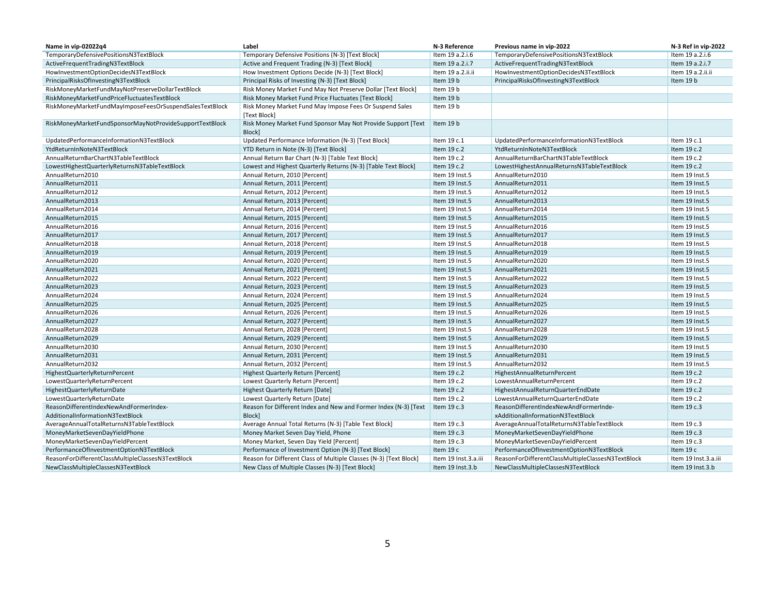| Name in vip-02022q4                                     | Label                                                                   | N-3 Reference        | Previous name in vip-2022                         | N-3 Ref in vip-2022  |
|---------------------------------------------------------|-------------------------------------------------------------------------|----------------------|---------------------------------------------------|----------------------|
| TemporaryDefensivePositionsN3TextBlock                  | Temporary Defensive Positions (N-3) [Text Block]                        | Item 19 a.2.i.6      | TemporaryDefensivePositionsN3TextBlock            | Item 19 a.2.i.6      |
| ActiveFrequentTradingN3TextBlock                        | Active and Frequent Trading (N-3) [Text Block]                          | Item 19 a.2.i.7      | ActiveFrequentTradingN3TextBlock                  | Item 19 a.2.i.7      |
| HowInvestmentOptionDecidesN3TextBlock                   | How Investment Options Decide (N-3) [Text Block]                        | Item 19 a.2.ii.ii    | HowInvestmentOptionDecidesN3TextBlock             | Item 19 a.2.ii.ii    |
| PrincipalRisksOfInvestingN3TextBlock                    | Principal Risks of Investing (N-3) [Text Block]                         | Item 19 b            | PrincipalRisksOfInvestingN3TextBlock              | Item 19 b            |
| RiskMoneyMarketFundMayNotPreserveDollarTextBlock        | Risk Money Market Fund May Not Preserve Dollar [Text Block]             | Item 19 b            |                                                   |                      |
| RiskMoneyMarketFundPriceFluctuatesTextBlock             | Risk Money Market Fund Price Fluctuates [Text Block]                    | Item 19 b            |                                                   |                      |
| RiskMoneyMarketFundMayImposeFeesOrSuspendSalesTextBlock | Risk Money Market Fund May Impose Fees Or Suspend Sales<br>[Text Block] | Item 19 b            |                                                   |                      |
| RiskMoneyMarketFundSponsorMayNotProvideSupportTextBlock | Risk Money Market Fund Sponsor May Not Provide Support [Text<br>Block]  | Item 19 b            |                                                   |                      |
| UpdatedPerformanceInformationN3TextBlock                | Updated Performance Information (N-3) [Text Block]                      | Item 19 c.1          | UpdatedPerformanceInformationN3TextBlock          | Item 19 c.1          |
| YtdReturnInNoteN3TextBlock                              | YTD Return in Note (N-3) [Text Block]                                   | Item 19 c.2          | YtdReturnInNoteN3TextBlock                        | Item 19 c.2          |
| AnnualReturnBarChartN3TableTextBlock                    | Annual Return Bar Chart (N-3) [Table Text Block]                        | Item 19 c.2          | AnnualReturnBarChartN3TableTextBlock              | Item 19 c.2          |
| LowestHighestQuarterlyReturnsN3TableTextBlock           | Lowest and Highest Quarterly Returns (N-3) [Table Text Block]           | Item 19 c.2          | LowestHighestAnnualReturnsN3TableTextBlock        | Item 19 c.2          |
| AnnualReturn2010                                        | Annual Return, 2010 [Percent]                                           | Item 19 Inst.5       | AnnualReturn2010                                  | Item 19 Inst.5       |
| AnnualReturn2011                                        | Annual Return, 2011 [Percent]                                           | Item 19 Inst.5       | AnnualReturn2011                                  | Item 19 Inst.5       |
| AnnualReturn2012                                        | Annual Return, 2012 [Percent]                                           | Item 19 Inst.5       | AnnualReturn2012                                  | Item 19 Inst.5       |
| AnnualReturn2013                                        | Annual Return, 2013 [Percent]                                           | Item 19 Inst.5       | AnnualReturn2013                                  | Item 19 Inst.5       |
| AnnualReturn2014                                        | Annual Return, 2014 [Percent]                                           | Item 19 Inst.5       | AnnualReturn2014                                  | Item 19 Inst.5       |
| AnnualReturn2015                                        | Annual Return, 2015 [Percent]                                           | Item 19 Inst.5       | AnnualReturn2015                                  | Item 19 Inst.5       |
| AnnualReturn2016                                        | Annual Return, 2016 [Percent]                                           | Item 19 Inst.5       | AnnualReturn2016                                  | Item 19 Inst.5       |
| AnnualReturn2017                                        | Annual Return, 2017 [Percent]                                           | Item 19 Inst.5       | AnnualReturn2017                                  | Item 19 Inst.5       |
| AnnualReturn2018                                        | Annual Return, 2018 [Percent]                                           | Item 19 Inst.5       | AnnualReturn2018                                  | Item 19 Inst.5       |
| AnnualReturn2019                                        | Annual Return, 2019 [Percent]                                           | Item 19 Inst.5       | AnnualReturn2019                                  | Item 19 Inst.5       |
| AnnualReturn2020                                        | Annual Return, 2020 [Percent]                                           | Item 19 Inst.5       | AnnualReturn2020                                  | Item 19 Inst.5       |
| AnnualReturn2021                                        | Annual Return, 2021 [Percent]                                           | Item 19 Inst.5       | AnnualReturn2021                                  | Item 19 Inst.5       |
| AnnualReturn2022                                        | Annual Return, 2022 [Percent]                                           | Item 19 Inst.5       | AnnualReturn2022                                  | Item 19 Inst.5       |
| AnnualReturn2023                                        | Annual Return, 2023 [Percent]                                           | Item 19 Inst.5       | AnnualReturn2023                                  | Item 19 Inst.5       |
| AnnualReturn2024                                        | Annual Return, 2024 [Percent]                                           | Item 19 Inst.5       | AnnualReturn2024                                  | Item 19 Inst.5       |
| AnnualReturn2025                                        | Annual Return, 2025 [Percent]                                           | Item 19 Inst.5       | AnnualReturn2025                                  | Item 19 Inst.5       |
| AnnualReturn2026                                        | Annual Return, 2026 [Percent]                                           | Item 19 Inst.5       | AnnualReturn2026                                  | Item 19 Inst.5       |
| AnnualReturn2027                                        | Annual Return, 2027 [Percent]                                           | Item 19 Inst.5       | AnnualReturn2027                                  | Item 19 Inst.5       |
| AnnualReturn2028                                        | Annual Return, 2028 [Percent]                                           | Item 19 Inst.5       | AnnualReturn2028                                  | Item 19 Inst.5       |
| AnnualReturn2029                                        | Annual Return, 2029 [Percent]                                           | Item 19 Inst.5       | AnnualReturn2029                                  | Item 19 Inst.5       |
| AnnualReturn2030                                        | Annual Return, 2030 [Percent]                                           | Item 19 Inst.5       | AnnualReturn2030                                  | Item 19 Inst.5       |
| AnnualReturn2031                                        | Annual Return, 2031 [Percent]                                           | Item 19 Inst.5       | AnnualReturn2031                                  | Item 19 Inst.5       |
| AnnualReturn2032                                        | Annual Return, 2032 [Percent]                                           | Item 19 Inst.5       | AnnualReturn2032                                  | Item 19 Inst.5       |
| HighestQuarterlyReturnPercent                           | Highest Quarterly Return [Percent]                                      | Item 19 c.2          | HighestAnnualReturnPercent                        | Item 19 c.2          |
| LowestQuarterlyReturnPercent                            | Lowest Quarterly Return [Percent]                                       | Item 19 c.2          | LowestAnnualReturnPercent                         | Item 19 c.2          |
| HighestQuarterlyReturnDate                              | Highest Quarterly Return [Date]                                         | Item 19 c.2          | HighestAnnualReturnQuarterEndDate                 | Item 19 c.2          |
| LowestQuarterlyReturnDate                               | Lowest Quarterly Return [Date]                                          | Item 19 c.2          | LowestAnnualReturnQuarterEndDate                  | Item 19 c.2          |
| ReasonDifferentIndexNewAndFormerIndex-                  | Reason for Different Index and New and Former Index (N-3) [Text         | Item 19 c.3          | ReasonDifferentIndexNewAndFormerInde-             | Item 19 c.3          |
| AdditionalInformationN3TextBlock                        | Block]                                                                  |                      | xAdditionalInformationN3TextBlock                 |                      |
| AverageAnnualTotalReturnsN3TableTextBlock               | Average Annual Total Returns (N-3) [Table Text Block]                   | Item 19 c.3          | AverageAnnualTotalReturnsN3TableTextBlock         | Item 19 c.3          |
| MoneyMarketSevenDayYieldPhone                           | Money Market Seven Day Yield, Phone                                     | Item 19 c.3          | MoneyMarketSevenDayYieldPhone                     | Item 19 c.3          |
| MoneyMarketSevenDayYieldPercent                         | Money Market, Seven Day Yield [Percent]                                 | Item 19 c.3          | MoneyMarketSevenDayYieldPercent                   | Item 19 c.3          |
| PerformanceOfInvestmentOptionN3TextBlock                | Performance of Investment Option (N-3) [Text Block]                     | Item 19 c            | PerformanceOfInvestmentOptionN3TextBlock          | Item 19 c            |
| ReasonForDifferentClassMultipleClassesN3TextBlock       | Reason for Different Class of Multiple Classes (N-3) [Text Block]       | Item 19 Inst.3.a.iii | ReasonForDifferentClassMultipleClassesN3TextBlock | Item 19 Inst.3.a.iii |
| NewClassMultipleClassesN3TextBlock                      | New Class of Multiple Classes (N-3) [Text Block]                        | Item 19 Inst.3.b     | NewClassMultipleClassesN3TextBlock                | Item 19 Inst.3.b     |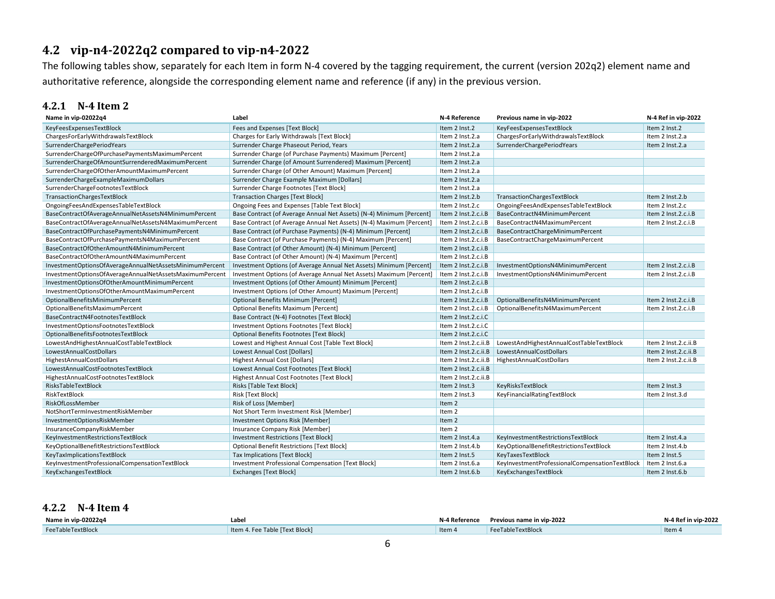## **4.2 vip-n4-2022q2 compared to vip-n4-2022**

The following tables show, separately for each Item in form N-4 covered by the tagging requirement, the current (version 202q2) element name and authoritative reference, alongside the corresponding element name and reference (if any) in the previous version.

#### **4.2.1 N-4 Item 2**

<span id="page-17-0"></span>

| Name in vip-02022q4                                     | Label                                                                | N-4 Reference                      | Previous name in vip-2022                      | N-4 Ref in vip-2022  |
|---------------------------------------------------------|----------------------------------------------------------------------|------------------------------------|------------------------------------------------|----------------------|
| KeyFeesExpensesTextBlock                                | Fees and Expenses [Text Block]                                       | Item 2 Inst.2                      | KeyFeesExpensesTextBlock                       | Item 2 Inst.2        |
| ChargesForEarlyWithdrawalsTextBlock                     | Charges for Early Withdrawals [Text Block]                           | Item 2 Inst.2.a                    | ChargesForEarlyWithdrawalsTextBlock            | Item 2 Inst.2.a      |
| SurrenderChargePeriodYears                              | Surrender Charge Phaseout Period, Years                              | Item 2 Inst.2.a                    | SurrenderChargePeriodYears                     | Item 2 Inst.2.a      |
| SurrenderChargeOfPurchasePaymentsMaximumPercent         | Surrender Charge (of Purchase Payments) Maximum [Percent]            | Item 2 Inst.2.a                    |                                                |                      |
| SurrenderChargeOfAmountSurrenderedMaximumPercent        | Surrender Charge (of Amount Surrendered) Maximum [Percent]           | Item 2 Inst.2.a                    |                                                |                      |
| SurrenderChargeOfOtherAmountMaximumPercent              | Surrender Charge (of Other Amount) Maximum [Percent]                 | Item 2 Inst.2.a                    |                                                |                      |
| SurrenderChargeExampleMaximumDollars                    | Surrender Charge Example Maximum [Dollars]                           | Item 2 Inst.2.a                    |                                                |                      |
| SurrenderChargeFootnotesTextBlock                       | Surrender Charge Footnotes [Text Block]                              | Item 2 Inst.2.a                    |                                                |                      |
| TransactionChargesTextBlock                             | <b>Transaction Charges [Text Block]</b>                              | Item 2 Inst.2.b                    | TransactionChargesTextBlock                    | Item 2 Inst.2.b      |
| OngoingFeesAndExpensesTableTextBlock                    | Ongoing Fees and Expenses [Table Text Block]                         | Item 2 Inst.2.c                    | OngoingFeesAndExpensesTableTextBlock           | Item 2 Inst.2.c      |
| BaseContractOfAverageAnnualNetAssetsN4MinimumPercent    | Base Contract (of Average Annual Net Assets) (N-4) Minimum [Percent] | Item 2 Inst.2.c.i.B                | BaseContractN4MinimumPercent                   | Item 2 Inst.2.c.i.B  |
| BaseContractOfAverageAnnualNetAssetsN4MaximumPercent    | Base Contract (of Average Annual Net Assets) (N-4) Maximum [Percent] | Item 2 Inst.2.c.i.B                | BaseContractN4MaximumPercent                   | Item 2 Inst.2.c.i.B  |
| BaseContractOfPurchasePaymentsN4MinimumPercent          | Base Contract (of Purchase Payments) (N-4) Minimum [Percent]         | Item 2 Inst.2.c.i.B                | BaseContractChargeMinimumPercent               |                      |
| BaseContractOfPurchasePaymentsN4MaximumPercent          | Base Contract (of Purchase Payments) (N-4) Maximum [Percent]         | Item 2 Inst.2.c.i.B                | BaseContractChargeMaximumPercent               |                      |
| BaseContractOfOtherAmountN4MinimumPercent               | Base Contract (of Other Amount) (N-4) Minimum [Percent]              | Item 2 Inst.2.c.i.B                |                                                |                      |
| BaseContractOfOtherAmountN4MaximumPercent               | Base Contract (of Other Amount) (N-4) Maximum [Percent]              | Item 2 Inst.2.c.i.B                |                                                |                      |
| InvestmentOptionsOfAverageAnnualNetAssetsMinimumPercent | Investment Options (of Average Annual Net Assets) Minimum [Percent]  | Item 2 Inst.2.c.i.B                | InvestmentOptionsN4MinimumPercent              | Item 2 Inst.2.c.i.B  |
| InvestmentOptionsOfAverageAnnualNetAssetsMaximumPercent | Investment Options (of Average Annual Net Assets) Maximum [Percent]  | Item 2 Inst.2.c.i.B                | InvestmentOptionsN4MinimumPercent              | Item 2 Inst.2.c.i.B  |
| InvestmentOptionsOfOtherAmountMinimumPercent            | Investment Options (of Other Amount) Minimum [Percent]               | Item 2 Inst.2.c.i.B                |                                                |                      |
| InvestmentOptionsOfOtherAmountMaximumPercent            | Investment Options (of Other Amount) Maximum [Percent]               | Item 2 Inst.2.c.i.B                |                                                |                      |
| OptionalBenefitsMinimumPercent                          | <b>Optional Benefits Minimum [Percent]</b>                           | Item 2 Inst.2.c.i.B                | OptionalBenefitsN4MinimumPercent               | Item 2 Inst.2.c.i.B  |
| OptionalBenefitsMaximumPercent                          | <b>Optional Benefits Maximum [Percent]</b>                           | Item 2 Inst.2.c.i.B                | OptionalBenefitsN4MaximumPercent               | Item 2 Inst.2.c.i.B  |
| BaseContractN4FootnotesTextBlock                        | Base Contract (N-4) Footnotes [Text Block]                           | Item 2 Inst.2.c.i.C                |                                                |                      |
| InvestmentOptionsFootnotesTextBlock                     | Investment Options Footnotes [Text Block]                            | Item 2 Inst.2.c.i.C                |                                                |                      |
| OptionalBenefitsFootnotesTextBlock                      | <b>Optional Benefits Footnotes [Text Block]</b>                      | Item 2 Inst.2.c.i.C                |                                                |                      |
| LowestAndHighestAnnualCostTableTextBlock                | Lowest and Highest Annual Cost [Table Text Block]                    | Item $2$ Inst. $2$ . $c$ . ii. $B$ | LowestAndHighestAnnualCostTableTextBlock       | Item 2 Inst.2.c.ii.B |
| LowestAnnualCostDollars                                 | Lowest Annual Cost [Dollars]                                         | Item 2 Inst.2.c.ii.B               | LowestAnnualCostDollars                        | Item 2 Inst.2.c.ii.B |
| HighestAnnualCostDollars                                | <b>Highest Annual Cost [Dollars]</b>                                 |                                    | Item 2 Inst.2.c.ii.B HighestAnnualCostDollars  | Item 2 Inst.2.c.ii.B |
| LowestAnnualCostFootnotesTextBlock                      | Lowest Annual Cost Footnotes [Text Block]                            | Item 2 Inst.2.c.ii.B               |                                                |                      |
| HighestAnnualCostFootnotesTextBlock                     | Highest Annual Cost Footnotes [Text Block]                           | Item 2 Inst.2.c.ii.B               |                                                |                      |
| RisksTableTextBlock                                     | Risks [Table Text Block]                                             | Item 2 Inst.3                      | KeyRisksTextBlock                              | Item 2 Inst.3        |
| RiskTextBlock                                           | Risk [Text Block]                                                    | Item 2 Inst.3                      | KeyFinancialRatingTextBlock                    | Item 2 Inst.3.d      |
| RiskOfLossMember                                        | Risk of Loss [Member]                                                | Item <sub>2</sub>                  |                                                |                      |
| NotShortTermInvestmentRiskMember                        | Not Short Term Investment Risk [Member]                              | Item 2                             |                                                |                      |
| InvestmentOptionsRiskMember                             | Investment Options Risk [Member]                                     | Item <sub>2</sub>                  |                                                |                      |
| InsuranceCompanyRiskMember                              | Insurance Company Risk [Member]                                      | Item 2                             |                                                |                      |
| KeyInvestmentRestrictionsTextBlock                      | <b>Investment Restrictions [Text Block]</b>                          | Item 2 Inst.4.a                    | KeyInvestmentRestrictionsTextBlock             | Item 2 Inst.4.a      |
| KeyOptionalBenefitRestrictionsTextBlock                 | <b>Optional Benefit Restrictions [Text Block]</b>                    | Item 2 Inst.4.b                    | KeyOptionalBenefitRestrictionsTextBlock        | Item 2 Inst.4.b      |
| KeyTaxImplicationsTextBlock                             | <b>Tax Implications [Text Block]</b>                                 | Item 2 Inst.5                      | KeyTaxesTextBlock                              | Item 2 Inst.5        |
| KeyInvestmentProfessionalCompensationTextBlock          | <b>Investment Professional Compensation [Text Block]</b>             | Item 2 Inst.6.a                    | KeyInvestmentProfessionalCompensationTextBlock | Item 2 Inst.6.a      |
| KeyExchangesTextBlock                                   | <b>Exchanges [Text Block]</b>                                        | Item 2 Inst.6.b                    | KeyExchangesTextBlock                          | Item 2 Inst.6.b      |

#### **4.2.2 N-4 Item 4**

| Name in vip-02022q4 | Label                          |        | N-4 Reference Previous name in vip-2022 | N-4 Ref in vip-2022 |
|---------------------|--------------------------------|--------|-----------------------------------------|---------------------|
| FeeTableTextBlock   | Item 4. Fee Table [Text Block] | Item 4 | FeeTableTextBlock                       | Item 4              |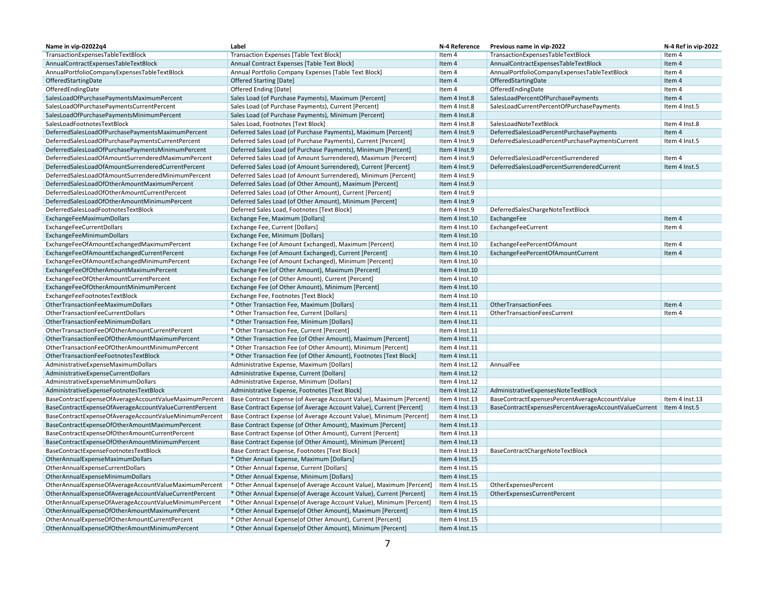| Name in vip-02022q4                                    | Label                                                                | N-4 Reference                    | Previous name in vip-2022                             | N-4 Ref in vip-2022 |
|--------------------------------------------------------|----------------------------------------------------------------------|----------------------------------|-------------------------------------------------------|---------------------|
| TransactionExpensesTableTextBlock                      | <b>Transaction Expenses [Table Text Block]</b>                       | Item 4                           | TransactionExpensesTableTextBlock                     | Item 4              |
| AnnualContractExpensesTableTextBlock                   | Annual Contract Expenses [Table Text Block]                          | Item 4                           | AnnualContractExpensesTableTextBlock                  | Item 4              |
| AnnualPortfolioCompanyExpensesTableTextBlock           | Annual Portfolio Company Expenses [Table Text Block]                 | Item 4                           | AnnualPortfolioCompanyExpensesTableTextBlock          | Item 4              |
| OfferedStartingDate                                    | <b>Offered Starting [Date]</b>                                       | Item 4                           | OfferedStartingDate                                   | Item 4              |
| OfferedEndingDate                                      | Offered Ending [Date]                                                | Item 4                           | OfferedEndingDate                                     | Item 4              |
| SalesLoadOfPurchasePaymentsMaximumPercent              | Sales Load (of Purchase Payments), Maximum [Percent]                 | Item 4 Inst.8                    | SalesLoadPercentOfPurchasePayments                    | Item 4              |
| SalesLoadOfPurchasePaymentsCurrentPercent              | Sales Load (of Purchase Payments), Current [Percent]                 | Item 4 Inst.8                    | SalesLoadCurrentPercentOfPurchasePayments             | Item 4 Inst.5       |
| SalesLoadOfPurchasePaymentsMinimumPercent              | Sales Load (of Purchase Payments), Minimum [Percent]                 | Item 4 Inst.8                    |                                                       |                     |
| SalesLoadFootnotesTextBlock                            | Sales Load, Footnotes [Text Block]                                   | Item 4 Inst.8                    | SalesLoadNoteTextBlock                                | Item 4 Inst.8       |
| DeferredSalesLoadOfPurchasePaymentsMaximumPercent      | Deferred Sales Load (of Purchase Payments), Maximum [Percent]        | Item 4 Inst.9                    | DeferredSalesLoadPercentPurchasePayments              | Item 4              |
| DeferredSalesLoadOfPurchasePaymentsCurrentPercent      | Deferred Sales Load (of Purchase Payments), Current [Percent]        | Item 4 Inst.9                    | DeferredSalesLoadPercentPurchasePaymentsCurrent       | Item 4 Inst.5       |
| DeferredSalesLoadOfPurchasePaymentsMinimumPercent      | Deferred Sales Load (of Purchase Payments), Minimum [Percent]        | Item 4 Inst.9                    |                                                       |                     |
| DeferredSalesLoadOfAmountSurrenderedMaximumPercent     | Deferred Sales Load (of Amount Surrendered), Maximum [Percent]       | Item 4 Inst.9                    | DeferredSalesLoadPercentSurrendered                   | Item 4              |
| DeferredSalesLoadOfAmountSurrenderedCurrentPercent     | Deferred Sales Load (of Amount Surrendered), Current [Percent]       | Item 4 Inst.9                    | DeferredSalesLoadPercentSurrenderedCurrent            | Item 4 Inst.5       |
| DeferredSalesLoadOfAmountSurrenderedMinimumPercent     | Deferred Sales Load (of Amount Surrendered), Minimum [Percent]       | Item 4 Inst.9                    |                                                       |                     |
| DeferredSalesLoadOfOtherAmountMaximumPercent           | Deferred Sales Load (of Other Amount), Maximum [Percent]             | Item 4 Inst.9                    |                                                       |                     |
| DeferredSalesLoadOfOtherAmountCurrentPercent           | Deferred Sales Load (of Other Amount), Current [Percent]             | Item 4 Inst.9                    |                                                       |                     |
| DeferredSalesLoadOfOtherAmountMinimumPercent           | Deferred Sales Load (of Other Amount), Minimum [Percent]             | Item 4 Inst.9                    |                                                       |                     |
| DeferredSalesLoadFootnotesTextBlock                    | Deferred Sales Load, Footnotes [Text Block]                          | Item 4 Inst.9                    | DeferredSalesChargeNoteTextBlock                      |                     |
| ExchangeFeeMaximumDollars                              | Exchange Fee, Maximum [Dollars]                                      | Item 4 Inst.10                   | ExchangeFee                                           | Item 4              |
| <b>ExchangeFeeCurrentDollars</b>                       | Exchange Fee, Current [Dollars]                                      | Item 4 Inst.10                   | ExchangeFeeCurrent                                    | Item 4              |
| ExchangeFeeMinimumDollars                              | Exchange Fee, Minimum [Dollars]                                      | Item 4 Inst.10                   |                                                       |                     |
| ExchangeFeeOfAmountExchangedMaximumPercent             | Exchange Fee (of Amount Exchanged), Maximum [Percent]                | Item 4 Inst.10                   | ExchangeFeePercentOfAmount                            | Item 4              |
| ExchangeFeeOfAmountExchangedCurrentPercent             | Exchange Fee (of Amount Exchanged), Current [Percent]                | Item 4 Inst.10                   | ExchangeFeePercentOfAmountCurrent                     | Item 4              |
| ExchangeFeeOfAmountExchangedMinimumPercent             | Exchange Fee (of Amount Exchanged), Minimum [Percent]                | Item 4 Inst.10                   |                                                       |                     |
| ExchangeFeeOfOtherAmountMaximumPercent                 | Exchange Fee (of Other Amount), Maximum [Percent]                    | Item 4 Inst.10                   |                                                       |                     |
| ExchangeFeeOfOtherAmountCurrentPercent                 | Exchange Fee (of Other Amount), Current [Percent]                    | Item 4 Inst.10                   |                                                       |                     |
| ExchangeFeeOfOtherAmountMinimumPercent                 | Exchange Fee (of Other Amount), Minimum [Percent]                    | Item 4 Inst.10                   |                                                       |                     |
| ExchangeFeeFootnotesTextBlock                          | Exchange Fee, Footnotes [Text Block]                                 | Item 4 Inst.10                   |                                                       |                     |
| OtherTransactionFeeMaximumDollars                      | * Other Transaction Fee, Maximum [Dollars]                           | Item 4 Inst.11                   | OtherTransactionFees                                  | Item 4              |
| OtherTransactionFeeCurrentDollars                      | * Other Transaction Fee, Current [Dollars]                           | Item 4 Inst.11                   | OtherTransactionFeesCurrent                           | Item 4              |
| OtherTransactionFeeMinimumDollars                      | * Other Transaction Fee, Minimum [Dollars]                           | Item 4 Inst.11                   |                                                       |                     |
| OtherTransactionFeeOfOtherAmountCurrentPercent         | * Other Transaction Fee, Current [Percent]                           | Item 4 Inst.11                   |                                                       |                     |
| OtherTransactionFeeOfOtherAmountMaximumPercent         | * Other Transaction Fee (of Other Amount), Maximum [Percent]         | Item 4 Inst.11                   |                                                       |                     |
| OtherTransactionFeeOfOtherAmountMinimumPercent         | * Other Transaction Fee (of Other Amount), Minimum [Percent]         | Item 4 Inst.11                   |                                                       |                     |
| OtherTransactionFeeFootnotesTextBlock                  | * Other Transaction Fee (of Other Amount), Footnotes [Text Block]    | Item 4 Inst.11                   |                                                       |                     |
| AdministrativeExpenseMaximumDollars                    | Administrative Expense, Maximum [Dollars]                            | Item 4 Inst.12                   | AnnualFee                                             |                     |
| AdministrativeExpenseCurrentDollars                    | Administrative Expense, Current [Dollars]                            | Item 4 Inst.12                   |                                                       |                     |
| AdministrativeExpenseMinimumDollars                    | Administrative Expense, Minimum [Dollars]                            | Item 4 Inst.12                   |                                                       |                     |
| AdministrativeExpenseFootnotesTextBlock                | Administrative Expense, Footnotes [Text Block]                       | Item 4 Inst.12                   | AdministrativeExpensesNoteTextBlock                   |                     |
| BaseContractExpenseOfAverageAccountValueMaximumPercent | Base Contract Expense (of Average Account Value), Maximum [Percent]  | Item 4 Inst.13                   | BaseContractExpensesPercentAverageAccountValue        | Item 4 Inst.13      |
| BaseContractExpenseOfAverageAccountValueCurrentPercent | Base Contract Expense (of Average Account Value), Current [Percent]  | Item 4 Inst.13                   | BaseContractExpensesPercentAverageAccountValueCurrent | Item 4 Inst.5       |
| BaseContractExpenseOfAverageAccountValueMinimumPercent | Base Contract Expense (of Average Account Value), Minimum [Percent]  | Item 4 Inst.13                   |                                                       |                     |
| BaseContractExpenseOfOtherAmountMaximumPercent         | Base Contract Expense (of Other Amount), Maximum [Percent]           |                                  |                                                       |                     |
|                                                        |                                                                      | Item 4 Inst.13<br>Item 4 Inst.13 |                                                       |                     |
| BaseContractExpenseOfOtherAmountCurrentPercent         | Base Contract Expense (of Other Amount), Current [Percent]           | Item 4 Inst.13                   |                                                       |                     |
| BaseContractExpenseOfOtherAmountMinimumPercent         | Base Contract Expense (of Other Amount), Minimum [Percent]           |                                  |                                                       |                     |
| BaseContractExpenseFootnotesTextBlock                  | Base Contract Expense, Footnotes [Text Block]                        | Item 4 Inst.13                   | BaseContractChargeNoteTextBlock                       |                     |
| OtherAnnualExpenseMaximumDollars                       | * Other Annual Expense, Maximum [Dollars]                            | Item 4 Inst.15                   |                                                       |                     |
| OtherAnnualExpenseCurrentDollars                       | * Other Annual Expense, Current [Dollars]                            | Item 4 Inst.15                   |                                                       |                     |
| OtherAnnualExpenseMinimumDollars                       | * Other Annual Expense, Minimum [Dollars]                            | Item 4 Inst.15                   |                                                       |                     |
| OtherAnnualExpenseOfAverageAccountValueMaximumPercent  | * Other Annual Expense (of Average Account Value), Maximum [Percent] | Item 4 Inst.15                   | OtherExpensesPercent                                  |                     |
| OtherAnnualExpenseOfAverageAccountValueCurrentPercent  | * Other Annual Expense(of Average Account Value), Current [Percent]  | Item 4 Inst.15                   | OtherExpensesCurrentPercent                           |                     |
| OtherAnnualExpenseOfAverageAccountValueMinimumPercent  | * Other Annual Expense(of Average Account Value), Minimum [Percent]  | Item 4 Inst.15                   |                                                       |                     |
| OtherAnnualExpenseOfOtherAmountMaximumPercent          | * Other Annual Expense(of Other Amount), Maximum [Percent]           | Item 4 Inst.15                   |                                                       |                     |
| OtherAnnualExpenseOfOtherAmountCurrentPercent          | * Other Annual Expense(of Other Amount), Current [Percent]           | Item 4 Inst.15                   |                                                       |                     |
| OtherAnnualExpenseOfOtherAmountMinimumPercent          | * Other Annual Expense(of Other Amount), Minimum [Percent]           | Item 4 Inst.15                   |                                                       |                     |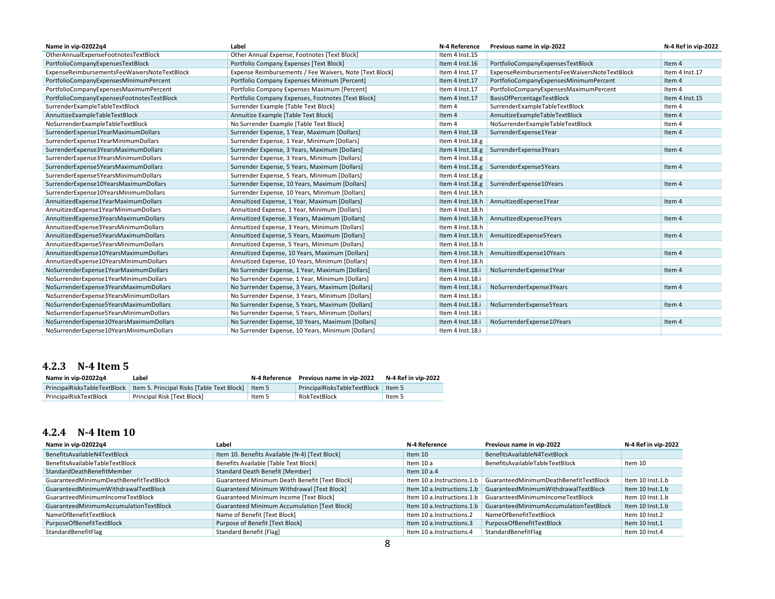| Name in vip-02022q4                          | Label                                                   | N-4 Reference    | Previous name in vip-2022                    | N-4 Ref in vip-2022 |
|----------------------------------------------|---------------------------------------------------------|------------------|----------------------------------------------|---------------------|
| OtherAnnualExpenseFootnotesTextBlock         | Other Annual Expense, Footnotes [Text Block]            | Item 4 Inst.15   |                                              |                     |
| PortfolioCompanyExpensesTextBlock            | Portfolio Company Expenses [Text Block]                 | Item 4 Inst.16   | PortfolioCompanyExpensesTextBlock            | Item 4              |
| ExpenseReimbursementsFeeWaiversNoteTextBlock | Expense Reimbursements / Fee Waivers, Note [Text Block] | Item 4 Inst.17   | ExpenseReimbursementsFeeWaiversNoteTextBlock | Item 4 Inst.17      |
| PortfolioCompanyExpensesMinimumPercent       | Portfolio Company Expenses Minimum [Percent]            | Item 4 Inst.17   | PortfolioCompanyExpensesMinimumPercent       | Item 4              |
| PortfolioCompanyExpensesMaximumPercent       | Portfolio Company Expenses Maximum [Percent]            | Item 4 Inst.17   | PortfolioCompanyExpensesMaximumPercent       | Item 4              |
| PortfolioCompanyExpensesFootnotesTextBlock   | Portfolio Company Expenses, Footnotes [Text Block]      | Item 4 Inst.17   | BasisOfPercentageTextBlock                   | Item 4 Inst.15      |
| SurrenderExampleTableTextBlock               | Surrender Example [Table Text Block]                    | Item 4           | SurrenderExampleTableTextBlock               | Item 4              |
| AnnuitizeExampleTableTextBlock               | Annuitize Example [Table Text Block]                    | Item 4           | AnnuitizeExampleTableTextBlock               | Item 4              |
| NoSurrenderExampleTableTextBlock             | No Surrender Example [Table Text Block]                 | Item 4           | NoSurrenderExampleTableTextBlock             | Item 4              |
| SurrenderExpense1YearMaximumDollars          | Surrender Expense, 1 Year, Maximum [Dollars]            | Item 4 Inst.18   | SurrenderExpense1Year                        | Item 4              |
| SurrenderExpense1YearMinimumDollars          | Surrender Expense, 1 Year, Minimum [Dollars]            | Item 4 Inst.18.g |                                              |                     |
| SurrenderExpense3YearsMaximumDollars         | Surrender Expense, 3 Years, Maximum [Dollars]           | Item 4 Inst.18.g | SurrenderExpense3Years                       | Item 4              |
| SurrenderExpense3YearsMinimumDollars         | Surrender Expense, 3 Years, Minimum [Dollars]           | Item 4 Inst.18.g |                                              |                     |
| SurrenderExpense5YearsMaximumDollars         | Surrender Expense, 5 Years, Maximum [Dollars]           | Item 4 Inst.18.g | SurrenderExpense5Years                       | Item 4              |
| SurrenderExpense5YearsMinimumDollars         | Surrender Expense, 5 Years, Minimum [Dollars]           | Item 4 Inst.18.g |                                              |                     |
| SurrenderExpense10YearsMaximumDollars        | Surrender Expense, 10 Years, Maximum [Dollars]          | Item 4 Inst.18.g | SurrenderExpense10Years                      | Item 4              |
| SurrenderExpense10YearsMinimumDollars        | Surrender Expense, 10 Years, Minimum [Dollars]          | Item 4 Inst.18.h |                                              |                     |
| AnnuitizedExpense1YearMaximumDollars         | Annuitized Expense, 1 Year, Maximum [Dollars]           | Item 4 Inst.18.h | AnnuitizedExpense1Year                       | Item 4              |
| AnnuitizedExpense1YearMinimumDollars         | Annuitized Expense, 1 Year, Minimum [Dollars]           | Item 4 Inst.18.h |                                              |                     |
| AnnuitizedExpense3YearsMaximumDollars        | Annuitized Expense, 3 Years, Maximum [Dollars]          | Item 4 Inst.18.h | AnnuitizedExpense3Years                      | Item 4              |
| AnnuitizedExpense3YearsMinimumDollars        | Annuitized Expense, 3 Years, Minimum [Dollars]          | Item 4 Inst.18.h |                                              |                     |
| AnnuitizedExpense5YearsMaximumDollars        | Annuitized Expense, 5 Years, Maximum [Dollars]          | Item 4 Inst.18.h | AnnuitizedExpense5Years                      | Item 4              |
| AnnuitizedExpense5YearsMinimumDollars        | Annuitized Expense, 5 Years, Minimum [Dollars]          | Item 4 Inst.18.h |                                              |                     |
| AnnuitizedExpense10YearsMaximumDollars       | Annuitized Expense, 10 Years, Maximum [Dollars]         | Item 4 Inst.18.h | AnnuitizedExpense10Years                     | Item 4              |
| AnnuitizedExpense10YearsMinimumDollars       | Annuitized Expense, 10 Years, Minimum [Dollars]         | Item 4 Inst.18.h |                                              |                     |
| NoSurrenderExpense1YearMaximumDollars        | No Surrender Expense, 1 Year, Maximum [Dollars]         | Item 4 Inst.18.i | NoSurrenderExpense1Year                      | Item 4              |
| NoSurrenderExpense1YearMinimumDollars        | No Surrender Expense, 1 Year, Minimum [Dollars]         | Item 4 Inst.18.i |                                              |                     |
| NoSurrenderExpense3YearsMaximumDollars       | No Surrender Expense, 3 Years, Maximum [Dollars]        | Item 4 Inst.18.i | NoSurrenderExpense3Years                     | Item 4              |
| NoSurrenderExpense3YearsMinimumDollars       | No Surrender Expense, 3 Years, Minimum [Dollars]        | Item 4 Inst.18.i |                                              |                     |
| NoSurrenderExpense5YearsMaximumDollars       | No Surrender Expense, 5 Years, Maximum [Dollars]        | Item 4 Inst.18.i | NoSurrenderExpense5Years                     | Item 4              |
| NoSurrenderExpense5YearsMinimumDollars       | No Surrender Expense, 5 Years, Minimum [Dollars]        | Item 4 Inst.18.i |                                              |                     |
| NoSurrenderExpense10YearsMaximumDollars      | No Surrender Expense, 10 Years, Maximum [Dollars]       | Item 4 Inst.18.i | NoSurrenderExpense10Years                    | Item 4              |
| NoSurrenderExpense10YearsMinimumDollars      | No Surrender Expense, 10 Years, Minimum [Dollars]       | Item 4 Inst.18.i |                                              |                     |

#### **4.2.3 N-4 Item 5**

| Name in vip-02022q4          | Label                                               |        | N-4 Reference Previous name in vip-2022 | N-4 Ref in vip-2022 |
|------------------------------|-----------------------------------------------------|--------|-----------------------------------------|---------------------|
| PrincipalRisksTableTextBlock | Item 5. Principal Risks [Table Text Block]   Item 5 |        | PrincipalRisksTableTextBlock   Item 5   |                     |
| PrincipalRiskTextBlock       | Principal Risk [Text Block]                         | Item 5 | RiskTextBlock                           | Item 5              |

#### **4.2.4 N-4 Item 10**

| Name in vip-02022q4                    | Label                                               | N-4 Reference              | Previous name in vip-2022                                           | N-4 Ref in vip-2022 |
|----------------------------------------|-----------------------------------------------------|----------------------------|---------------------------------------------------------------------|---------------------|
| BenefitsAvailableN4TextBlock           | Item 10. Benefits Available (N-4) [Text Block]      | Item 10                    | BenefitsAvailableN4TextBlock                                        |                     |
| BenefitsAvailableTableTextBlock        | Benefits Available [Table Text Block]               | Item 10 a                  | BenefitsAvailableTableTextBlock                                     | Item 10             |
| StandardDeathBenefitMember             | Standard Death Benefit [Member]                     | Item 10 a.4                |                                                                     |                     |
| GuaranteedMinimumDeathBenefitTextBlock | Guaranteed Minimum Death Benefit [Text Block]       |                            | Item 10 a.Instructions.1.b   GuaranteedMinimumDeathBenefitTextBlock | Item 10 Inst.1.b    |
| GuaranteedMinimumWithdrawalTextBlock   | Guaranteed Minimum Withdrawal [Text Block]          | Item 10 a.Instructions.1.b | GuaranteedMinimumWithdrawalTextBlock                                | Item 10 Inst.1.b    |
| GuaranteedMinimumIncomeTextBlock       | Guaranteed Minimum Income [Text Block]              | Item 10 a.Instructions.1.b | GuaranteedMinimumIncomeTextBlock                                    | Item 10 Inst.1.b    |
| GuaranteedMinimumAccumulationTextBlock | <b>Guaranteed Minimum Accumulation [Text Block]</b> | Item 10 a.Instructions.1.b | GuaranteedMinimumAccumulationTextBlock                              | Item 10 Inst.1.b    |
| NameOfBenefitTextBlock                 | Name of Benefit [Text Block]                        | Item 10 a.Instructions.2   | NameOfBenefitTextBlock                                              | Item 10 Inst.2      |
| PurposeOfBenefitTextBlock              | Purpose of Benefit [Text Block]                     | Item 10 a.Instructions.3   | PurposeOfBenefitTextBlock                                           | Item 10 Inst.1      |
| StandardBenefitFlag                    | Standard Benefit [Flag]                             | Item 10 a.Instructions.4   | StandardBenefitFlag                                                 | Item 10 Inst.4      |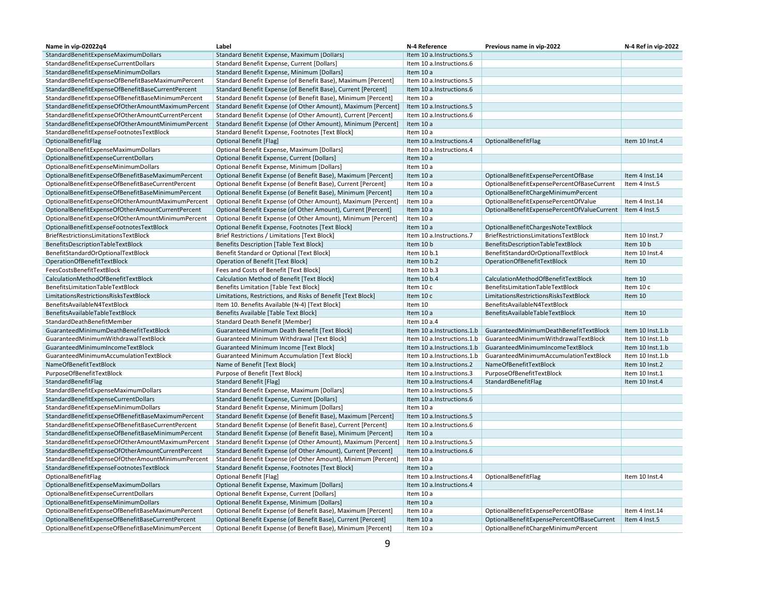| Name in vip-02022q4                               | Label                                                         | N-4 Reference              | Previous name in vip-2022                   | N-4 Ref in vip-2022 |
|---------------------------------------------------|---------------------------------------------------------------|----------------------------|---------------------------------------------|---------------------|
| StandardBenefitExpenseMaximumDollars              | Standard Benefit Expense, Maximum [Dollars]                   | Item 10 a.Instructions.5   |                                             |                     |
| StandardBenefitExpenseCurrentDollars              | Standard Benefit Expense, Current [Dollars]                   | Item 10 a.Instructions.6   |                                             |                     |
| StandardBenefitExpenseMinimumDollars              | Standard Benefit Expense, Minimum [Dollars]                   | Item 10 a                  |                                             |                     |
| StandardBenefitExpenseOfBenefitBaseMaximumPercent | Standard Benefit Expense (of Benefit Base), Maximum [Percent] | Item 10 a.Instructions.5   |                                             |                     |
| StandardBenefitExpenseOfBenefitBaseCurrentPercent | Standard Benefit Expense (of Benefit Base), Current [Percent] | Item 10 a.Instructions.6   |                                             |                     |
| StandardBenefitExpenseOfBenefitBaseMinimumPercent | Standard Benefit Expense (of Benefit Base), Minimum [Percent] | Item 10 a                  |                                             |                     |
| StandardBenefitExpenseOfOtherAmountMaximumPercent | Standard Benefit Expense (of Other Amount), Maximum [Percent] | Item 10 a.Instructions.5   |                                             |                     |
| StandardBenefitExpenseOfOtherAmountCurrentPercent | Standard Benefit Expense (of Other Amount), Current [Percent] | Item 10 a.Instructions.6   |                                             |                     |
| StandardBenefitExpenseOfOtherAmountMinimumPercent | Standard Benefit Expense (of Other Amount), Minimum [Percent] | Item 10 a                  |                                             |                     |
| StandardBenefitExpenseFootnotesTextBlock          | Standard Benefit Expense, Footnotes [Text Block]              | Item 10 a                  |                                             |                     |
| OptionalBenefitFlag                               | <b>Optional Benefit [Flag]</b>                                | Item 10 a.Instructions.4   | OptionalBenefitFlag                         | Item 10 Inst.4      |
| OptionalBenefitExpenseMaximumDollars              | Optional Benefit Expense, Maximum [Dollars]                   | Item 10 a.Instructions.4   |                                             |                     |
| OptionalBenefitExpenseCurrentDollars              | Optional Benefit Expense, Current [Dollars]                   | Item 10 a                  |                                             |                     |
| OptionalBenefitExpenseMinimumDollars              | Optional Benefit Expense, Minimum [Dollars]                   | Item 10 a                  |                                             |                     |
| OptionalBenefitExpenseOfBenefitBaseMaximumPercent | Optional Benefit Expense (of Benefit Base), Maximum [Percent] | Item 10 a                  | OptionalBenefitExpensePercentOfBase         | Item 4 Inst.14      |
| OptionalBenefitExpenseOfBenefitBaseCurrentPercent | Optional Benefit Expense (of Benefit Base), Current [Percent] | Item 10 a                  | OptionalBenefitExpensePercentOfBaseCurrent  | Item 4 Inst.5       |
| OptionalBenefitExpenseOfBenefitBaseMinimumPercent | Optional Benefit Expense (of Benefit Base), Minimum [Percent] | Item 10 a                  | OptionalBenefitChargeMinimumPercent         |                     |
| OptionalBenefitExpenseOfOtherAmountMaximumPercent | Optional Benefit Expense (of Other Amount), Maximum [Percent] | Item 10 a                  | OptionalBenefitExpensePercentOfValue        | Item 4 Inst.14      |
| OptionalBenefitExpenseOfOtherAmountCurrentPercent | Optional Benefit Expense (of Other Amount), Current [Percent] | Item 10 a                  | OptionalBenefitExpensePercentOfValueCurrent | Item 4 Inst.5       |
| OptionalBenefitExpenseOfOtherAmountMinimumPercent | Optional Benefit Expense (of Other Amount), Minimum [Percent] | Item 10 a                  |                                             |                     |
| OptionalBenefitExpenseFootnotesTextBlock          | Optional Benefit Expense, Footnotes [Text Block]              | Item 10 a                  | OptionalBenefitChargesNoteTextBlock         |                     |
| BriefRestrictionsLimitationsTextBlock             | Brief Restrictions / Limitations [Text Block]                 | Item 10 a.Instructions.7   | BriefRestrictionsLimitationsTextBlock       | Item 10 Inst.7      |
| BenefitsDescriptionTableTextBlock                 | Benefits Description [Table Text Block]                       | Item 10 b                  | BenefitsDescriptionTableTextBlock           | Item 10 b           |
| BenefitStandardOrOptionalTextBlock                | Benefit Standard or Optional [Text Block]                     | Item 10 b.1                | BenefitStandardOrOptionalTextBlock          | Item 10 Inst.4      |
| OperationOfBenefitTextBlock                       | Operation of Benefit [Text Block]                             | Item 10 b.2                | OperationOfBenefitTextBlock                 | Item 10             |
| FeesCostsBenefitTextBlock                         | Fees and Costs of Benefit [Text Block]                        | Item 10 b.3                |                                             |                     |
| CalculationMethodOfBenefitTextBlock               | Calculation Method of Benefit [Text Block]                    | Item 10 b.4                | CalculationMethodOfBenefitTextBlock         | Item 10             |
| BenefitsLimitationTableTextBlock                  | Benefits Limitation [Table Text Block]                        | Item 10 c                  | BenefitsLimitationTableTextBlock            | Item 10 c           |
| LimitationsRestrictionsRisksTextBlock             | Limitations, Restrictions, and Risks of Benefit [Text Block]  | Item 10 c                  | LimitationsRestrictionsRisksTextBlock       | Item 10             |
| BenefitsAvailableN4TextBlock                      | Item 10. Benefits Available (N-4) [Text Block]                | Item 10                    | BenefitsAvailableN4TextBlock                |                     |
| BenefitsAvailableTableTextBlock                   | Benefits Available [Table Text Block]                         | Item 10 a                  | BenefitsAvailableTableTextBlock             | Item 10             |
| StandardDeathBenefitMember                        | Standard Death Benefit [Member]                               | Item 10 a.4                |                                             |                     |
| GuaranteedMinimumDeathBenefitTextBlock            | Guaranteed Minimum Death Benefit [Text Block]                 | Item 10 a.Instructions.1.b | GuaranteedMinimumDeathBenefitTextBlock      | Item 10 Inst.1.b    |
| GuaranteedMinimumWithdrawalTextBlock              | Guaranteed Minimum Withdrawal [Text Block]                    | Item 10 a.Instructions.1.b | GuaranteedMinimumWithdrawalTextBlock        | Item 10 Inst.1.b    |
| GuaranteedMinimumIncomeTextBlock                  | <b>Guaranteed Minimum Income [Text Block]</b>                 | Item 10 a.Instructions.1.b | GuaranteedMinimumIncomeTextBlock            | Item 10 Inst.1.b    |
| GuaranteedMinimumAccumulationTextBlock            | <b>Guaranteed Minimum Accumulation [Text Block]</b>           | Item 10 a.Instructions.1.b | GuaranteedMinimumAccumulationTextBlock      | Item 10 Inst.1.b    |
| NameOfBenefitTextBlock                            | Name of Benefit [Text Block]                                  | Item 10 a.Instructions.2   | NameOfBenefitTextBlock                      | Item 10 Inst.2      |
| PurposeOfBenefitTextBlock                         | Purpose of Benefit [Text Block]                               | Item 10 a.Instructions.3   | PurposeOfBenefitTextBlock                   | Item 10 Inst.1      |
| StandardBenefitFlag                               | <b>Standard Benefit [Flag]</b>                                | Item 10 a.Instructions.4   | StandardBenefitFlag                         | Item 10 Inst.4      |
| StandardBenefitExpenseMaximumDollars              | Standard Benefit Expense, Maximum [Dollars]                   | Item 10 a.Instructions.5   |                                             |                     |
| StandardBenefitExpenseCurrentDollars              | Standard Benefit Expense, Current [Dollars]                   | Item 10 a.Instructions.6   |                                             |                     |
| StandardBenefitExpenseMinimumDollars              | Standard Benefit Expense, Minimum [Dollars]                   | Item 10 a                  |                                             |                     |
| StandardBenefitExpenseOfBenefitBaseMaximumPercent | Standard Benefit Expense (of Benefit Base), Maximum [Percent] | Item 10 a.Instructions.5   |                                             |                     |
| StandardBenefitExpenseOfBenefitBaseCurrentPercent | Standard Benefit Expense (of Benefit Base), Current [Percent] | Item 10 a.Instructions.6   |                                             |                     |
| StandardBenefitExpenseOfBenefitBaseMinimumPercent | Standard Benefit Expense (of Benefit Base), Minimum [Percent] | Item 10 a                  |                                             |                     |
| StandardBenefitExpenseOfOtherAmountMaximumPercent | Standard Benefit Expense (of Other Amount), Maximum [Percent] | Item 10 a.Instructions.5   |                                             |                     |
| StandardBenefitExpenseOfOtherAmountCurrentPercent | Standard Benefit Expense (of Other Amount), Current [Percent] | Item 10 a.Instructions.6   |                                             |                     |
| StandardBenefitExpenseOfOtherAmountMinimumPercent | Standard Benefit Expense (of Other Amount), Minimum [Percent] | Item 10 a                  |                                             |                     |
| StandardBenefitExpenseFootnotesTextBlock          | Standard Benefit Expense, Footnotes [Text Block]              | Item 10 a                  |                                             |                     |
| OptionalBenefitFlag                               | <b>Optional Benefit [Flag]</b>                                | Item 10 a.Instructions.4   | OptionalBenefitFlag                         | Item 10 Inst.4      |
| OptionalBenefitExpenseMaximumDollars              | Optional Benefit Expense, Maximum [Dollars]                   | Item 10 a.Instructions.4   |                                             |                     |
| OptionalBenefitExpenseCurrentDollars              | Optional Benefit Expense, Current [Dollars]                   | Item 10 a                  |                                             |                     |
| OptionalBenefitExpenseMinimumDollars              | Optional Benefit Expense, Minimum [Dollars]                   | Item 10 a                  |                                             |                     |
| OptionalBenefitExpenseOfBenefitBaseMaximumPercent | Optional Benefit Expense (of Benefit Base), Maximum [Percent] | Item 10 a                  | OptionalBenefitExpensePercentOfBase         | Item 4 Inst.14      |
| OptionalBenefitExpenseOfBenefitBaseCurrentPercent | Optional Benefit Expense (of Benefit Base), Current [Percent] | Item 10 a                  | OptionalBenefitExpensePercentOfBaseCurrent  | Item 4 Inst.5       |
| OptionalBenefitExpenseOfBenefitBaseMinimumPercent | Optional Benefit Expense (of Benefit Base), Minimum [Percent] | Item 10 a                  | OptionalBenefitChargeMinimumPercent         |                     |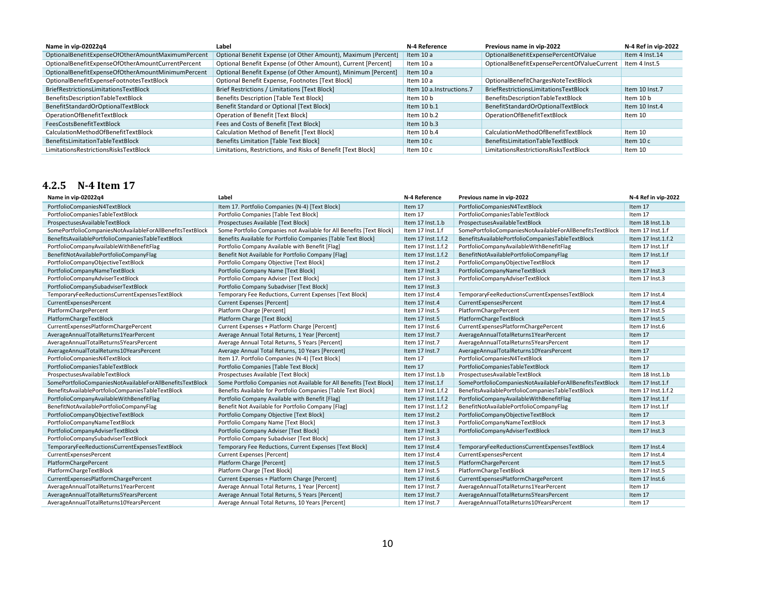| Name in vip-02022q4                               | Label                                                         | N-4 Reference            | Previous name in vip-2022                    | N-4 Ref in vip-2022 |
|---------------------------------------------------|---------------------------------------------------------------|--------------------------|----------------------------------------------|---------------------|
| OptionalBenefitExpenseOfOtherAmountMaximumPercent | Optional Benefit Expense (of Other Amount), Maximum [Percent] | Item 10 a                | OptionalBenefitExpensePercentOfValue         | Item 4 Inst.14      |
| OptionalBenefitExpenseOfOtherAmountCurrentPercent | Optional Benefit Expense (of Other Amount), Current [Percent] | Item 10 a                | OptionalBenefitExpensePercentOfValueCurrent  | Item 4 Inst.5       |
| OptionalBenefitExpenseOfOtherAmountMinimumPercent | Optional Benefit Expense (of Other Amount), Minimum [Percent] | Item 10 a                |                                              |                     |
| OptionalBenefitExpenseFootnotesTextBlock          | Optional Benefit Expense, Footnotes [Text Block]              | Item 10 a                | OptionalBenefitChargesNoteTextBlock          |                     |
| BriefRestrictionsLimitationsTextBlock             | Brief Restrictions / Limitations [Text Block]                 | Item 10 a.Instructions.7 | <b>BriefRestrictionsLimitationsTextBlock</b> | Item 10 Inst.7      |
| BenefitsDescriptionTableTextBlock                 | Benefits Description [Table Text Block]                       | Item 10 b                | BenefitsDescriptionTableTextBlock            | Item 10 b           |
| BenefitStandardOrOptionalTextBlock                | Benefit Standard or Optional [Text Block]                     | Item 10 b.1              | BenefitStandardOrOptionalTextBlock           | Item 10 Inst.4      |
| OperationOfBenefitTextBlock                       | Operation of Benefit [Text Block]                             | Item 10 b.2              | OperationOfBenefitTextBlock                  | Item 10             |
| FeesCostsBenefitTextBlock                         | Fees and Costs of Benefit [Text Block]                        | Item 10 b.3              |                                              |                     |
| CalculationMethodOfBenefitTextBlock               | Calculation Method of Benefit [Text Block]                    | Item 10 b.4              | CalculationMethodOfBenefitTextBlock          | Item 10             |
| BenefitsLimitationTableTextBlock                  | Benefits Limitation [Table Text Block]                        | Item 10 c                | BenefitsLimitationTableTextBlock             | Item 10 c           |
| LimitationsRestrictionsRisksTextBlock             | Limitations, Restrictions, and Risks of Benefit [Text Block]  | Item 10 c                | LimitationsRestrictionsRisksTextBlock        | Item 10             |

#### **4.2.5 N-4 Item 17**

| Name in vip-02022q4                                       | Label                                                                | N-4 Reference      | Previous name in vip-2022                                 | N-4 Ref in vip-2022 |
|-----------------------------------------------------------|----------------------------------------------------------------------|--------------------|-----------------------------------------------------------|---------------------|
| PortfolioCompaniesN4TextBlock                             | Item 17. Portfolio Companies (N-4) [Text Block]                      | Item 17            | PortfolioCompaniesN4TextBlock                             | Item 17             |
| PortfolioCompaniesTableTextBlock                          | Portfolio Companies [Table Text Block]                               | Item 17            | PortfolioCompaniesTableTextBlock                          | Item 17             |
| ProspectusesAvailableTextBlock                            | Prospectuses Available [Text Block]                                  | Item 17 Inst.1.b   | ProspectusesAvailableTextBlock                            | Item 18 Inst.1.b    |
| SomePortfolioCompaniesNotAvailableForAllBenefitsTextBlock | Some Portfolio Companies not Available for All Benefits [Text Block] | Item 17 Inst.1.f   | SomePortfolioCompaniesNotAvailableForAllBenefitsTextBlock | Item 17 Inst.1.f    |
| BenefitsAvailablePortfolioCompaniesTableTextBlock         | Benefits Available for Portfolio Companies [Table Text Block]        | Item 17 Inst.1.f.2 | BenefitsAvailablePortfolioCompaniesTableTextBlock         | Item 17 Inst.1.f.2  |
| PortfolioCompanyAvailableWithBenefitFlag                  | Portfolio Company Available with Benefit [Flag]                      | Item 17 Inst.1.f.2 | PortfolioCompanyAvailableWithBenefitFlag                  | Item 17 Inst.1.f    |
| BenefitNotAvailablePortfolioCompanyFlag                   | Benefit Not Available for Portfolio Company [Flag]                   | Item 17 Inst.1.f.2 | BenefitNotAvailablePortfolioCompanyFlag                   | Item 17 Inst.1.f    |
| PortfolioCompanyObjectiveTextBlock                        | Portfolio Company Objective [Text Block]                             | Item 17 Inst.2     | PortfolioCompanyObjectiveTextBlock                        | Item 17             |
| PortfolioCompanyNameTextBlock                             | Portfolio Company Name [Text Block]                                  | Item 17 Inst.3     | PortfolioCompanyNameTextBlock                             | Item 17 Inst.3      |
| PortfolioCompanyAdviserTextBlock                          | Portfolio Company Adviser [Text Block]                               | Item 17 Inst.3     | PortfolioCompanyAdviserTextBlock                          | Item 17 Inst.3      |
| PortfolioCompanySubadviserTextBlock                       | Portfolio Company Subadviser [Text Block]                            | Item 17 Inst.3     |                                                           |                     |
| TemporaryFeeReductionsCurrentExpensesTextBlock            | Temporary Fee Reductions, Current Expenses [Text Block]              | Item 17 Inst.4     | TemporaryFeeReductionsCurrentExpensesTextBlock            | Item 17 Inst.4      |
| CurrentExpensesPercent                                    | <b>Current Expenses [Percent]</b>                                    | Item 17 Inst.4     | CurrentExpensesPercent                                    | Item 17 Inst.4      |
| PlatformChargePercent                                     | Platform Charge [Percent]                                            | Item 17 Inst.5     | PlatformChargePercent                                     | Item 17 Inst.5      |
| PlatformChargeTextBlock                                   | Platform Charge [Text Block]                                         | Item 17 Inst.5     | PlatformChargeTextBlock                                   | Item 17 Inst.5      |
| CurrentExpensesPlatformChargePercent                      | Current Expenses + Platform Charge [Percent]                         | Item 17 Inst.6     | CurrentExpensesPlatformChargePercent                      | Item 17 Inst.6      |
| AverageAnnualTotalReturns1YearPercent                     | Average Annual Total Returns, 1 Year [Percent]                       | Item 17 Inst.7     | AverageAnnualTotalReturns1YearPercent                     | Item 17             |
| AverageAnnualTotalReturns5YearsPercent                    | Average Annual Total Returns, 5 Years [Percent]                      | Item 17 Inst.7     | AverageAnnualTotalReturns5YearsPercent                    | Item 17             |
| AverageAnnualTotalReturns10YearsPercent                   | Average Annual Total Returns, 10 Years [Percent]                     | Item 17 Inst.7     | AverageAnnualTotalReturns10YearsPercent                   | Item 17             |
| PortfolioCompaniesN4TextBlock                             | Item 17. Portfolio Companies (N-4) [Text Block]                      | Item 17            | PortfolioCompaniesN4TextBlock                             | Item 17             |
| PortfolioCompaniesTableTextBlock                          | Portfolio Companies [Table Text Block]                               | Item 17            | PortfolioCompaniesTableTextBlock                          | Item 17             |
| ProspectusesAvailableTextBlock                            | Prospectuses Available [Text Block]                                  | Item 17 Inst.1.b   | ProspectusesAvailableTextBlock                            | Item 18 Inst.1.b    |
| SomePortfolioCompaniesNotAvailableForAllBenefitsTextBlock | Some Portfolio Companies not Available for All Benefits [Text Block] | Item 17 Inst.1.f   | SomePortfolioCompaniesNotAvailableForAllBenefitsTextBlock | Item 17 Inst.1.f    |
| BenefitsAvailablePortfolioCompaniesTableTextBlock         | Benefits Available for Portfolio Companies [Table Text Block]        | Item 17 Inst.1.f.2 | BenefitsAvailablePortfolioCompaniesTableTextBlock         | Item 17 Inst.1.f.2  |
| PortfolioCompanyAvailableWithBenefitFlag                  | Portfolio Company Available with Benefit [Flag]                      | Item 17 Inst.1.f.2 | PortfolioCompanyAvailableWithBenefitFlag                  | Item 17 Inst.1.f    |
| BenefitNotAvailablePortfolioCompanyFlag                   | Benefit Not Available for Portfolio Company [Flag]                   | Item 17 Inst.1.f.2 | BenefitNotAvailablePortfolioCompanyFlag                   | Item 17 Inst.1.f    |
| PortfolioCompanyObjectiveTextBlock                        | Portfolio Company Objective [Text Block]                             | Item 17 Inst.2     | PortfolioCompanyObjectiveTextBlock                        | Item 17             |
| PortfolioCompanyNameTextBlock                             | Portfolio Company Name [Text Block]                                  | Item 17 Inst.3     | PortfolioCompanyNameTextBlock                             | Item 17 Inst.3      |
| PortfolioCompanyAdviserTextBlock                          | Portfolio Company Adviser [Text Block]                               | Item 17 Inst.3     | PortfolioCompanyAdviserTextBlock                          | Item 17 Inst.3      |
| PortfolioCompanySubadviserTextBlock                       | Portfolio Company Subadviser [Text Block]                            | Item 17 Inst.3     |                                                           |                     |
| TemporaryFeeReductionsCurrentExpensesTextBlock            | Temporary Fee Reductions, Current Expenses [Text Block]              | Item 17 Inst.4     | TemporaryFeeReductionsCurrentExpensesTextBlock            | Item 17 Inst.4      |
| CurrentExpensesPercent                                    | <b>Current Expenses [Percent]</b>                                    | Item 17 Inst.4     | CurrentExpensesPercent                                    | Item 17 Inst.4      |
| PlatformChargePercent                                     | Platform Charge [Percent]                                            | Item 17 Inst.5     | PlatformChargePercent                                     | Item 17 Inst.5      |
| PlatformChargeTextBlock                                   | Platform Charge [Text Block]                                         | Item 17 Inst.5     | PlatformChargeTextBlock                                   | Item 17 Inst.5      |
| CurrentExpensesPlatformChargePercent                      | Current Expenses + Platform Charge [Percent]                         | Item 17 Inst.6     | CurrentExpensesPlatformChargePercent                      | Item 17 Inst.6      |
| AverageAnnualTotalReturns1YearPercent                     | Average Annual Total Returns, 1 Year [Percent]                       | Item 17 Inst.7     | AverageAnnualTotalReturns1YearPercent                     | Item 17             |
| AverageAnnualTotalReturns5YearsPercent                    | Average Annual Total Returns, 5 Years [Percent]                      | Item 17 Inst.7     | AverageAnnualTotalReturns5YearsPercent                    | Item 17             |
| AverageAnnualTotalReturns10YearsPercent                   | Average Annual Total Returns, 10 Years [Percent]                     | Item 17 Inst.7     | AverageAnnualTotalReturns10YearsPercent                   | Item 17             |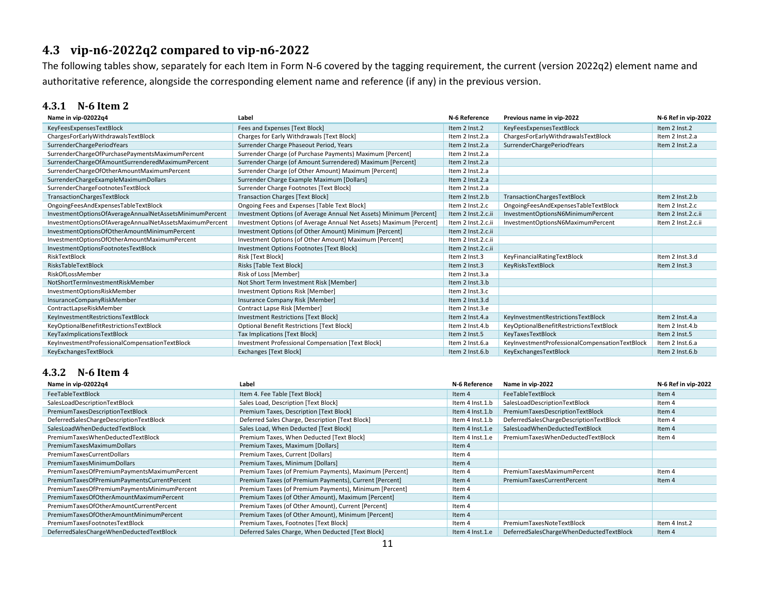## **4.3 vip-n6-2022q2 compared to vip-n6-2022**

The following tables show, separately for each Item in Form N-6 covered by the tagging requirement, the current (version 2022q2) element name and authoritative reference, alongside the corresponding element name and reference (if any) in the previous version.

#### **4.3.1 N-6 Item 2**

<span id="page-22-0"></span>

| Name in vip-02022q4                                     | Label                                                               | N-6 Reference      | Previous name in vip-2022                      | N-6 Ref in vip-2022 |
|---------------------------------------------------------|---------------------------------------------------------------------|--------------------|------------------------------------------------|---------------------|
| KeyFeesExpensesTextBlock                                | Fees and Expenses [Text Block]                                      | Item 2 Inst.2      | KeyFeesExpensesTextBlock                       | Item 2 Inst.2       |
| ChargesForEarlyWithdrawalsTextBlock                     | Charges for Early Withdrawals [Text Block]                          | Item 2 Inst.2.a    | ChargesForEarlyWithdrawalsTextBlock            | Item 2 Inst.2.a     |
| SurrenderChargePeriodYears                              | Surrender Charge Phaseout Period, Years                             | Item 2 Inst.2.a    | SurrenderChargePeriodYears                     | Item 2 Inst.2.a     |
| SurrenderChargeOfPurchasePaymentsMaximumPercent         | Surrender Charge (of Purchase Payments) Maximum [Percent]           | Item 2 Inst.2.a    |                                                |                     |
| SurrenderChargeOfAmountSurrenderedMaximumPercent        | Surrender Charge (of Amount Surrendered) Maximum [Percent]          | Item 2 Inst.2.a    |                                                |                     |
| SurrenderChargeOfOtherAmountMaximumPercent              | Surrender Charge (of Other Amount) Maximum [Percent]                | Item 2 Inst.2.a    |                                                |                     |
| SurrenderChargeExampleMaximumDollars                    | Surrender Charge Example Maximum [Dollars]                          | Item 2 Inst.2.a    |                                                |                     |
| SurrenderChargeFootnotesTextBlock                       | Surrender Charge Footnotes [Text Block]                             | Item 2 Inst.2.a    |                                                |                     |
| TransactionChargesTextBlock                             | <b>Transaction Charges [Text Block]</b>                             | Item 2 Inst.2.b    | TransactionChargesTextBlock                    | Item 2 Inst.2.b     |
| OngoingFeesAndExpensesTableTextBlock                    | Ongoing Fees and Expenses [Table Text Block]                        | Item 2 Inst.2.c    | OngoingFeesAndExpensesTableTextBlock           | Item 2 Inst.2.c     |
| InvestmentOptionsOfAverageAnnualNetAssetsMinimumPercent | Investment Options (of Average Annual Net Assets) Minimum [Percent] | Item 2 Inst.2.c.ii | InvestmentOptionsN6MinimumPercent              | Item 2 Inst.2.c.ii  |
| InvestmentOptionsOfAverageAnnualNetAssetsMaximumPercent | Investment Options (of Average Annual Net Assets) Maximum [Percent] | Item 2 Inst.2.c.ii | InvestmentOptionsN6MaximumPercent              | Item 2 Inst.2.c.ii  |
| InvestmentOptionsOfOtherAmountMinimumPercent            | Investment Options (of Other Amount) Minimum [Percent]              | Item 2 Inst.2.c.ii |                                                |                     |
| InvestmentOptionsOfOtherAmountMaximumPercent            | Investment Options (of Other Amount) Maximum [Percent]              | Item 2 Inst.2.c.ii |                                                |                     |
| InvestmentOptionsFootnotesTextBlock                     | <b>Investment Options Footnotes [Text Block]</b>                    | Item 2 Inst.2.c.ii |                                                |                     |
| RiskTextBlock                                           | Risk [Text Block]                                                   | Item 2 Inst.3      | KeyFinancialRatingTextBlock                    | Item 2 Inst.3.d     |
| RisksTableTextBlock                                     | Risks [Table Text Block]                                            | Item 2 Inst.3      | KeyRisksTextBlock                              | Item 2 Inst.3       |
| RiskOfLossMember                                        | Risk of Loss [Member]                                               | Item 2 Inst.3.a    |                                                |                     |
| NotShortTermInvestmentRiskMember                        | Not Short Term Investment Risk [Member]                             | Item 2 Inst.3.b    |                                                |                     |
| InvestmentOptionsRiskMember                             | <b>Investment Options Risk [Member]</b>                             | Item 2 Inst.3.c    |                                                |                     |
| InsuranceCompanyRiskMember                              | Insurance Company Risk [Member]                                     | Item 2 Inst.3.d    |                                                |                     |
| ContractLapseRiskMember                                 | Contract Lapse Risk [Member]                                        | Item 2 Inst.3.e    |                                                |                     |
| KeyInvestmentRestrictionsTextBlock                      | <b>Investment Restrictions [Text Block]</b>                         | Item 2 Inst.4.a    | KeyInvestmentRestrictionsTextBlock             | Item 2 Inst.4.a     |
| KeyOptionalBenefitRestrictionsTextBlock                 | <b>Optional Benefit Restrictions [Text Block]</b>                   | Item 2 Inst.4.b    | KeyOptionalBenefitRestrictionsTextBlock        | Item 2 Inst.4.b     |
| KeyTaxImplicationsTextBlock                             | Tax Implications [Text Block]                                       | Item 2 Inst.5      | KeyTaxesTextBlock                              | Item 2 Inst.5       |
| KeyInvestmentProfessionalCompensationTextBlock          | <b>Investment Professional Compensation [Text Block]</b>            | Item 2 Inst.6.a    | KeyInvestmentProfessionalCompensationTextBlock | Item 2 Inst.6.a     |
| KeyExchangesTextBlock                                   | <b>Exchanges [Text Block]</b>                                       | Item 2 Inst.6.b    | KeyExchangesTextBlock                          | Item 2 Inst.6.b     |

#### **4.3.2 N-6 Item 4**

| Name in vip-02022q4                         | Label                                                  | N-6 Reference   | Name in vip-2022                         | N-6 Ref in vip-2022 |
|---------------------------------------------|--------------------------------------------------------|-----------------|------------------------------------------|---------------------|
| FeeTableTextBlock                           | Item 4. Fee Table [Text Block]                         | Item 4          | FeeTableTextBlock                        | Item 4              |
| SalesLoadDescriptionTextBlock               | Sales Load, Description [Text Block]                   | Item 4 Inst.1.b | SalesLoadDescriptionTextBlock            | Item 4              |
| PremiumTaxesDescriptionTextBlock            | Premium Taxes, Description [Text Block]                | Item 4 Inst.1.b | PremiumTaxesDescriptionTextBlock         | Item 4              |
| DeferredSalesChargeDescriptionTextBlock     | Deferred Sales Charge, Description [Text Block]        | Item 4 Inst.1.b | DeferredSalesChargeDescriptionTextBlock  | Item 4              |
| SalesLoadWhenDeductedTextBlock              | Sales Load, When Deducted [Text Block]                 | Item 4 Inst.1.e | SalesLoadWhenDeductedTextBlock           | Item 4              |
| PremiumTaxesWhenDeductedTextBlock           | Premium Taxes, When Deducted [Text Block]              | Item 4 Inst.1.e | PremiumTaxesWhenDeductedTextBlock        | Item 4              |
| PremiumTaxesMaximumDollars                  | Premium Taxes, Maximum [Dollars]                       | Item 4          |                                          |                     |
| PremiumTaxesCurrentDollars                  | Premium Taxes, Current [Dollars]                       | Item 4          |                                          |                     |
| PremiumTaxesMinimumDollars                  | Premium Taxes, Minimum [Dollars]                       | Item 4          |                                          |                     |
| PremiumTaxesOfPremiumPaymentsMaximumPercent | Premium Taxes (of Premium Payments), Maximum [Percent] | Item 4          | PremiumTaxesMaximumPercent               | Item 4              |
| PremiumTaxesOfPremiumPaymentsCurrentPercent | Premium Taxes (of Premium Payments), Current [Percent] | Item 4          | PremiumTaxesCurrentPercent               | Item 4              |
| PremiumTaxesOfPremiumPaymentsMinimumPercent | Premium Taxes (of Premium Payments), Minimum [Percent] | Item 4          |                                          |                     |
| PremiumTaxesOfOtherAmountMaximumPercent     | Premium Taxes (of Other Amount), Maximum [Percent]     | Item 4          |                                          |                     |
| PremiumTaxesOfOtherAmountCurrentPercent     | Premium Taxes (of Other Amount), Current [Percent]     | Item 4          |                                          |                     |
| PremiumTaxesOfOtherAmountMinimumPercent     | Premium Taxes (of Other Amount), Minimum [Percent]     | Item 4          |                                          |                     |
| PremiumTaxesFootnotesTextBlock              | Premium Taxes, Footnotes [Text Block]                  | Item 4          | PremiumTaxesNoteTextBlock                | Item 4 Inst.2       |
| DeferredSalesChargeWhenDeductedTextBlock    | Deferred Sales Charge, When Deducted [Text Block]      | Item 4 Inst.1.e | DeferredSalesChargeWhenDeductedTextBlock | Item 4              |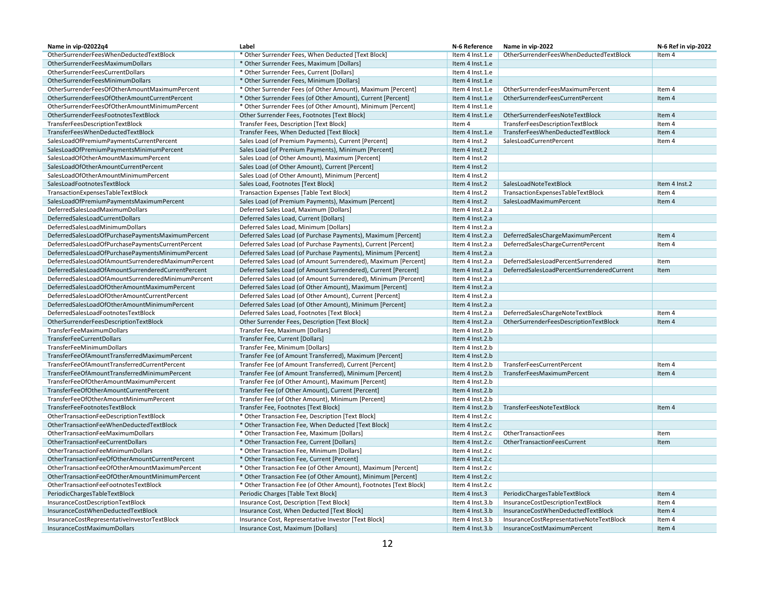| Name in vip-02022q4                                | Label                                                             | N-6 Reference   | Name in vip-2022                           | N-6 Ref in vip-2022 |
|----------------------------------------------------|-------------------------------------------------------------------|-----------------|--------------------------------------------|---------------------|
| OtherSurrenderFeesWhenDeductedTextBlock            | * Other Surrender Fees, When Deducted [Text Block]                | Item 4 Inst.1.e | OtherSurrenderFeesWhenDeductedTextBlock    | Item 4              |
| OtherSurrenderFeesMaximumDollars                   | * Other Surrender Fees, Maximum [Dollars]                         | Item 4 Inst.1.e |                                            |                     |
| OtherSurrenderFeesCurrentDollars                   | * Other Surrender Fees, Current [Dollars]                         | Item 4 Inst.1.e |                                            |                     |
| OtherSurrenderFeesMinimumDollars                   | * Other Surrender Fees, Minimum [Dollars]                         | Item 4 Inst.1.e |                                            |                     |
| OtherSurrenderFeesOfOtherAmountMaximumPercent      | * Other Surrender Fees (of Other Amount), Maximum [Percent]       | Item 4 Inst.1.e | OtherSurrenderFeesMaximumPercent           | Item 4              |
| OtherSurrenderFeesOfOtherAmountCurrentPercent      | * Other Surrender Fees (of Other Amount), Current [Percent]       | Item 4 Inst.1.e | OtherSurrenderFeesCurrentPercent           | Item 4              |
| OtherSurrenderFeesOfOtherAmountMinimumPercent      | * Other Surrender Fees (of Other Amount), Minimum [Percent]       | Item 4 Inst.1.e |                                            |                     |
| OtherSurrenderFeesFootnotesTextBlock               | Other Surrender Fees, Footnotes [Text Block]                      | Item 4 Inst.1.e | OtherSurrenderFeesNoteTextBlock            | Item 4              |
| TransferFeesDescriptionTextBlock                   | Transfer Fees, Description [Text Block]                           | Item 4          | TransferFeesDescriptionTextBlock           | Item 4              |
| TransferFeesWhenDeductedTextBlock                  | Transfer Fees, When Deducted [Text Block]                         | Item 4 Inst.1.e | TransferFeesWhenDeductedTextBlock          | Item 4              |
| SalesLoadOfPremiumPaymentsCurrentPercent           | Sales Load (of Premium Payments), Current [Percent]               | Item 4 Inst.2   | SalesLoadCurrentPercent                    | Item 4              |
| SalesLoadOfPremiumPaymentsMinimumPercent           | Sales Load (of Premium Payments), Minimum [Percent]               | Item 4 Inst.2   |                                            |                     |
| SalesLoadOfOtherAmountMaximumPercent               | Sales Load (of Other Amount), Maximum [Percent]                   | Item 4 Inst.2   |                                            |                     |
| SalesLoadOfOtherAmountCurrentPercent               | Sales Load (of Other Amount), Current [Percent]                   | Item 4 Inst.2   |                                            |                     |
| SalesLoadOfOtherAmountMinimumPercent               | Sales Load (of Other Amount), Minimum [Percent]                   | Item 4 Inst.2   |                                            |                     |
| SalesLoadFootnotesTextBlock                        | Sales Load, Footnotes [Text Block]                                | Item 4 Inst.2   | SalesLoadNoteTextBlock                     | Item 4 Inst.2       |
| TransactionExpensesTableTextBlock                  | <b>Transaction Expenses [Table Text Block]</b>                    | Item 4 Inst.2   | TransactionExpensesTableTextBlock          | Item 4              |
| SalesLoadOfPremiumPaymentsMaximumPercent           | Sales Load (of Premium Payments), Maximum [Percent]               | Item 4 Inst.2   | SalesLoadMaximumPercent                    | Item 4              |
| DeferredSalesLoadMaximumDollars                    | Deferred Sales Load, Maximum [Dollars]                            | Item 4 Inst.2.a |                                            |                     |
| DeferredSalesLoadCurrentDollars                    | Deferred Sales Load, Current [Dollars]                            | Item 4 Inst.2.a |                                            |                     |
| DeferredSalesLoadMinimumDollars                    | Deferred Sales Load, Minimum [Dollars]                            | Item 4 Inst.2.a |                                            |                     |
| DeferredSalesLoadOfPurchasePaymentsMaximumPercent  | Deferred Sales Load (of Purchase Payments), Maximum [Percent]     | Item 4 Inst.2.a | DeferredSalesChargeMaximumPercent          | Item 4              |
| DeferredSalesLoadOfPurchasePaymentsCurrentPercent  | Deferred Sales Load (of Purchase Payments), Current [Percent]     | Item 4 Inst.2.a | DeferredSalesChargeCurrentPercent          | Item 4              |
| DeferredSalesLoadOfPurchasePaymentsMinimumPercent  | Deferred Sales Load (of Purchase Payments), Minimum [Percent]     | Item 4 Inst.2.a |                                            |                     |
| DeferredSalesLoadOfAmountSurrenderedMaximumPercent | Deferred Sales Load (of Amount Surrendered), Maximum [Percent]    | Item 4 Inst.2.a | DeferredSalesLoadPercentSurrendered        | Item                |
| DeferredSalesLoadOfAmountSurrenderedCurrentPercent | Deferred Sales Load (of Amount Surrendered), Current [Percent]    | Item 4 Inst.2.a | DeferredSalesLoadPercentSurrenderedCurrent | Item                |
| DeferredSalesLoadOfAmountSurrenderedMinimumPercent | Deferred Sales Load (of Amount Surrendered), Minimum [Percent]    | Item 4 Inst.2.a |                                            |                     |
| DeferredSalesLoadOfOtherAmountMaximumPercent       | Deferred Sales Load (of Other Amount), Maximum [Percent]          | Item 4 Inst.2.a |                                            |                     |
| DeferredSalesLoadOfOtherAmountCurrentPercent       | Deferred Sales Load (of Other Amount), Current [Percent]          | Item 4 Inst.2.a |                                            |                     |
| DeferredSalesLoadOfOtherAmountMinimumPercent       | Deferred Sales Load (of Other Amount), Minimum [Percent]          | Item 4 Inst.2.a |                                            |                     |
|                                                    |                                                                   |                 | DeferredSalesChargeNoteTextBlock           | Item 4              |
| DeferredSalesLoadFootnotesTextBlock                | Deferred Sales Load, Footnotes [Text Block]                       | Item 4 Inst.2.a |                                            | Item 4              |
| OtherSurrenderFeesDescriptionTextBlock             | Other Surrender Fees, Description [Text Block]                    | Item 4 Inst.2.a | OtherSurrenderFeesDescriptionTextBlock     |                     |
| TransferFeeMaximumDollars                          | Transfer Fee, Maximum [Dollars]                                   | Item 4 Inst.2.b |                                            |                     |
| TransferFeeCurrentDollars                          | Transfer Fee, Current [Dollars]                                   | Item 4 Inst.2.b |                                            |                     |
| TransferFeeMinimumDollars                          | Transfer Fee, Minimum [Dollars]                                   | Item 4 Inst.2.b |                                            |                     |
| TransferFeeOfAmountTransferredMaximumPercent       | Transfer Fee (of Amount Transferred), Maximum [Percent]           | Item 4 Inst.2.b |                                            |                     |
| TransferFeeOfAmountTransferredCurrentPercent       | Transfer Fee (of Amount Transferred), Current [Percent]           | Item 4 Inst.2.b | TransferFeesCurrentPercent                 | Item 4              |
| TransferFeeOfAmountTransferredMinimumPercent       | Transfer Fee (of Amount Transferred), Minimum [Percent]           | Item 4 Inst.2.b | TransferFeesMaximumPercent                 | Item 4              |
| TransferFeeOfOtherAmountMaximumPercent             | Transfer Fee (of Other Amount), Maximum [Percent]                 | Item 4 Inst.2.b |                                            |                     |
| TransferFeeOfOtherAmountCurrentPercent             | Transfer Fee (of Other Amount), Current [Percent]                 | Item 4 Inst.2.b |                                            |                     |
| TransferFeeOfOtherAmountMinimumPercent             | Transfer Fee (of Other Amount), Minimum [Percent]                 | Item 4 Inst.2.b |                                            |                     |
| TransferFeeFootnotesTextBlock                      | Transfer Fee, Footnotes [Text Block]                              | Item 4 Inst.2.b | TransferFeesNoteTextBlock                  | Item 4              |
| OtherTransactionFeeDescriptionTextBlock            | * Other Transaction Fee, Description [Text Block]                 | Item 4 Inst.2.c |                                            |                     |
| OtherTransactionFeeWhenDeductedTextBlock           | * Other Transaction Fee, When Deducted [Text Block]               | Item 4 Inst.2.c |                                            |                     |
| OtherTransactionFeeMaximumDollars                  | * Other Transaction Fee, Maximum [Dollars]                        | Item 4 Inst.2.c | OtherTransactionFees                       | Item                |
| OtherTransactionFeeCurrentDollars                  | * Other Transaction Fee, Current [Dollars]                        | Item 4 Inst.2.c | OtherTransactionFeesCurrent                | Item                |
| OtherTransactionFeeMinimumDollars                  | * Other Transaction Fee, Minimum [Dollars]                        | Item 4 Inst.2.c |                                            |                     |
| OtherTransactionFeeOfOtherAmountCurrentPercent     | * Other Transaction Fee, Current [Percent]                        | Item 4 Inst.2.c |                                            |                     |
| OtherTransactionFeeOfOtherAmountMaximumPercent     | * Other Transaction Fee (of Other Amount), Maximum [Percent]      | Item 4 Inst.2.c |                                            |                     |
| OtherTransactionFeeOfOtherAmountMinimumPercent     | * Other Transaction Fee (of Other Amount), Minimum [Percent]      | Item 4 Inst.2.c |                                            |                     |
| OtherTransactionFeeFootnotesTextBlock              | * Other Transaction Fee (of Other Amount), Footnotes [Text Block] | Item 4 Inst.2.c |                                            |                     |
| PeriodicChargesTableTextBlock                      | Periodic Charges [Table Text Block]                               | Item 4 Inst.3   | PeriodicChargesTableTextBlock              | Item 4              |
| InsuranceCostDescriptionTextBlock                  | Insurance Cost, Description [Text Block]                          | Item 4 Inst.3.b | InsuranceCostDescriptionTextBlock          | Item 4              |
| InsuranceCostWhenDeductedTextBlock                 | Insurance Cost, When Deducted [Text Block]                        | Item 4 Inst.3.b | InsuranceCostWhenDeductedTextBlock         | Item 4              |
| InsuranceCostRepresentativeInvestorTextBlock       | Insurance Cost, Representative Investor [Text Block]              | Item 4 Inst.3.b | InsuranceCostRepresentativeNoteTextBlock   | Item 4              |
| InsuranceCostMaximumDollars                        | Insurance Cost, Maximum [Dollars]                                 | Item 4 Inst.3.b | InsuranceCostMaximumPercent                | Item 4              |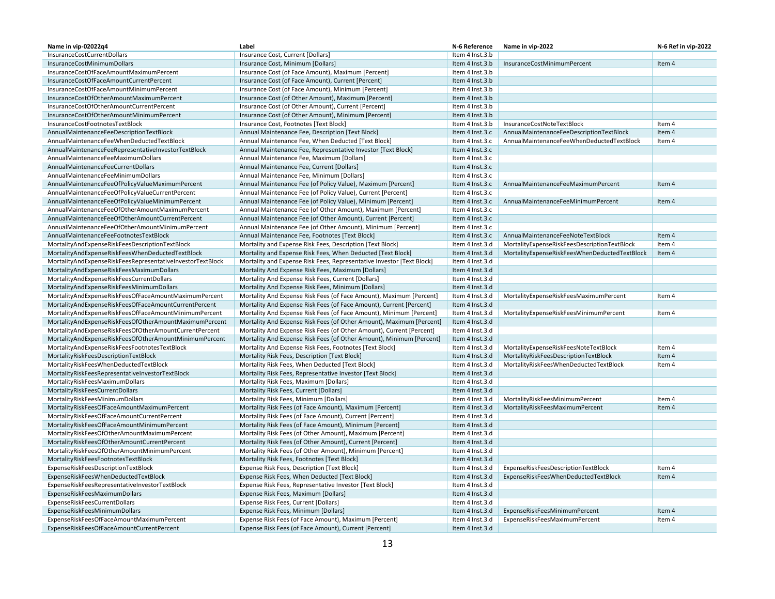| Name in vip-02022q4                                        | Label                                                                                                                                        | N-6 Reference                      | Name in vip-2022                              | N-6 Ref in vip-2022 |
|------------------------------------------------------------|----------------------------------------------------------------------------------------------------------------------------------------------|------------------------------------|-----------------------------------------------|---------------------|
| InsuranceCostCurrentDollars                                | Insurance Cost, Current [Dollars]                                                                                                            | Item 4 Inst.3.b                    |                                               |                     |
| InsuranceCostMinimumDollars                                | Insurance Cost, Minimum [Dollars]                                                                                                            | Item 4 Inst.3.b                    | InsuranceCostMinimumPercent                   | Item 4              |
| InsuranceCostOfFaceAmountMaximumPercent                    | Insurance Cost (of Face Amount), Maximum [Percent]                                                                                           | Item 4 Inst.3.b                    |                                               |                     |
| InsuranceCostOfFaceAmountCurrentPercent                    | Insurance Cost (of Face Amount), Current [Percent]                                                                                           | Item 4 Inst.3.b                    |                                               |                     |
| InsuranceCostOfFaceAmountMinimumPercent                    | Insurance Cost (of Face Amount), Minimum [Percent]                                                                                           | Item 4 Inst.3.b                    |                                               |                     |
| InsuranceCostOfOtherAmountMaximumPercent                   | Insurance Cost (of Other Amount), Maximum [Percent]                                                                                          | Item 4 Inst.3.b                    |                                               |                     |
| InsuranceCostOfOtherAmountCurrentPercent                   | Insurance Cost (of Other Amount), Current [Percent]                                                                                          | Item 4 Inst.3.b                    |                                               |                     |
| InsuranceCostOfOtherAmountMinimumPercent                   | Insurance Cost (of Other Amount), Minimum [Percent]                                                                                          | Item 4 Inst.3.b                    |                                               |                     |
| InsuranceCostFootnotesTextBlock                            | Insurance Cost, Footnotes [Text Block]                                                                                                       | Item 4 Inst.3.b                    | InsuranceCostNoteTextBlock                    | Item 4              |
| AnnualMaintenanceFeeDescriptionTextBlock                   | Annual Maintenance Fee, Description [Text Block]                                                                                             | Item 4 Inst.3.c                    | AnnualMaintenanceFeeDescriptionTextBlock      | Item 4              |
| AnnualMaintenanceFeeWhenDeductedTextBlock                  | Annual Maintenance Fee, When Deducted [Text Block]                                                                                           | Item 4 Inst.3.c                    | AnnualMaintenanceFeeWhenDeductedTextBlock     | Item 4              |
| AnnualMaintenanceFeeRepresentativeInvestorTextBlock        | Annual Maintenance Fee, Representative Investor [Text Block]                                                                                 | Item 4 Inst.3.c                    |                                               |                     |
| AnnualMaintenanceFeeMaximumDollars                         | Annual Maintenance Fee, Maximum [Dollars]                                                                                                    | Item 4 Inst.3.c                    |                                               |                     |
| AnnualMaintenanceFeeCurrentDollars                         | Annual Maintenance Fee, Current [Dollars]                                                                                                    | Item 4 Inst.3.c                    |                                               |                     |
| AnnualMaintenanceFeeMinimumDollars                         | Annual Maintenance Fee, Minimum [Dollars]                                                                                                    | Item 4 Inst.3.c                    |                                               |                     |
| AnnualMaintenanceFeeOfPolicyValueMaximumPercent            | Annual Maintenance Fee (of Policy Value), Maximum [Percent]                                                                                  | Item 4 Inst.3.c                    | AnnualMaintenanceFeeMaximumPercent            | Item 4              |
| AnnualMaintenanceFeeOfPolicyValueCurrentPercent            | Annual Maintenance Fee (of Policy Value), Current [Percent]                                                                                  | Item 4 Inst.3.c                    |                                               |                     |
| AnnualMaintenanceFeeOfPolicyValueMinimumPercent            | Annual Maintenance Fee (of Policy Value), Minimum [Percent]                                                                                  | Item 4 Inst.3.c                    | AnnualMaintenanceFeeMinimumPercent            | Item 4              |
| AnnualMaintenanceFeeOfOtherAmountMaximumPercent            | Annual Maintenance Fee (of Other Amount), Maximum [Percent]                                                                                  | Item 4 Inst.3.c                    |                                               |                     |
| AnnualMaintenanceFeeOfOtherAmountCurrentPercent            | Annual Maintenance Fee (of Other Amount), Current [Percent]                                                                                  | Item 4 Inst.3.c                    |                                               |                     |
| AnnualMaintenanceFeeOfOtherAmountMinimumPercent            | Annual Maintenance Fee (of Other Amount), Minimum [Percent]                                                                                  | Item 4 Inst.3.c                    |                                               |                     |
| AnnualMaintenanceFeeFootnotesTextBlock                     | Annual Maintenance Fee, Footnotes [Text Block]                                                                                               | Item 4 Inst.3.c                    | AnnualMaintenanceFeeNoteTextBlock             | Item 4              |
| MortalityAndExpenseRiskFeesDescriptionTextBlock            | Mortality and Expense Risk Fees, Description [Text Block]                                                                                    | Item 4 Inst.3.d                    | MortalityExpenseRiskFeesDescriptionTextBlock  | Item 4              |
| MortalityAndExpenseRiskFeesWhenDeductedTextBlock           | Mortality and Expense Risk Fees, When Deducted [Text Block]                                                                                  | Item 4 Inst.3.d                    | MortalityExpenseRiskFeesWhenDeductedTextBlock | Item 4              |
| MortalityAndExpenseRiskFeesRepresentativeInvestorTextBlock | Mortality and Expense Risk Fees, Representative Investor [Text Block]                                                                        | Item 4 Inst.3.d                    |                                               |                     |
| MortalityAndExpenseRiskFeesMaximumDollars                  | Mortality And Expense Risk Fees, Maximum [Dollars]                                                                                           | Item 4 Inst.3.d                    |                                               |                     |
| MortalityAndExpenseRiskFeesCurrentDollars                  | Mortality And Expense Risk Fees, Current [Dollars]                                                                                           | Item 4 Inst.3.d                    |                                               |                     |
| MortalityAndExpenseRiskFeesMinimumDollars                  | Mortality And Expense Risk Fees, Minimum [Dollars]                                                                                           | Item 4 Inst.3.d                    |                                               |                     |
| MortalityAndExpenseRiskFeesOfFaceAmountMaximumPercent      | Mortality And Expense Risk Fees (of Face Amount), Maximum [Percent]                                                                          | Item 4 Inst.3.d                    | MortalityExpenseRiskFeesMaximumPercent        | Item 4              |
| MortalityAndExpenseRiskFeesOfFaceAmountCurrentPercent      | Mortality And Expense Risk Fees (of Face Amount), Current [Percent]                                                                          | Item 4 Inst.3.d                    |                                               |                     |
| MortalityAndExpenseRiskFeesOfFaceAmountMinimumPercent      | Mortality And Expense Risk Fees (of Face Amount), Minimum [Percent]                                                                          | Item 4 Inst.3.d                    | MortalityExpenseRiskFeesMinimumPercent        | Item 4              |
| MortalityAndExpenseRiskFeesOfOtherAmountMaximumPercent     |                                                                                                                                              | Item 4 Inst.3.d                    |                                               |                     |
| MortalityAndExpenseRiskFeesOfOtherAmountCurrentPercent     | Mortality And Expense Risk Fees (of Other Amount), Maximum [Percent]<br>Mortality And Expense Risk Fees (of Other Amount), Current [Percent] | Item 4 Inst.3.d                    |                                               |                     |
|                                                            |                                                                                                                                              |                                    |                                               |                     |
| MortalityAndExpenseRiskFeesOfOtherAmountMinimumPercent     | Mortality And Expense Risk Fees (of Other Amount), Minimum [Percent]                                                                         | Item 4 Inst.3.d                    |                                               | Item 4              |
| MortalityAndExpenseRiskFeesFootnotesTextBlock              | Mortality And Expense Risk Fees, Footnotes [Text Block]                                                                                      | Item 4 Inst.3.d                    | MortalityExpenseRiskFeesNoteTextBlock         | Item 4              |
| MortalityRiskFeesDescriptionTextBlock                      | Mortality Risk Fees, Description [Text Block]                                                                                                | Item 4 Inst.3.d                    | MortalityRiskFeesDescriptionTextBlock         |                     |
| MortalityRiskFeesWhenDeductedTextBlock                     | Mortality Risk Fees, When Deducted [Text Block]                                                                                              | Item 4 Inst.3.d                    | MortalityRiskFeesWhenDeductedTextBlock        | Item 4              |
| MortalityRiskFeesRepresentativeInvestorTextBlock           | Mortality Risk Fees, Representative Investor [Text Block]                                                                                    | Item 4 Inst.3.d                    |                                               |                     |
| MortalityRiskFeesMaximumDollars                            | Mortality Risk Fees, Maximum [Dollars]                                                                                                       | Item 4 Inst.3.d                    |                                               |                     |
| MortalityRiskFeesCurrentDollars                            | Mortality Risk Fees, Current [Dollars]                                                                                                       | Item 4 Inst.3.d                    |                                               | Item 4              |
| MortalityRiskFeesMinimumDollars                            | Mortality Risk Fees, Minimum [Dollars]                                                                                                       | Item 4 Inst.3.d<br>Item 4 Inst.3.d | MortalityRiskFeesMinimumPercent               | Item 4              |
| MortalityRiskFeesOfFaceAmountMaximumPercent                | Mortality Risk Fees (of Face Amount), Maximum [Percent]                                                                                      |                                    | MortalityRiskFeesMaximumPercent               |                     |
| MortalityRiskFeesOfFaceAmountCurrentPercent                | Mortality Risk Fees (of Face Amount), Current [Percent]                                                                                      | Item 4 Inst.3.d                    |                                               |                     |
| MortalityRiskFeesOfFaceAmountMinimumPercent                | Mortality Risk Fees (of Face Amount), Minimum [Percent]                                                                                      | Item 4 Inst.3.d                    |                                               |                     |
| MortalityRiskFeesOfOtherAmountMaximumPercent               | Mortality Risk Fees (of Other Amount), Maximum [Percent]                                                                                     | Item 4 Inst.3.d                    |                                               |                     |
| MortalityRiskFeesOfOtherAmountCurrentPercent               | Mortality Risk Fees (of Other Amount), Current [Percent]                                                                                     | Item 4 Inst.3.d                    |                                               |                     |
| MortalityRiskFeesOfOtherAmountMinimumPercent               | Mortality Risk Fees (of Other Amount), Minimum [Percent]                                                                                     | Item 4 Inst.3.d                    |                                               |                     |
| MortalityRiskFeesFootnotesTextBlock                        | Mortality Risk Fees, Footnotes [Text Block]                                                                                                  | Item 4 Inst.3.d                    |                                               |                     |
| ExpenseRiskFeesDescriptionTextBlock                        | Expense Risk Fees, Description [Text Block]                                                                                                  | Item 4 Inst.3.d                    | ExpenseRiskFeesDescriptionTextBlock           | Item 4              |
| ExpenseRiskFeesWhenDeductedTextBlock                       | Expense Risk Fees, When Deducted [Text Block]                                                                                                | Item 4 Inst.3.d                    | ExpenseRiskFeesWhenDeductedTextBlock          | Item 4              |
| ExpenseRiskFeesRepresentativeInvestorTextBlock             | Expense Risk Fees, Representative Investor [Text Block]                                                                                      | Item 4 Inst.3.d                    |                                               |                     |
| ExpenseRiskFeesMaximumDollars                              | Expense Risk Fees, Maximum [Dollars]                                                                                                         | Item 4 Inst.3.d                    |                                               |                     |
| ExpenseRiskFeesCurrentDollars                              | Expense Risk Fees, Current [Dollars]                                                                                                         | Item 4 Inst.3.d                    |                                               |                     |
| ExpenseRiskFeesMinimumDollars                              | Expense Risk Fees, Minimum [Dollars]                                                                                                         | Item 4 Inst.3.d                    | ExpenseRiskFeesMinimumPercent                 | Item 4              |
| ExpenseRiskFeesOfFaceAmountMaximumPercent                  | Expense Risk Fees (of Face Amount), Maximum [Percent]                                                                                        | Item 4 Inst.3.d                    | ExpenseRiskFeesMaximumPercent                 | Item 4              |
| ExpenseRiskFeesOfFaceAmountCurrentPercent                  | Expense Risk Fees (of Face Amount), Current [Percent]                                                                                        | Item 4 Inst.3.d                    |                                               |                     |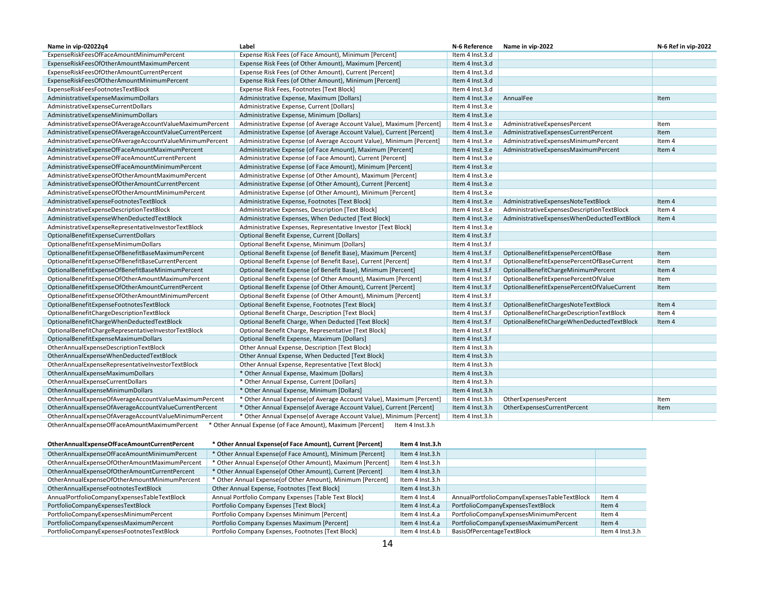| Name in vip-02022q4<br>Label<br>N-6 Reference<br>Name in vip-2022                                                                                                                                     | N-6 Ref in vip-2022 |
|-------------------------------------------------------------------------------------------------------------------------------------------------------------------------------------------------------|---------------------|
| Expense Risk Fees (of Face Amount), Minimum [Percent]<br>ExpenseRiskFeesOfFaceAmountMinimumPercent<br>Item 4 Inst.3.d                                                                                 |                     |
| Expense Risk Fees (of Other Amount), Maximum [Percent]<br>ExpenseRiskFeesOfOtherAmountMaximumPercent<br>Item 4 Inst.3.d                                                                               |                     |
| ExpenseRiskFeesOfOtherAmountCurrentPercent<br>Expense Risk Fees (of Other Amount), Current [Percent]<br>Item 4 Inst.3.d                                                                               |                     |
| ExpenseRiskFeesOfOtherAmountMinimumPercent<br>Expense Risk Fees (of Other Amount), Minimum [Percent]<br>Item 4 Inst.3.d                                                                               |                     |
| ExpenseRiskFeesFootnotesTextBlock<br>Expense Risk Fees, Footnotes [Text Block]<br>Item 4 Inst.3.d                                                                                                     |                     |
| AdministrativeExpenseMaximumDollars<br>Administrative Expense, Maximum [Dollars]<br>AnnualFee<br>Item 4 Inst.3.e<br>Item                                                                              |                     |
| AdministrativeExpenseCurrentDollars<br>Administrative Expense, Current [Dollars]<br>Item 4 Inst.3.e                                                                                                   |                     |
| AdministrativeExpenseMinimumDollars<br>Administrative Expense, Minimum [Dollars]<br>Item 4 Inst.3.e                                                                                                   |                     |
| AdministrativeExpenseOfAverageAccountValueMaximumPercent<br>Administrative Expense (of Average Account Value), Maximum [Percent]<br>AdministrativeExpensesPercent<br>Item 4 Inst.3.e<br>Item          |                     |
| AdministrativeExpenseOfAverageAccountValueCurrentPercent<br>Administrative Expense (of Average Account Value), Current [Percent]<br>Item 4 Inst.3.e<br>AdministrativeExpensesCurrentPercent<br>Item   |                     |
| AdministrativeExpenseOfAverageAccountValueMinimumPercent<br>Administrative Expense (of Average Account Value), Minimum [Percent]<br>AdministrativeExpensesMinimumPercent<br>Item 4 Inst.3.e<br>Item 4 |                     |
| AdministrativeExpensesMaximumPercent<br>AdministrativeExpenseOfFaceAmountMaximumPercent<br>Administrative Expense (of Face Amount), Maximum [Percent]<br>Item 4<br>Item 4 Inst.3.e                    |                     |
| AdministrativeExpenseOfFaceAmountCurrentPercent<br>Administrative Expense (of Face Amount), Current [Percent]<br>Item 4 Inst.3.e                                                                      |                     |
| AdministrativeExpenseOfFaceAmountMinimumPercent<br>Administrative Expense (of Face Amount), Minimum [Percent]<br>Item 4 Inst.3.e                                                                      |                     |
| AdministrativeExpenseOfOtherAmountMaximumPercent<br>Administrative Expense (of Other Amount), Maximum [Percent]<br>Item 4 Inst.3.e                                                                    |                     |
| AdministrativeExpenseOfOtherAmountCurrentPercent<br>Administrative Expense (of Other Amount), Current [Percent]<br>Item 4 Inst.3.e                                                                    |                     |
| AdministrativeExpenseOfOtherAmountMinimumPercent<br>Administrative Expense (of Other Amount), Minimum [Percent]<br>Item 4 Inst.3.e                                                                    |                     |
| AdministrativeExpenseFootnotesTextBlock<br>Administrative Expense, Footnotes [Text Block]<br>Item 4 Inst.3.e<br>AdministrativeExpensesNoteTextBlock<br>Item 4                                         |                     |
| AdministrativeExpenseDescriptionTextBlock<br>Administrative Expenses, Description [Text Block]<br>AdministrativeExpensesDescriptionTextBlock<br>Item 4 Inst.3.e<br>Item 4                             |                     |
| AdministrativeExpenseWhenDeductedTextBlock<br>Administrative Expenses, When Deducted [Text Block]<br>Item 4 Inst.3.e<br>AdministrativeExpensesWhenDeductedTextBlock<br>Item 4                         |                     |
| AdministrativeExpenseRepresentativeInvestorTextBlock<br>Administrative Expenses, Representative Investor [Text Block]<br>Item 4 Inst.3.e                                                              |                     |
| OptionalBenefitExpenseCurrentDollars<br>Optional Benefit Expense, Current [Dollars]<br>Item 4 Inst.3.f                                                                                                |                     |
| OptionalBenefitExpenseMinimumDollars<br>Optional Benefit Expense, Minimum [Dollars]<br>Item 4 Inst.3.f                                                                                                |                     |
| OptionalBenefitExpenseOfBenefitBaseMaximumPercent<br>Optional Benefit Expense (of Benefit Base), Maximum [Percent]<br>OptionalBenefitExpensePercentOfBase<br>Item 4 Inst.3.f<br>Item                  |                     |
| OptionalBenefitExpenseOfBenefitBaseCurrentPercent<br>Optional Benefit Expense (of Benefit Base), Current [Percent]<br>OptionalBenefitExpensePercentOfBaseCurrent<br>Item 4 Inst.3.f<br>Item           |                     |
| Optional Benefit Expense (of Benefit Base), Minimum [Percent]<br>OptionalBenefitChargeMinimumPercent<br>OptionalBenefitExpenseOfBenefitBaseMinimumPercent<br>Item 4 Inst.3.f<br>Item 4                |                     |
| OptionalBenefitExpensePercentOfValue<br>OptionalBenefitExpenseOfOtherAmountMaximumPercent<br>Optional Benefit Expense (of Other Amount), Maximum [Percent]<br>Item 4 Inst.3.f<br>Item                 |                     |
| OptionalBenefitExpenseOfOtherAmountCurrentPercent<br>Optional Benefit Expense (of Other Amount), Current [Percent]<br>OptionalBenefitExpensePercentOfValueCurrent<br>Item 4 Inst.3.f<br>Item          |                     |
| OptionalBenefitExpenseOfOtherAmountMinimumPercent<br>Optional Benefit Expense (of Other Amount), Minimum [Percent]<br>Item 4 Inst.3.f                                                                 |                     |
| OptionalBenefitChargesNoteTextBlock<br>OptionalBenefitExpenseFootnotesTextBlock<br>Optional Benefit Expense, Footnotes [Text Block]<br>Item 4<br>Item 4 Inst.3.f                                      |                     |
| OptionalBenefitChargeDescriptionTextBlock<br>OptionalBenefitChargeDescriptionTextBlock<br>Optional Benefit Charge, Description [Text Block]<br>Item 4<br>Item 4 Inst.3.f                              |                     |
| OptionalBenefitChargeWhenDeductedTextBlock<br>Optional Benefit Charge, When Deducted [Text Block]<br>OptionalBenefitChargeWhenDeductedTextBlock<br>Item 4 Inst.3.f<br>Item 4                          |                     |
| OptionalBenefitChargeRepresentativeInvestorTextBlock<br>Optional Benefit Charge, Representative [Text Block]<br>Item 4 Inst.3.f                                                                       |                     |
| OptionalBenefitExpenseMaximumDollars<br>Optional Benefit Expense, Maximum [Dollars]<br>Item 4 Inst.3.f                                                                                                |                     |
| OtherAnnualExpenseDescriptionTextBlock<br>Other Annual Expense, Description [Text Block]<br>Item 4 Inst.3.h                                                                                           |                     |
| OtherAnnualExpenseWhenDeductedTextBlock<br>Other Annual Expense, When Deducted [Text Block]<br>Item 4 Inst.3.h                                                                                        |                     |
| OtherAnnualExpenseRepresentativeInvestorTextBlock<br>Other Annual Expense, Representative [Text Block]<br>Item 4 Inst.3.h                                                                             |                     |
| OtherAnnualExpenseMaximumDollars<br>* Other Annual Expense, Maximum [Dollars]<br>Item 4 Inst.3.h                                                                                                      |                     |
| OtherAnnualExpenseCurrentDollars<br>* Other Annual Expense, Current [Dollars]<br>Item 4 Inst.3.h                                                                                                      |                     |
| OtherAnnualExpenseMinimumDollars<br>* Other Annual Expense, Minimum [Dollars]<br>Item 4 Inst.3.h                                                                                                      |                     |
| OtherAnnualExpenseOfAverageAccountValueMaximumPercent<br>* Other Annual Expense(of Average Account Value), Maximum [Percent]<br>OtherExpensesPercent<br>Item 4 Inst.3.h<br>Item                       |                     |
| OtherAnnualExpenseOfAverageAccountValueCurrentPercent<br>* Other Annual Expense(of Average Account Value), Current [Percent]<br>Item 4 Inst.3.h<br>OtherExpensesCurrentPercent<br>Item                |                     |
| OtherAnnualExpenseOfAverageAccountValueMinimumPercent<br>* Other Annual Expense(of Average Account Value), Minimum [Percent]<br>Item 4 Inst.3.h                                                       |                     |

OtherAnnualExpenseOfFaceAmountMaximumPercent \* Other Annual Expense (of Face Amount), Maximum [Percent] Item 4 Inst.3.h

| OtherAnnualExpenseOfFaceAmountCurrentPercent  | * Other Annual Expense(of Face Amount), Current [Percent]  | Item 4 Inst.3.h |                                              |                 |
|-----------------------------------------------|------------------------------------------------------------|-----------------|----------------------------------------------|-----------------|
| OtherAnnualExpenseOfFaceAmountMinimumPercent  | * Other Annual Expense(of Face Amount), Minimum [Percent]  | Item 4 Inst.3.h |                                              |                 |
| OtherAnnualExpenseOfOtherAmountMaximumPercent | * Other Annual Expense(of Other Amount), Maximum [Percent] | Item 4 Inst.3.h |                                              |                 |
| OtherAnnualExpenseOfOtherAmountCurrentPercent | * Other Annual Expense(of Other Amount), Current [Percent] | Item 4 Inst.3.h |                                              |                 |
| OtherAnnualExpenseOfOtherAmountMinimumPercent | * Other Annual Expense(of Other Amount), Minimum [Percent] | Item 4 Inst.3.h |                                              |                 |
| OtherAnnualExpenseFootnotesTextBlock          | Other Annual Expense, Footnotes [Text Block]               | Item 4 Inst.3.h |                                              |                 |
| AnnualPortfolioCompanyExpensesTableTextBlock  | Annual Portfolio Company Expenses [Table Text Block]       | Item 4 Inst.4   | AnnualPortfolioCompanyExpensesTableTextBlock | Item 4          |
| PortfolioCompanyExpensesTextBlock             | Portfolio Company Expenses [Text Block]                    | Item 4 Inst.4.a | PortfolioCompanyExpensesTextBlock            | Item 4          |
| PortfolioCompanyExpensesMinimumPercent        | Portfolio Company Expenses Minimum [Percent]               | Item 4 Inst.4.a | PortfolioCompanyExpensesMinimumPercent       | Item 4          |
| PortfolioCompanyExpensesMaximumPercent        | Portfolio Company Expenses Maximum [Percent]               | Item 4 Inst.4.a | PortfolioCompanyExpensesMaximumPercent       | Item 4          |
| PortfolioCompanyExpensesFootnotesTextBlock    | Portfolio Company Expenses, Footnotes [Text Block]         | Item 4 Inst.4.b | BasisOfPercentageTextBlock                   | Item 4 Inst.3.h |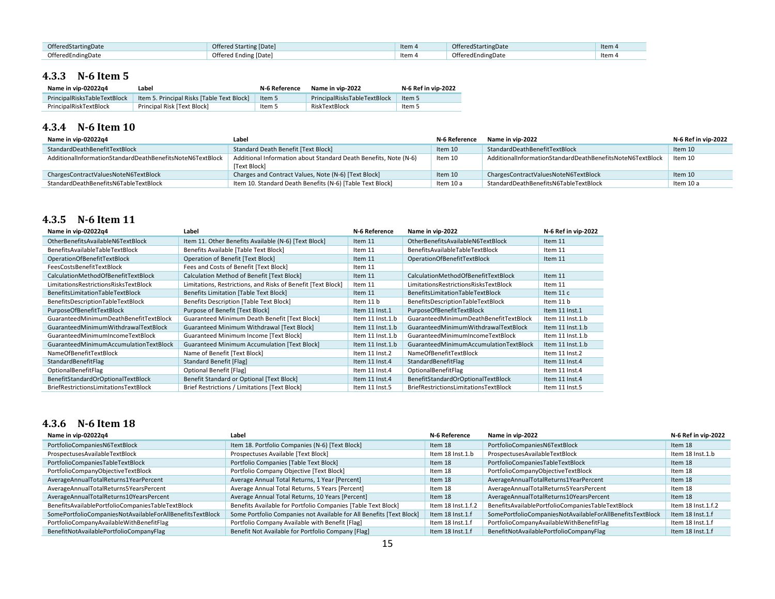| OfferedStartingDate | Offered Starting [Date] | Item 4 | OfferedStartingDate | Item 4 |
|---------------------|-------------------------|--------|---------------------|--------|
| OfferedEndingDate   | Offered Ending [Date]   | Item 4 | OfferedEndingDate   | Item 4 |

#### **4.3.3 N-6 Item 5**

| Name in vip-02022q4          | Label                                      | N-6 Reference | Name in vip-2022             | N-6 Ref in vip-2022 |
|------------------------------|--------------------------------------------|---------------|------------------------------|---------------------|
| PrincipalRisksTableTextBlock | Item 5. Principal Risks [Table Text Block] | Item 5        | PrincipalRisksTableTextBlock | Item 5              |
| PrincipalRiskTextBlock       | <b>Principal Risk [Text Block]</b>         | Item 5        | RiskTextBlock                | Item 5              |

#### **4.3.4 N-6 Item 10**

| Name in vip-02022q4                                       | Label                                                                            | N-6 Reference | Name in vip-2022                                          | N-6 Ref in vip-2022 |
|-----------------------------------------------------------|----------------------------------------------------------------------------------|---------------|-----------------------------------------------------------|---------------------|
| StandardDeathBenefitTextBlock                             | Standard Death Benefit [Text Block]                                              | Item 10       | StandardDeathBenefitTextBlock                             | Item 10             |
| AdditionalInformationStandardDeathBenefitsNoteN6TextBlock | Additional Information about Standard Death Benefits, Note (N-6)<br>[Text Block] | Item 10       | AdditionalInformationStandardDeathBenefitsNoteN6TextBlock | Item 10             |
| ChargesContractValuesNoteN6TextBlock                      | Charges and Contract Values, Note (N-6) [Text Block]                             | Item 10       | ChargesContractValuesNoteN6TextBlock                      | Item 10             |
| StandardDeathBenefitsN6TableTextBlock                     | Item 10. Standard Death Benefits (N-6) [Table Text Block]                        | Item 10 a     | StandardDeathBenefitsN6TableTextBlock                     | Item 10 a           |

#### **4.3.5 N-6 Item 11**

| Name in vip-02022q4                    | Label                                                        | N-6 Reference    | Name in vip-2022                       | N-6 Ref in vip-2022 |
|----------------------------------------|--------------------------------------------------------------|------------------|----------------------------------------|---------------------|
| OtherBenefitsAvailableN6TextBlock      | Item 11. Other Benefits Available (N-6) [Text Block]         | Item 11          | OtherBenefitsAvailableN6TextBlock      | Item 11             |
| <b>BenefitsAvailableTableTextBlock</b> | Benefits Available [Table Text Block]                        | Item 11          | BenefitsAvailableTableTextBlock        | Item 11             |
| OperationOfBenefitTextBlock            | <b>Operation of Benefit [Text Block]</b>                     | Item 11          | OperationOfBenefitTextBlock            | Item 11             |
| <b>FeesCostsBenefitTextBlock</b>       | Fees and Costs of Benefit [Text Block]                       | Item 11          |                                        |                     |
| CalculationMethodOfBenefitTextBlock    | <b>Calculation Method of Benefit [Text Block]</b>            | Item 11          | CalculationMethodOfBenefitTextBlock    | Item 11             |
| LimitationsRestrictionsRisksTextBlock  | Limitations, Restrictions, and Risks of Benefit [Text Block] | Item 11          | LimitationsRestrictionsRisksTextBlock  | Item 11             |
| BenefitsLimitationTableTextBlock       | <b>Benefits Limitation [Table Text Block]</b>                | Item 11          | BenefitsLimitationTableTextBlock       | Item $11c$          |
| BenefitsDescriptionTableTextBlock      | Benefits Description [Table Text Block]                      | Item 11 b        | BenefitsDescriptionTableTextBlock      | Item 11 b           |
| PurposeOfBenefitTextBlock              | Purpose of Benefit [Text Block]                              | Item 11 Inst.1   | PurposeOfBenefitTextBlock              | Item 11 Inst.1      |
| GuaranteedMinimumDeathBenefitTextBlock | Guaranteed Minimum Death Benefit [Text Block]                | Item 11 Inst.1.b | GuaranteedMinimumDeathBenefitTextBlock | Item 11 Inst.1.b    |
| GuaranteedMinimumWithdrawalTextBlock   | Guaranteed Minimum Withdrawal [Text Block]                   | Item 11 Inst.1.b | GuaranteedMinimumWithdrawalTextBlock   | Item 11 Inst.1.b    |
| GuaranteedMinimumIncomeTextBlock       | Guaranteed Minimum Income [Text Block]                       | Item 11 Inst.1.b | GuaranteedMinimumIncomeTextBlock       | Item 11 Inst.1.b    |
| GuaranteedMinimumAccumulationTextBlock | <b>Guaranteed Minimum Accumulation [Text Block]</b>          | Item 11 Inst.1.b | GuaranteedMinimumAccumulationTextBlock | Item 11 Inst.1.b    |
| NameOfBenefitTextBlock                 | Name of Benefit [Text Block]                                 | Item 11 Inst.2   | NameOfBenefitTextBlock                 | Item 11 Inst.2      |
| StandardBenefitFlag                    | Standard Benefit [Flag]                                      | Item 11 Inst.4   | StandardBenefitFlag                    | Item 11 Inst.4      |
| OptionalBenefitFlag                    | Optional Benefit [Flag]                                      | Item 11 Inst.4   | OptionalBenefitFlag                    | Item 11 Inst.4      |
| BenefitStandardOrOptionalTextBlock     | Benefit Standard or Optional [Text Block]                    | Item 11 Inst.4   | BenefitStandardOrOptionalTextBlock     | Item 11 Inst.4      |
| BriefRestrictionsLimitationsTextBlock  | Brief Restrictions / Limitations [Text Block]                | Item 11 Inst.5   | BriefRestrictionsLimitationsTextBlock  | Item 11 Inst.5      |

#### **4.3.6 N-6 Item 18**

| Name in vip-02022q4                                       | Label                                                                | N-6 Reference      | Name in vip-2022                                          | N-6 Ref in vip-2022 |
|-----------------------------------------------------------|----------------------------------------------------------------------|--------------------|-----------------------------------------------------------|---------------------|
| PortfolioCompaniesN6TextBlock                             | Item 18. Portfolio Companies (N-6) [Text Block]                      | Item 18            | PortfolioCompaniesN6TextBlock                             | Item 18             |
| ProspectusesAvailableTextBlock                            | Prospectuses Available [Text Block]                                  | Item 18 Inst.1.b   | ProspectusesAvailableTextBlock                            | Item 18 Inst.1.b    |
| PortfolioCompaniesTableTextBlock                          | Portfolio Companies [Table Text Block]                               | Item 18            | PortfolioCompaniesTableTextBlock                          | Item 18             |
| PortfolioCompanyObjectiveTextBlock                        | Portfolio Company Objective [Text Block]                             | Item 18            | PortfolioCompanyObjectiveTextBlock                        | Item 18             |
| AverageAnnualTotalReturns1YearPercent                     | Average Annual Total Returns, 1 Year [Percent]                       | Item 18            | AverageAnnualTotalReturns1YearPercent                     | Item 18             |
| AverageAnnualTotalReturns5YearsPercent                    | Average Annual Total Returns, 5 Years [Percent]                      | Item 18            | AverageAnnualTotalReturns5YearsPercent                    | Item 18             |
| AverageAnnualTotalReturns10YearsPercent                   | Average Annual Total Returns, 10 Years [Percent]                     | Item 18            | AverageAnnualTotalReturns10YearsPercent                   | Item 18             |
| BenefitsAvailablePortfolioCompaniesTableTextBlock         | Benefits Available for Portfolio Companies [Table Text Block]        | Item 18 Inst.1.f.2 | BenefitsAvailablePortfolioCompaniesTableTextBlock         | Item 18 Inst.1.f.2  |
| SomePortfolioCompaniesNotAvailableForAllBenefitsTextBlock | Some Portfolio Companies not Available for All Benefits [Text Block] | Item 18 Inst.1.f   | SomePortfolioCompaniesNotAvailableForAllBenefitsTextBlock | Item 18 Inst.1.f    |
| PortfolioCompanyAvailableWithBenefitFlag                  | Portfolio Company Available with Benefit [Flag]                      | Item 18 Inst.1 f   | PortfolioCompanyAvailableWithBenefitFlag                  | Item 18 Inst.1.f    |
| BenefitNotAvailablePortfolioCompanyFlag                   | Benefit Not Available for Portfolio Company [Flag]                   | Item 18 Inst.1.f   | BenefitNotAvailablePortfolioCompanyFlag                   | Item 18 Inst.1.f    |